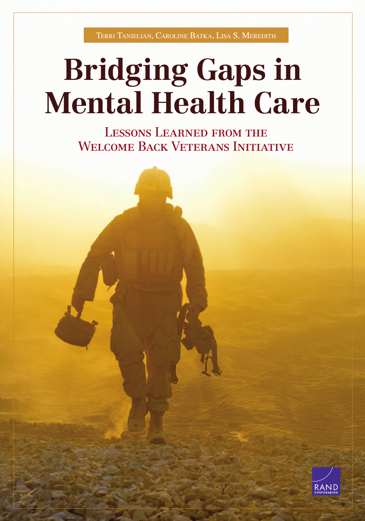TERRI TANIELIAN, CAROLINE BATKA, LISA S. MEREDITH

# **Bridging Gaps in [Mental Health Care](https://www.rand.org/pubs/research_reports/RR2030.html)**

Lessons Learned from the WELCOME BACK VETERANS INITIATIVE

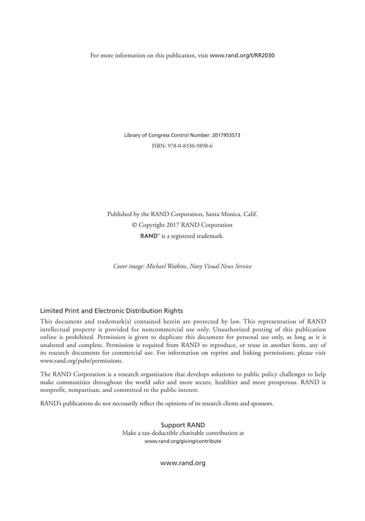For more information on this publication, visit [www.rand.org/t/RR2030](http://www.rand.org/t/RR2030)

Library of Congress Control Number: 2017953573 ISBN: 978-0-8330-9898-6

Published by the RAND Corporation, Santa Monica, Calif. © Copyright 2017 RAND Corporation RAND<sup>®</sup> is a registered trademark.

*Cover image: Michael Watkins, Navy Visual News Service*

#### Limited Print and Electronic Distribution Rights

This document and trademark(s) contained herein are protected by law. This representation of RAND intellectual property is provided for noncommercial use only. Unauthorized posting of this publication online is prohibited. Permission is given to duplicate this document for personal use only, as long as it is unaltered and complete. Permission is required from RAND to reproduce, or reuse in another form, any of its research documents for commercial use. For information on reprint and linking permissions, please visit [www.rand.org/pubs/permissions.](http://www.rand.org/pubs/permissions)

The RAND Corporation is a research organization that develops solutions to public policy challenges to help make communities throughout the world safer and more secure, healthier and more prosperous. RAND is nonprofit, nonpartisan, and committed to the public interest.

RAND's publications do not necessarily reflect the opinions of its research clients and sponsors.

Support RAND Make a tax-deductible charitable contribution at [www.rand.org/giving/contribute](http://www.rand.org/giving/contribute)

[www.rand.org](http://www.rand.org)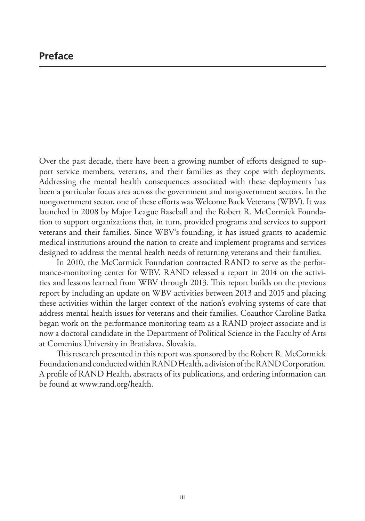# **Preface**

Over the past decade, there have been a growing number of efforts designed to support service members, veterans, and their families as they cope with deployments. Addressing the mental health consequences associated with these deployments has been a particular focus area across the government and nongovernment sectors. In the nongovernment sector, one of these efforts was Welcome Back Veterans (WBV). It was launched in 2008 by Major League Baseball and the Robert R. McCormick Foundation to support organizations that, in turn, provided programs and services to support veterans and their families. Since WBV's founding, it has issued grants to academic medical institutions around the nation to create and implement programs and services designed to address the mental health needs of returning veterans and their families.

In 2010, the McCormick Foundation contracted RAND to serve as the performance-monitoring center for WBV. RAND released a report in 2014 on the activities and lessons learned from WBV through 2013. This report builds on the previous report by including an update on WBV activities between 2013 and 2015 and placing these activities within the larger context of the nation's evolving systems of care that address mental health issues for veterans and their families. Coauthor Caroline Batka began work on the performance monitoring team as a RAND project associate and is now a doctoral candidate in the Department of Political Science in the Faculty of Arts at Comenius University in Bratislava, Slovakia.

This research presented in this report was sponsored by the Robert R. McCormick Foundation and conducted within RAND Health, a division of the RAND Corporation. A profile of RAND Health, abstracts of its publications, and ordering information can be found at [www.rand.org/health.](http://www.rand.org/health)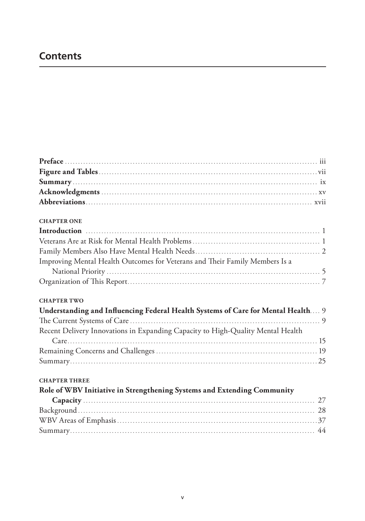# **Contents**

| <b>CHAPTER ONE</b>                                                               |  |
|----------------------------------------------------------------------------------|--|
|                                                                                  |  |
|                                                                                  |  |
|                                                                                  |  |
| Improving Mental Health Outcomes for Veterans and Their Family Members Is a      |  |
|                                                                                  |  |
| <b>CHAPTER TWO</b>                                                               |  |
| Understanding and Influencing Federal Health Systems of Care for Mental Health 9 |  |
|                                                                                  |  |
| Recent Delivery Innovations in Expanding Capacity to High-Quality Mental Health  |  |
|                                                                                  |  |
|                                                                                  |  |
|                                                                                  |  |
| <b>CHAPTER THREE</b>                                                             |  |
| Role of WBV Initiative in Strengthening Systems and Extending Community          |  |
|                                                                                  |  |
|                                                                                  |  |
|                                                                                  |  |
|                                                                                  |  |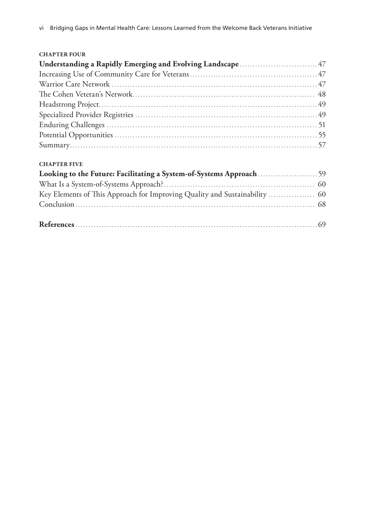| <b>CHAPTER FOUR</b> |  |
|---------------------|--|
|                     |  |
|                     |  |
|                     |  |
|                     |  |
|                     |  |
|                     |  |
|                     |  |
|                     |  |
|                     |  |

#### **CHAPTER FIVE**

| Looking to the Future: Facilitating a System-of-Systems Approach |  |
|------------------------------------------------------------------|--|
|                                                                  |  |
|                                                                  |  |
|                                                                  |  |
|                                                                  |  |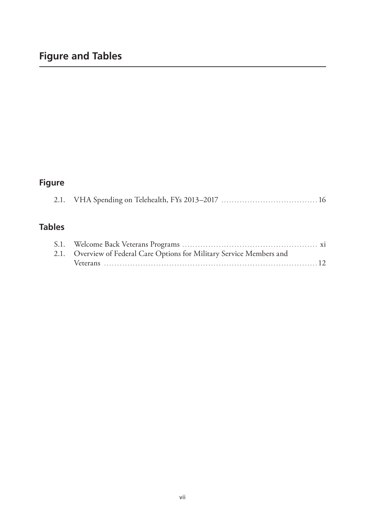# **Figure**

| <b>Tables</b> |                                                                        |
|---------------|------------------------------------------------------------------------|
|               |                                                                        |
|               | 2.1. Overview of Federal Care Options for Military Service Members and |
|               |                                                                        |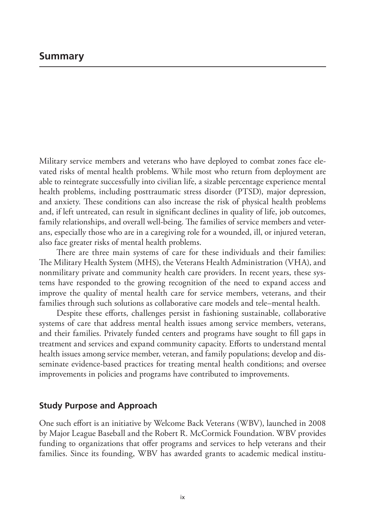Military service members and veterans who have deployed to combat zones face elevated risks of mental health problems. While most who return from deployment are able to reintegrate successfully into civilian life, a sizable percentage experience mental health problems, including posttraumatic stress disorder (PTSD), major depression, and anxiety. These conditions can also increase the risk of physical health problems and, if left untreated, can result in significant declines in quality of life, job outcomes, family relationships, and overall well-being. The families of service members and veterans, especially those who are in a caregiving role for a wounded, ill, or injured veteran, also face greater risks of mental health problems.

There are three main systems of care for these individuals and their families: The Military Health System (MHS), the Veterans Health Administration (VHA), and nonmilitary private and community health care providers. In recent years, these systems have responded to the growing recognition of the need to expand access and improve the quality of mental health care for service members, veterans, and their families through such solutions as collaborative care models and tele–mental health.

Despite these efforts, challenges persist in fashioning sustainable, collaborative systems of care that address mental health issues among service members, veterans, and their families. Privately funded centers and programs have sought to fill gaps in treatment and services and expand community capacity. Efforts to understand mental health issues among service member, veteran, and family populations; develop and disseminate evidence-based practices for treating mental health conditions; and oversee improvements in policies and programs have contributed to improvements.

#### **Study Purpose and Approach**

One such effort is an initiative by Welcome Back Veterans (WBV), launched in 2008 by Major League Baseball and the Robert R. McCormick Foundation. WBV provides funding to organizations that offer programs and services to help veterans and their families. Since its founding, WBV has awarded grants to academic medical institu-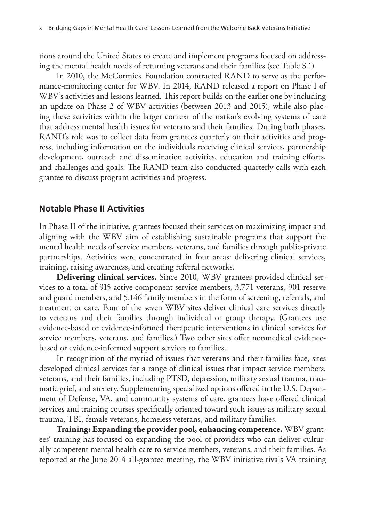tions around the United States to create and implement programs focused on addressing the mental health needs of returning veterans and their families (see Table S.1).

In 2010, the McCormick Foundation contracted RAND to serve as the performance-monitoring center for WBV. In 2014, RAND released a report on Phase I of WBV's activities and lessons learned. This report builds on the earlier one by including an update on Phase 2 of WBV activities (between 2013 and 2015), while also placing these activities within the larger context of the nation's evolving systems of care that address mental health issues for veterans and their families. During both phases, RAND's role was to collect data from grantees quarterly on their activities and progress, including information on the individuals receiving clinical services, partnership development, outreach and dissemination activities, education and training efforts, and challenges and goals. The RAND team also conducted quarterly calls with each grantee to discuss program activities and progress.

### **Notable Phase II Activities**

In Phase II of the initiative, grantees focused their services on maximizing impact and aligning with the WBV aim of establishing sustainable programs that support the mental health needs of service members, veterans, and families through public-private partnerships. Activities were concentrated in four areas: delivering clinical services, training, raising awareness, and creating referral networks.

**Delivering clinical services.** Since 2010, WBV grantees provided clinical services to a total of 915 active component service members, 3,771 veterans, 901 reserve and guard members, and 5,146 family members in the form of screening, referrals, and treatment or care. Four of the seven WBV sites deliver clinical care services directly to veterans and their families through individual or group therapy. (Grantees use evidence-based or evidence-informed therapeutic interventions in clinical services for service members, veterans, and families.) Two other sites offer nonmedical evidencebased or evidence-informed support services to families.

In recognition of the myriad of issues that veterans and their families face, sites developed clinical services for a range of clinical issues that impact service members, veterans, and their families, including PTSD, depression, military sexual trauma, traumatic grief, and anxiety. Supplementing specialized options offered in the U.S. Department of Defense, VA, and community systems of care, grantees have offered clinical services and training courses specifically oriented toward such issues as military sexual trauma, TBI, female veterans, homeless veterans, and military families.

**Training: Expanding the provider pool, enhancing competence.** WBV grantees' training has focused on expanding the pool of providers who can deliver culturally competent mental health care to service members, veterans, and their families. As reported at the June 2014 all-grantee meeting, the WBV initiative rivals VA training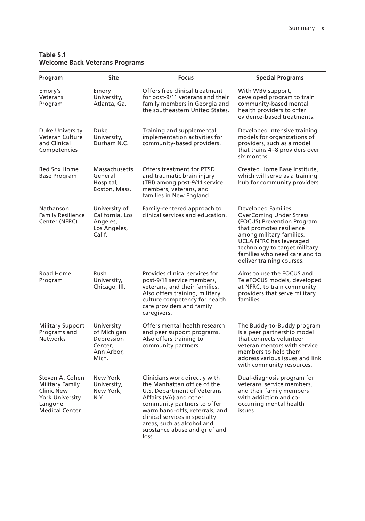| Program                                                                                                               | <b>Site</b>                                                               | <b>Focus</b>                                                                                                                                                                                                                                                                                     | <b>Special Programs</b>                                                                                                                                                                                                                                                     |
|-----------------------------------------------------------------------------------------------------------------------|---------------------------------------------------------------------------|--------------------------------------------------------------------------------------------------------------------------------------------------------------------------------------------------------------------------------------------------------------------------------------------------|-----------------------------------------------------------------------------------------------------------------------------------------------------------------------------------------------------------------------------------------------------------------------------|
| Emory's<br>Veterans<br>Program                                                                                        | Emory<br>University,<br>Atlanta, Ga.                                      | Offers free clinical treatment<br>for post-9/11 veterans and their<br>family members in Georgia and<br>the southeastern United States.                                                                                                                                                           | With WBV support,<br>developed program to train<br>community-based mental<br>health providers to offer<br>evidence-based treatments.                                                                                                                                        |
| Duke University<br>Veteran Culture<br>and Clinical<br>Competencies                                                    | Duke<br>University,<br>Durham N.C.                                        | Training and supplemental<br>implementation activities for<br>community-based providers.                                                                                                                                                                                                         | Developed intensive training<br>models for organizations of<br>providers, such as a model<br>that trains 4-8 providers over<br>six months.                                                                                                                                  |
| Red Sox Home<br><b>Base Program</b>                                                                                   | Massachusetts<br>General<br>Hospital,<br>Boston, Mass.                    | <b>Offers treatment for PTSD</b><br>and traumatic brain injury<br>(TBI) among post-9/11 service<br>members, veterans, and<br>families in New England.                                                                                                                                            | Created Home Base Institute,<br>which will serve as a training<br>hub for community providers.                                                                                                                                                                              |
| Nathanson<br><b>Family Resilience</b><br>Center (NFRC)                                                                | University of<br>California, Los<br>Angeles,<br>Los Angeles,<br>Calif.    | Family-centered approach to<br>clinical services and education.                                                                                                                                                                                                                                  | Developed Families<br><b>OverComing Under Stress</b><br>(FOCUS) Prevention Program<br>that promotes resilience<br>among military families.<br><b>UCLA NFRC has leveraged</b><br>technology to target military<br>families who need care and to<br>deliver training courses. |
| Road Home<br>Program                                                                                                  | Rush<br>University,<br>Chicago, Ill.                                      | Provides clinical services for<br>post-9/11 service members,<br>veterans, and their families.<br>Also offers training, military<br>culture competency for health<br>care providers and family<br>caregivers.                                                                                     | Aims to use the FOCUS and<br>TeleFOCUS models, developed<br>at NFRC, to train community<br>providers that serve military<br>families.                                                                                                                                       |
| <b>Military Support</b><br>Programs and<br><b>Networks</b>                                                            | University<br>of Michigan<br>Depression<br>Center,<br>Ann Arbor,<br>Mich. | Offers mental health research<br>and peer support programs.<br>Also offers training to<br>community partners.                                                                                                                                                                                    | The Buddy-to-Buddy program<br>is a peer partnership model<br>that connects volunteer<br>veteran mentors with service<br>members to help them<br>address various issues and link<br>with community resources.                                                                |
| Steven A. Cohen<br><b>Military Family</b><br>Clinic New<br><b>York University</b><br>Langone<br><b>Medical Center</b> | <b>New York</b><br>University,<br>New York,<br>N.Y.                       | Clinicians work directly with<br>the Manhattan office of the<br>U.S. Department of Veterans<br>Affairs (VA) and other<br>community partners to offer<br>warm hand-offs, referrals, and<br>clinical services in specialty<br>areas, such as alcohol and<br>substance abuse and grief and<br>loss. | Dual-diagnosis program for<br>veterans, service members,<br>and their family members<br>with addiction and co-<br>occurring mental health<br>issues.                                                                                                                        |

#### **Table S.1 Welcome Back Veterans Programs**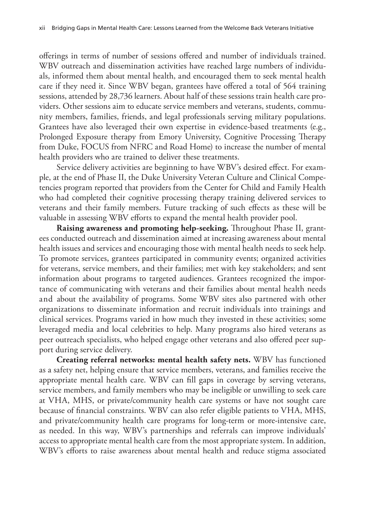offerings in terms of number of sessions offered and number of individuals trained. WBV outreach and dissemination activities have reached large numbers of individuals, informed them about mental health, and encouraged them to seek mental health care if they need it. Since WBV began, grantees have offered a total of 564 training sessions, attended by 28,736 learners. About half of these sessions train health care providers. Other sessions aim to educate service members and veterans, students, community members, families, friends, and legal professionals serving military populations. Grantees have also leveraged their own expertise in evidence-based treatments (e.g., Prolonged Exposure therapy from Emory University, Cognitive Processing Therapy from Duke, FOCUS from NFRC and Road Home) to increase the number of mental health providers who are trained to deliver these treatments.

Service delivery activities are beginning to have WBV's desired effect. For example, at the end of Phase II, the Duke University Veteran Culture and Clinical Competencies program reported that providers from the Center for Child and Family Health who had completed their cognitive processing therapy training delivered services to veterans and their family members. Future tracking of such effects as these will be valuable in assessing WBV efforts to expand the mental health provider pool.

**Raising awareness and promoting help-seeking.** Throughout Phase II, grantees conducted outreach and dissemination aimed at increasing awareness about mental health issues and services and encouraging those with mental health needs to seek help. To promote services, grantees participated in community events; organized activities for veterans, service members, and their families; met with key stakeholders; and sent information about programs to targeted audiences. Grantees recognized the importance of communicating with veterans and their families about mental health needs and about the availability of programs. Some WBV sites also partnered with other organizations to disseminate information and recruit individuals into trainings and clinical services. Programs varied in how much they invested in these activities; some leveraged media and local celebrities to help. Many programs also hired veterans as peer outreach specialists, who helped engage other veterans and also offered peer support during service delivery.

**Creating referral networks: mental health safety nets.** WBV has functioned as a safety net, helping ensure that service members, veterans, and families receive the appropriate mental health care. WBV can fill gaps in coverage by serving veterans, service members, and family members who may be ineligible or unwilling to seek care at VHA, MHS, or private/community health care systems or have not sought care because of financial constraints. WBV can also refer eligible patients to VHA, MHS, and private/community health care programs for long-term or more-intensive care, as needed. In this way, WBV's partnerships and referrals can improve individuals' access to appropriate mental health care from the most appropriate system. In addition, WBV's efforts to raise awareness about mental health and reduce stigma associated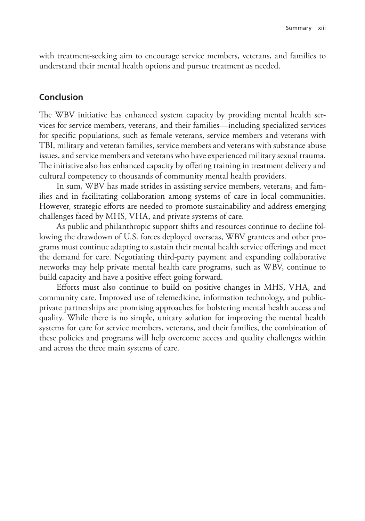with treatment-seeking aim to encourage service members, veterans, and families to understand their mental health options and pursue treatment as needed.

## **Conclusion**

The WBV initiative has enhanced system capacity by providing mental health services for service members, veterans, and their families—including specialized services for specific populations, such as female veterans, service members and veterans with TBI, military and veteran families, service members and veterans with substance abuse issues, and service members and veterans who have experienced military sexual trauma. The initiative also has enhanced capacity by offering training in treatment delivery and cultural competency to thousands of community mental health providers.

In sum, WBV has made strides in assisting service members, veterans, and families and in facilitating collaboration among systems of care in local communities. However, strategic efforts are needed to promote sustainability and address emerging challenges faced by MHS, VHA, and private systems of care.

As public and philanthropic support shifts and resources continue to decline following the drawdown of U.S. forces deployed overseas, WBV grantees and other programs must continue adapting to sustain their mental health service offerings and meet the demand for care. Negotiating third-party payment and expanding collaborative networks may help private mental health care programs, such as WBV, continue to build capacity and have a positive effect going forward.

Efforts must also continue to build on positive changes in MHS, VHA, and community care. Improved use of telemedicine, information technology, and publicprivate partnerships are promising approaches for bolstering mental health access and quality. While there is no simple, unitary solution for improving the mental health systems for care for service members, veterans, and their families, the combination of these policies and programs will help overcome access and quality challenges within and across the three main systems of care.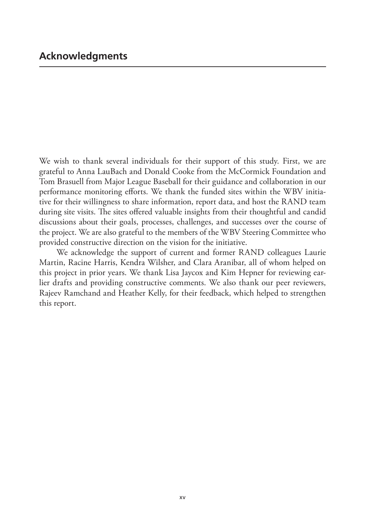We wish to thank several individuals for their support of this study. First, we are grateful to Anna LauBach and Donald Cooke from the McCormick Foundation and Tom Brasuell from Major League Baseball for their guidance and collaboration in our performance monitoring efforts. We thank the funded sites within the WBV initiative for their willingness to share information, report data, and host the RAND team during site visits. The sites offered valuable insights from their thoughtful and candid discussions about their goals, processes, challenges, and successes over the course of the project. We are also grateful to the members of the WBV Steering Committee who provided constructive direction on the vision for the initiative.

We acknowledge the support of current and former RAND colleagues Laurie Martin, Racine Harris, Kendra Wilsher, and Clara Aranibar, all of whom helped on this project in prior years. We thank Lisa Jaycox and Kim Hepner for reviewing earlier drafts and providing constructive comments. We also thank our peer reviewers, Rajeev Ramchand and Heather Kelly, for their feedback, which helped to strengthen this report.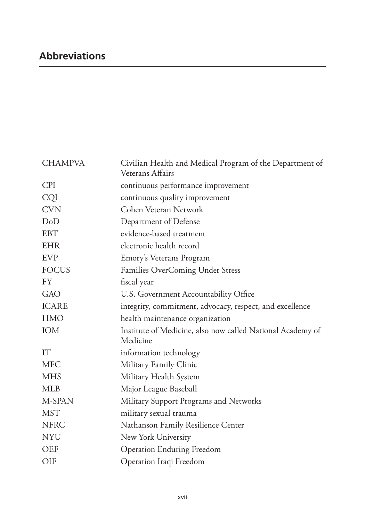# **Abbreviations**

| <b>CHAMPVA</b> | Civilian Health and Medical Program of the Department of<br>Veterans Affairs |  |
|----------------|------------------------------------------------------------------------------|--|
| <b>CPI</b>     | continuous performance improvement                                           |  |
| <b>CQI</b>     | continuous quality improvement                                               |  |
| <b>CVN</b>     | Cohen Veteran Network                                                        |  |
| DoD            | Department of Defense                                                        |  |
| <b>EBT</b>     | evidence-based treatment                                                     |  |
| <b>EHR</b>     | electronic health record                                                     |  |
| <b>EVP</b>     | Emory's Veterans Program                                                     |  |
| <b>FOCUS</b>   | Families OverComing Under Stress                                             |  |
| <b>FY</b>      | fiscal year                                                                  |  |
| <b>GAO</b>     | U.S. Government Accountability Office                                        |  |
| <b>ICARE</b>   | integrity, commitment, advocacy, respect, and excellence                     |  |
| <b>HMO</b>     | health maintenance organization                                              |  |
| IOM            | Institute of Medicine, also now called National Academy of<br>Medicine       |  |
| IT             | information technology                                                       |  |
| <b>MFC</b>     | Military Family Clinic                                                       |  |
| <b>MHS</b>     | Military Health System                                                       |  |
| <b>MLB</b>     | Major League Baseball                                                        |  |
| M-SPAN         | Military Support Programs and Networks                                       |  |
| <b>MST</b>     | military sexual trauma                                                       |  |
| <b>NFRC</b>    | Nathanson Family Resilience Center                                           |  |
| <b>NYU</b>     | New York University                                                          |  |
| <b>OEF</b>     | <b>Operation Enduring Freedom</b>                                            |  |
| OIF            | Operation Iraqi Freedom                                                      |  |
|                |                                                                              |  |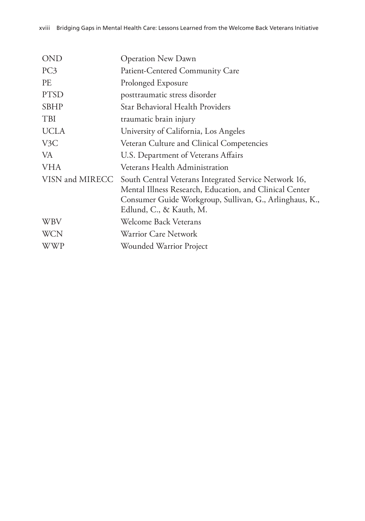| <b>OND</b>      | <b>Operation New Dawn</b>                                                                                                                                                                              |  |  |
|-----------------|--------------------------------------------------------------------------------------------------------------------------------------------------------------------------------------------------------|--|--|
| PC <sub>3</sub> | Patient-Centered Community Care                                                                                                                                                                        |  |  |
| <b>PE</b>       | Prolonged Exposure                                                                                                                                                                                     |  |  |
| <b>PTSD</b>     | posttraumatic stress disorder                                                                                                                                                                          |  |  |
| <b>SBHP</b>     | Star Behavioral Health Providers                                                                                                                                                                       |  |  |
| <b>TBI</b>      | traumatic brain injury                                                                                                                                                                                 |  |  |
| <b>UCLA</b>     | University of California, Los Angeles                                                                                                                                                                  |  |  |
| V3C             | Veteran Culture and Clinical Competencies                                                                                                                                                              |  |  |
| VA              | U.S. Department of Veterans Affairs                                                                                                                                                                    |  |  |
| <b>VHA</b>      | Veterans Health Administration                                                                                                                                                                         |  |  |
| VISN and MIRECC | South Central Veterans Integrated Service Network 16,<br>Mental Illness Research, Education, and Clinical Center<br>Consumer Guide Workgroup, Sullivan, G., Arlinghaus, K.,<br>Edlund, C., & Kauth, M. |  |  |
| <b>WBV</b>      | Welcome Back Veterans                                                                                                                                                                                  |  |  |
| <b>WCN</b>      | <b>Warrior Care Network</b>                                                                                                                                                                            |  |  |
| <b>WWP</b>      | Wounded Warrior Project                                                                                                                                                                                |  |  |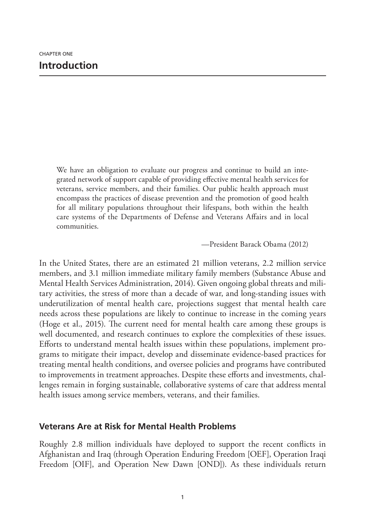We have an obligation to evaluate our progress and continue to build an integrated network of support capable of providing effective mental health services for veterans, service members, and their families. Our public health approach must encompass the practices of disease prevention and the promotion of good health for all military populations throughout their lifespans, both within the health care systems of the Departments of Defense and Veterans Affairs and in local communities.

—President Barack Obama (2012)

In the United States, there are an estimated 21 million veterans, 2.2 million service members, and 3.1 million immediate military family members (Substance Abuse and Mental Health Services Administration, 2014). Given ongoing global threats and military activities, the stress of more than a decade of war, and long-standing issues with underutilization of mental health care, projections suggest that mental health care needs across these populations are likely to continue to increase in the coming years (Hoge et al., 2015). The current need for mental health care among these groups is well documented, and research continues to explore the complexities of these issues. Efforts to understand mental health issues within these populations, implement programs to mitigate their impact, develop and disseminate evidence-based practices for treating mental health conditions, and oversee policies and programs have contributed to improvements in treatment approaches. Despite these efforts and investments, challenges remain in forging sustainable, collaborative systems of care that address mental health issues among service members, veterans, and their families.

# **Veterans Are at Risk for Mental Health Problems**

Roughly 2.8 million individuals have deployed to support the recent conflicts in Afghanistan and Iraq (through Operation Enduring Freedom [OEF], Operation Iraqi Freedom [OIF], and Operation New Dawn [OND]). As these individuals return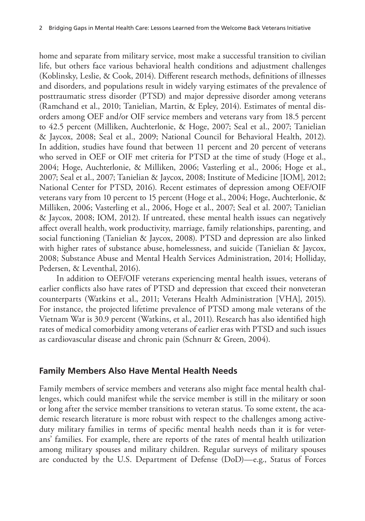home and separate from military service, most make a successful transition to civilian life, but others face various behavioral health conditions and adjustment challenges (Koblinsky, Leslie, & Cook, 2014). Different research methods, definitions of illnesses and disorders, and populations result in widely varying estimates of the prevalence of posttraumatic stress disorder (PTSD) and major depressive disorder among veterans (Ramchand et al., 2010; Tanielian, Martin, & Epley, 2014). Estimates of mental disorders among OEF and/or OIF service members and veterans vary from 18.5 percent to 42.5 percent (Milliken, Auchterlonie, & Hoge, 2007; Seal et al., 2007; Tanielian & Jaycox, 2008; Seal et al., 2009; National Council for Behavioral Health, 2012). In addition, studies have found that between 11 percent and 20 percent of veterans who served in OEF or OIF met criteria for PTSD at the time of study (Hoge et al., 2004; Hoge, Auchterlonie, & Milliken, 2006; Vasterling et al., 2006; Hoge et al., 2007; Seal et al., 2007; Tanielian & Jaycox, 2008; Institute of Medicine [IOM], 2012; National Center for PTSD, 2016). Recent estimates of depression among OEF/OIF veterans vary from 10 percent to 15 percent (Hoge et al., 2004; Hoge, Auchterlonie, & Milliken, 2006; Vasterling et al., 2006, Hoge et al., 2007; Seal et al. 2007; Tanielian & Jaycox, 2008; IOM, 2012). If untreated, these mental health issues can negatively affect overall health, work productivity, marriage, family relationships, parenting, and social functioning (Tanielian & Jaycox, 2008). PTSD and depression are also linked with higher rates of substance abuse, homelessness, and suicide (Tanielian & Jaycox, 2008; Substance Abuse and Mental Health Services Administration, 2014; Holliday, Pedersen, & Leventhal, 2016).

In addition to OEF/OIF veterans experiencing mental health issues, veterans of earlier conflicts also have rates of PTSD and depression that exceed their nonveteran counterparts (Watkins et al., 2011; Veterans Health Administration [VHA], 2015). For instance, the projected lifetime prevalence of PTSD among male veterans of the Vietnam War is 30.9 percent (Watkins, et al., 2011). Research has also identified high rates of medical comorbidity among veterans of earlier eras with PTSD and such issues as cardiovascular disease and chronic pain (Schnurr & Green, 2004).

#### **Family Members Also Have Mental Health Needs**

Family members of service members and veterans also might face mental health challenges, which could manifest while the service member is still in the military or soon or long after the service member transitions to veteran status. To some extent, the academic research literature is more robust with respect to the challenges among activeduty military families in terms of specific mental health needs than it is for veterans' families. For example, there are reports of the rates of mental health utilization among military spouses and military children. Regular surveys of military spouses are conducted by the U.S. Department of Defense (DoD)—e.g., Status of Forces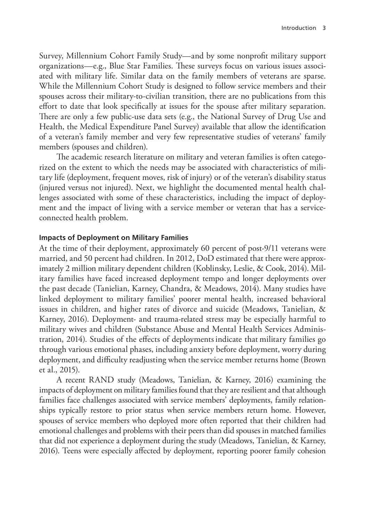Survey, Millennium Cohort Family Study—and by some nonprofit military support organizations—e.g., Blue Star Families. These surveys focus on various issues associated with military life. Similar data on the family members of veterans are sparse. While the Millennium Cohort Study is designed to follow service members and their spouses across their military-to-civilian transition, there are no publications from this effort to date that look specifically at issues for the spouse after military separation. There are only a few public-use data sets (e.g., the National Survey of Drug Use and Health, the Medical Expenditure Panel Survey) available that allow the identification of a veteran's family member and very few representative studies of veterans' family members (spouses and children).

The academic research literature on military and veteran families is often categorized on the extent to which the needs may be associated with characteristics of military life (deployment, frequent moves, risk of injury) or of the veteran's disability status (injured versus not injured). Next, we highlight the documented mental health challenges associated with some of these characteristics, including the impact of deployment and the impact of living with a service member or veteran that has a serviceconnected health problem.

#### **Impacts of Deployment on Military Families**

At the time of their deployment, approximately 60 percent of post-9/11 veterans were married, and 50 percent had children. In 2012, DoD estimated that there were approximately 2 million military dependent children (Koblinsky, Leslie, & Cook, 2014). Military families have faced increased deployment tempo and longer deployments over the past decade (Tanielian, Karney, Chandra, & Meadows, 2014). Many studies have linked deployment to military families' poorer mental health, increased behavioral issues in children, and higher rates of divorce and suicide (Meadows, Tanielian, & Karney, 2016). Deployment- and trauma-related stress may be especially harmful to military wives and children (Substance Abuse and Mental Health Services Administration, 2014). Studies of the effects of deployments indicate that military families go through various emotional phases, including anxiety before deployment, worry during deployment, and difficulty readjusting when the service member returns home (Brown et al., 2015).

A recent RAND study (Meadows, Tanielian, & Karney, 2016) examining the impacts of deployment on military families found that they are resilient and that although families face challenges associated with service members' deployments, family relationships typically restore to prior status when service members return home. However, spouses of service members who deployed more often reported that their children had emotional challenges and problems with their peers than did spouses in matched families that did not experience a deployment during the study (Meadows, Tanielian, & Karney, 2016). Teens were especially affected by deployment, reporting poorer family cohesion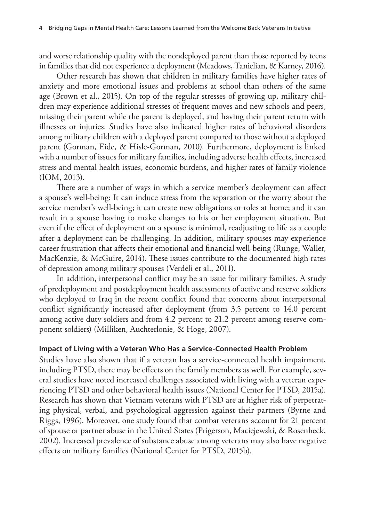and worse relationship quality with the nondeployed parent than those reported by teens in families that did not experience a deployment (Meadows, Tanielian, & Karney, 2016).

Other research has shown that children in military families have higher rates of anxiety and more emotional issues and problems at school than others of the same age (Brown et al., 2015). On top of the regular stresses of growing up, military children may experience additional stresses of frequent moves and new schools and peers, missing their parent while the parent is deployed, and having their parent return with illnesses or injuries. Studies have also indicated higher rates of behavioral disorders among military children with a deployed parent compared to those without a deployed parent (Gorman, Eide, & Hisle-Gorman, 2010). Furthermore, deployment is linked with a number of issues for military families, including adverse health effects, increased stress and mental health issues, economic burdens, and higher rates of family violence (IOM, 2013).

There are a number of ways in which a service member's deployment can affect a spouse's well-being: It can induce stress from the separation or the worry about the service member's well-being; it can create new obligations or roles at home; and it can result in a spouse having to make changes to his or her employment situation. But even if the effect of deployment on a spouse is minimal, readjusting to life as a couple after a deployment can be challenging. In addition, military spouses may experience career frustration that affects their emotional and financial well-being (Runge, Waller, MacKenzie, & McGuire, 2014). These issues contribute to the documented high rates of depression among military spouses (Verdeli et al., 2011).

In addition, interpersonal conflict may be an issue for military families. A study of predeployment and postdeployment health assessments of active and reserve soldiers who deployed to Iraq in the recent conflict found that concerns about interpersonal conflict significantly increased after deployment (from 3.5 percent to 14.0 percent among active duty soldiers and from 4.2 percent to 21.2 percent among reserve component soldiers) (Milliken, Auchterlonie, & Hoge, 2007).

#### **Impact of Living with a Veteran Who Has a Service-Connected Health Problem**

Studies have also shown that if a veteran has a service-connected health impairment, including PTSD, there may be effects on the family members as well. For example, several studies have noted increased challenges associated with living with a veteran experiencing PTSD and other behavioral health issues (National Center for PTSD, 2015a). Research has shown that Vietnam veterans with PTSD are at higher risk of perpetrating physical, verbal, and psychological aggression against their partners (Byrne and Riggs, 1996). Moreover, one study found that combat veterans account for 21 percent of spouse or partner abuse in the United States (Prigerson, Maciejewski, & Rosenheck, 2002). Increased prevalence of substance abuse among veterans may also have negative effects on military families (National Center for PTSD, 2015b).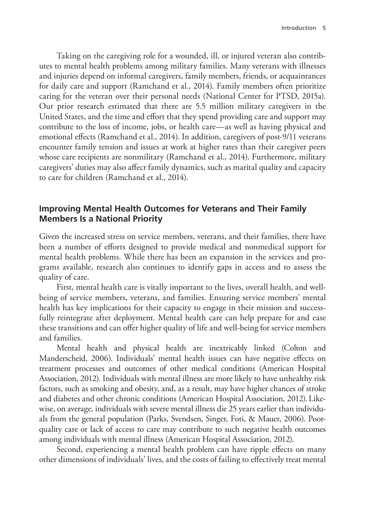Taking on the caregiving role for a wounded, ill, or injured veteran also contributes to mental health problems among military families. Many veterans with illnesses and injuries depend on informal caregivers, family members, friends, or acquaintances for daily care and support (Ramchand et al., 2014). Family members often prioritize caring for the veteran over their personal needs (National Center for PTSD, 2015a). Our prior research estimated that there are 5.5 million military caregivers in the United States, and the time and effort that they spend providing care and support may contribute to the loss of income, jobs, or health care—as well as having physical and emotional effects (Ramchand et al., 2014). In addition, caregivers of post-9/11 veterans encounter family tension and issues at work at higher rates than their caregiver peers whose care recipients are nonmilitary (Ramchand et al., 2014). Furthermore, military caregivers' duties may also affect family dynamics, such as marital quality and capacity to care for children (Ramchand et al., 2014).

# **Improving Mental Health Outcomes for Veterans and Their Family Members Is a National Priority**

Given the increased stress on service members, veterans, and their families, there have been a number of efforts designed to provide medical and nonmedical support for mental health problems. While there has been an expansion in the services and programs available, research also continues to identify gaps in access and to assess the quality of care.

First, mental health care is vitally important to the lives, overall health, and wellbeing of service members, veterans, and families. Ensuring service members' mental health has key implications for their capacity to engage in their mission and successfully reintegrate after deployment. Mental health care can help prepare for and ease these transitions and can offer higher quality of life and well-being for service members and families.

Mental health and physical health are inextricably linked (Colton and Manderscheid, 2006). Individuals' mental health issues can have negative effects on treatment processes and outcomes of other medical conditions (American Hospital Association, 2012). Individuals with mental illness are more likely to have unhealthy risk factors, such as smoking and obesity, and, as a result, may have higher chances of stroke and diabetes and other chronic conditions (American Hospital Association, 2012).Likewise, on average, individuals with severe mental illness die 25 years earlier than individuals from the general population (Parks, Svendsen, Singer, Foti, & Mauer, 2006). Poorquality care or lack of access to care may contribute to such negative health outcomes among individuals with mental illness (American Hospital Association, 2012).

Second, experiencing a mental health problem can have ripple effects on many other dimensions of individuals' lives, and the costs of failing to effectively treat mental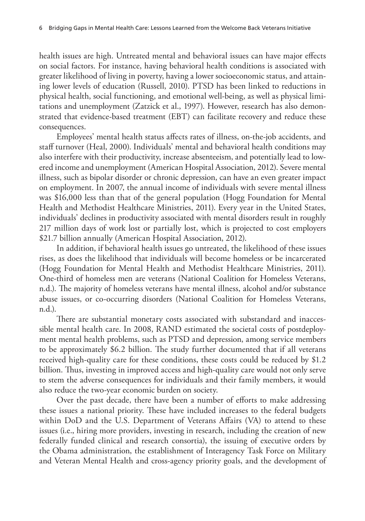health issues are high. Untreated mental and behavioral issues can have major effects on social factors. For instance, having behavioral health conditions is associated with greater likelihood of living in poverty, having a lower socioeconomic status, and attaining lower levels of education (Russell, 2010). PTSD has been linked to reductions in physical health, social functioning, and emotional well-being, as well as physical limitations and unemployment (Zatzick et al., 1997). However, research has also demonstrated that evidence-based treatment (EBT) can facilitate recovery and reduce these consequences.

Employees' mental health status affects rates of illness, on-the-job accidents, and staff turnover (Heal, 2000). Individuals' mental and behavioral health conditions may also interfere with their productivity, increase absenteeism, and potentially lead to lowered income and unemployment (American Hospital Association, 2012). Severe mental illness, such as bipolar disorder or chronic depression, can have an even greater impact on employment. In 2007, the annual income of individuals with severe mental illness was \$16,000 less than that of the general population (Hogg Foundation for Mental Health and Methodist Healthcare Ministries, 2011). Every year in the United States, individuals' declines in productivity associated with mental disorders result in roughly 217 million days of work lost or partially lost, which is projected to cost employers \$21.7 billion annually (American Hospital Association, 2012).

In addition, if behavioral health issues go untreated, the likelihood of these issues rises, as does the likelihood that individuals will become homeless or be incarcerated (Hogg Foundation for Mental Health and Methodist Healthcare Ministries, 2011). One-third of homeless men are veterans (National Coalition for Homeless Veterans, n.d.). The majority of homeless veterans have mental illness, alcohol and/or substance abuse issues, or co-occurring disorders (National Coalition for Homeless Veterans, n.d.).

There are substantial monetary costs associated with substandard and inaccessible mental health care. In 2008, RAND estimated the societal costs of postdeployment mental health problems, such as PTSD and depression, among service members to be approximately \$6.2 billion. The study further documented that if all veterans received high-quality care for these conditions, these costs could be reduced by \$1.2 billion. Thus, investing in improved access and high-quality care would not only serve to stem the adverse consequences for individuals and their family members, it would also reduce the two-year economic burden on society.

Over the past decade, there have been a number of efforts to make addressing these issues a national priority. These have included increases to the federal budgets within DoD and the U.S. Department of Veterans Affairs (VA) to attend to these issues (i.e., hiring more providers, investing in research, including the creation of new federally funded clinical and research consortia), the issuing of executive orders by the Obama administration, the establishment of Interagency Task Force on Military and Veteran Mental Health and cross-agency priority goals, and the development of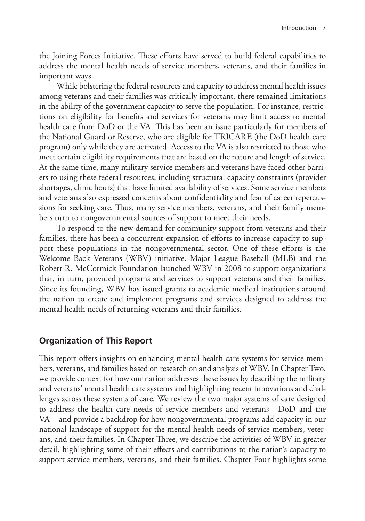the Joining Forces Initiative. These efforts have served to build federal capabilities to address the mental health needs of service members, veterans, and their families in important ways.

While bolstering the federal resources and capacity to address mental health issues among veterans and their families was critically important, there remained limitations in the ability of the government capacity to serve the population. For instance, restrictions on eligibility for benefits and services for veterans may limit access to mental health care from DoD or the VA. This has been an issue particularly for members of the National Guard or Reserve, who are eligible for TRICARE (the DoD health care program) only while they are activated. Access to the VA is also restricted to those who meet certain eligibility requirements that are based on the nature and length of service. At the same time, many military service members and veterans have faced other barriers to using these federal resources, including structural capacity constraints (provider shortages, clinic hours) that have limited availability of services. Some service members and veterans also expressed concerns about confidentiality and fear of career repercussions for seeking care. Thus, many service members, veterans, and their family members turn to nongovernmental sources of support to meet their needs.

To respond to the new demand for community support from veterans and their families, there has been a concurrent expansion of efforts to increase capacity to support these populations in the nongovernmental sector. One of these efforts is the Welcome Back Veterans (WBV) initiative. Major League Baseball (MLB) and the Robert R. McCormick Foundation launched WBV in 2008 to support organizations that, in turn, provided programs and services to support veterans and their families. Since its founding, WBV has issued grants to academic medical institutions around the nation to create and implement programs and services designed to address the mental health needs of returning veterans and their families.

# **Organization of This Report**

This report offers insights on enhancing mental health care systems for service members, veterans, and families based on research on and analysis of WBV. In Chapter Two, we provide context for how our nation addresses these issues by describing the military and veterans' mental health care systems and highlighting recent innovations and challenges across these systems of care. We review the two major systems of care designed to address the health care needs of service members and veterans—DoD and the VA—and provide a backdrop for how nongovernmental programs add capacity in our national landscape of support for the mental health needs of service members, veterans, and their families. In Chapter Three, we describe the activities of WBV in greater detail, highlighting some of their effects and contributions to the nation's capacity to support service members, veterans, and their families. Chapter Four highlights some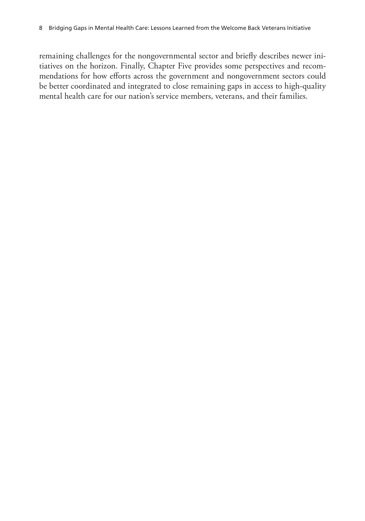remaining challenges for the nongovernmental sector and briefly describes newer initiatives on the horizon. Finally, Chapter Five provides some perspectives and recommendations for how efforts across the government and nongovernment sectors could be better coordinated and integrated to close remaining gaps in access to high-quality mental health care for our nation's service members, veterans, and their families.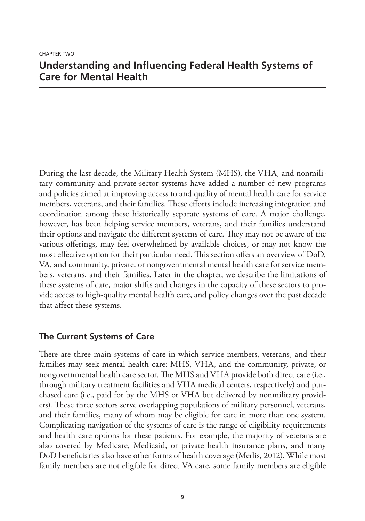# **Understanding and Influencing Federal Health Systems of Care for Mental Health**

During the last decade, the Military Health System (MHS), the VHA, and nonmilitary community and private-sector systems have added a number of new programs and policies aimed at improving access to and quality of mental health care for service members, veterans, and their families. These efforts include increasing integration and coordination among these historically separate systems of care. A major challenge, however, has been helping service members, veterans, and their families understand their options and navigate the different systems of care. They may not be aware of the various offerings, may feel overwhelmed by available choices, or may not know the most effective option for their particular need. This section offers an overview of DoD, VA, and community, private, or nongovernmental mental health care for service members, veterans, and their families. Later in the chapter, we describe the limitations of these systems of care, major shifts and changes in the capacity of these sectors to provide access to high-quality mental health care, and policy changes over the past decade that affect these systems.

# **The Current Systems of Care**

There are three main systems of care in which service members, veterans, and their families may seek mental health care: MHS, VHA, and the community, private, or nongovernmental health care sector. The MHS and VHA provide both direct care (i.e., through military treatment facilities and VHA medical centers, respectively) and purchased care (i.e., paid for by the MHS or VHA but delivered by nonmilitary providers). These three sectors serve overlapping populations of military personnel, veterans, and their families, many of whom may be eligible for care in more than one system. Complicating navigation of the systems of care is the range of eligibility requirements and health care options for these patients. For example, the majority of veterans are also covered by Medicare, Medicaid, or private health insurance plans, and many DoD beneficiaries also have other forms of health coverage (Merlis, 2012). While most family members are not eligible for direct VA care, some family members are eligible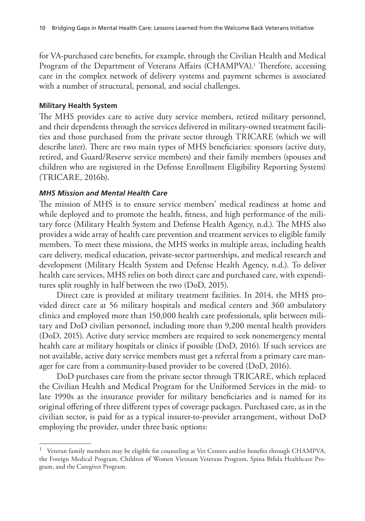for VA-purchased care benefits, for example, through the Civilian Health and Medical Program of the Department of Veterans Affairs (CHAMPVA).<sup>1</sup> Therefore, accessing care in the complex network of delivery systems and payment schemes is associated with a number of structural, personal, and social challenges.

#### **Military Health System**

The MHS provides care to active duty service members, retired military personnel, and their dependents through the services delivered in military-owned treatment facilities and those purchased from the private sector through TRICARE (which we will describe later). There are two main types of MHS beneficiaries: sponsors (active duty, retired, and Guard/Reserve service members) and their family members (spouses and children who are registered in the Defense Enrollment Eligibility Reporting System) (TRICARE, 2016b).

#### *MHS Mission and Mental Health Care*

The mission of MHS is to ensure service members' medical readiness at home and while deployed and to promote the health, fitness, and high performance of the military force (Military Health System and Defense Health Agency, n.d.). The MHS also provides a wide array of health care prevention and treatment services to eligible family members. To meet these missions, the MHS works in multiple areas, including health care delivery, medical education, private-sector partnerships, and medical research and development (Military Health System and Defense Health Agency, n.d.). To deliver health care services, MHS relies on both direct care and purchased care, with expenditures split roughly in half between the two (DoD, 2015).

Direct care is provided at military treatment facilities. In 2014, the MHS provided direct care at 56 military hospitals and medical centers and 360 ambulatory clinics and employed more than 150,000 health care professionals, split between military and DoD civilian personnel, including more than 9,200 mental health providers (DoD, 2015). Active duty service members are required to seek nonemergency mental health care at military hospitals or clinics if possible (DoD, 2016). If such services are not available, active duty service members must get a referral from a primary care manager for care from a community-based provider to be covered (DoD, 2016).

DoD purchases care from the private sector through TRICARE, which replaced the Civilian Health and Medical Program for the Uniformed Services in the mid- to late 1990s as the insurance provider for military beneficiaries and is named for its original offering of three different types of coverage packages. Purchased care, as in the civilian sector, is paid for as a typical insurer-to-provider arrangement, without DoD employing the provider, under three basic options:

<sup>1</sup> Veteran family members may be eligible for counseling at Vet Centers and/or benefits through CHAMPVA, the Foreign Medical Program, Children of Women Vietnam Veterans Program, Spina Bifida Healthcare Program, and the Caregiver Program.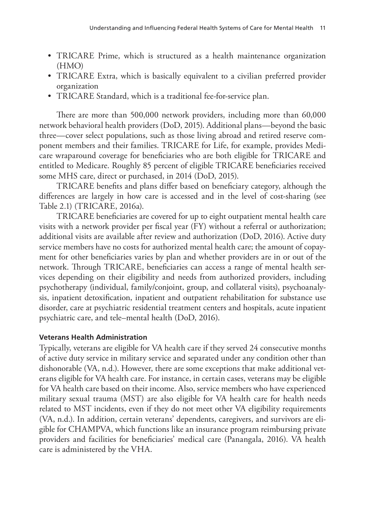- TRICARE Prime, which is structured as a health maintenance organization (HMO)
- TRICARE Extra, which is basically equivalent to a civilian preferred provider organization
- TRICARE Standard, which is a traditional fee-for-service plan.

There are more than 500,000 network providers, including more than 60,000 network behavioral health providers (DoD, 2015). Additional plans—beyond the basic three—cover select populations, such as those living abroad and retired reserve component members and their families. TRICARE for Life, for example, provides Medicare wraparound coverage for beneficiaries who are both eligible for TRICARE and entitled to Medicare. Roughly 85 percent of eligible TRICARE beneficiaries received some MHS care, direct or purchased, in 2014 (DoD, 2015).

TRICARE benefits and plans differ based on beneficiary category, although the differences are largely in how care is accessed and in the level of cost-sharing (see Table 2.1) (TRICARE, 2016a).

TRICARE beneficiaries are covered for up to eight outpatient mental health care visits with a network provider per fiscal year (FY) without a referral or authorization; additional visits are available after review and authorization (DoD, 2016). Active duty service members have no costs for authorized mental health care; the amount of copayment for other beneficiaries varies by plan and whether providers are in or out of the network. Through TRICARE, beneficiaries can access a range of mental health services depending on their eligibility and needs from authorized providers, including psychotherapy (individual, family/conjoint, group, and collateral visits), psychoanalysis, inpatient detoxification, inpatient and outpatient rehabilitation for substance use disorder, care at psychiatric residential treatment centers and hospitals, acute inpatient psychiatric care, and tele–mental health (DoD, 2016).

#### **Veterans Health Administration**

Typically, veterans are eligible for VA health care if they served 24 consecutive months of active duty service in military service and separated under any condition other than dishonorable (VA, n.d.). However, there are some exceptions that make additional veterans eligible for VA health care. For instance, in certain cases, veterans may be eligible for VA health care based on their income. Also, service members who have experienced military sexual trauma (MST) are also eligible for VA health care for health needs related to MST incidents, even if they do not meet other VA eligibility requirements (VA, n.d.). In addition, certain veterans' dependents, caregivers, and survivors are eligible for CHAMPVA, which functions like an insurance program reimbursing private providers and facilities for beneficiaries' medical care (Panangala, 2016). VA health care is administered by the VHA.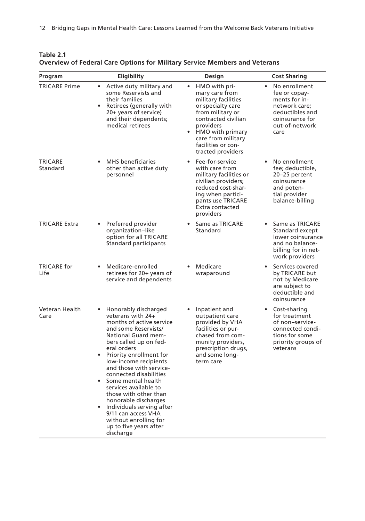| Program                    | Eligibility                                                                                                                                                                                                                                                                                                                                                                                                                                                                                                                              | Design                                                                                                                                                                                                                                | <b>Cost Sharing</b>                                                                                                                           |
|----------------------------|------------------------------------------------------------------------------------------------------------------------------------------------------------------------------------------------------------------------------------------------------------------------------------------------------------------------------------------------------------------------------------------------------------------------------------------------------------------------------------------------------------------------------------------|---------------------------------------------------------------------------------------------------------------------------------------------------------------------------------------------------------------------------------------|-----------------------------------------------------------------------------------------------------------------------------------------------|
| <b>TRICARE Prime</b>       | Active duty military and<br>$\bullet$<br>some Reservists and<br>their families<br>$\bullet$<br>Retirees (generally with<br>20+ years of service)<br>and their dependents;<br>medical retirees                                                                                                                                                                                                                                                                                                                                            | HMO with pri-<br>$\bullet$<br>mary care from<br>military facilities<br>or specialty care<br>from military or<br>contracted civilian<br>providers<br>HMO with primary<br>care from military<br>facilities or con-<br>tracted providers | No enrollment<br>$\bullet$<br>fee or copay-<br>ments for in-<br>network care;<br>deductibles and<br>coinsurance for<br>out-of-network<br>care |
| <b>TRICARE</b><br>Standard | <b>MHS</b> beneficiaries<br>other than active duty<br>personnel                                                                                                                                                                                                                                                                                                                                                                                                                                                                          | Fee-for-service<br>with care from<br>military facilities or<br>civilian providers;<br>reduced cost-shar-<br>ing when partici-<br>pants use TRICARE<br>Extra contacted<br>providers                                                    | No enrollment<br>fee; deductible,<br>20-25 percent<br>coinsurance<br>and poten-<br>tial provider<br>balance-billing                           |
| <b>TRICARE Extra</b>       | Preferred provider<br>$\bullet$<br>organization-like<br>option for all TRICARE<br>Standard participants                                                                                                                                                                                                                                                                                                                                                                                                                                  | Same as TRICARE<br>Standard                                                                                                                                                                                                           | Same as TRICARE<br>Standard except<br>lower coinsurance<br>and no balance-<br>billing for in net-<br>work providers                           |
| <b>TRICARE</b> for<br>Life | Medicare-enrolled<br>retirees for 20+ years of<br>service and dependents                                                                                                                                                                                                                                                                                                                                                                                                                                                                 | Medicare<br>wraparound                                                                                                                                                                                                                | Services covered<br>by TRICARE but<br>not by Medicare<br>are subject to<br>deductible and<br>coinsurance                                      |
| Veteran Health<br>Care     | Honorably discharged<br>veterans with 24+<br>months of active service<br>and some Reservists/<br><b>National Guard mem-</b><br>bers called up on fed-<br>eral orders<br>Priority enrollment for<br>$\bullet$<br>low-income recipients<br>and those with service-<br>connected disabilities<br>$\bullet$<br>Some mental health<br>services available to<br>those with other than<br>honorable discharges<br>Individuals serving after<br>$\bullet$<br>9/11 can access VHA<br>without enrolling for<br>up to five years after<br>discharge | Inpatient and<br>outpatient care<br>provided by VHA<br>facilities or pur-<br>chased from com-<br>munity providers,<br>prescription drugs,<br>and some long-<br>term care                                                              | • Cost-sharing<br>for treatment<br>of non-service-<br>connected condi-<br>tions for some<br>priority groups of<br>veterans                    |

**Table 2.1 Overview of Federal Care Options for Military Service Members and Veterans**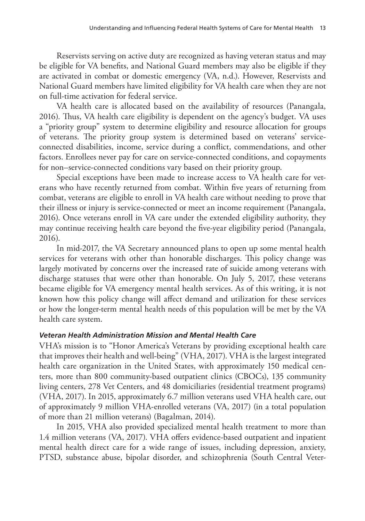Reservists serving on active duty are recognized as having veteran status and may be eligible for VA benefits, and National Guard members may also be eligible if they are activated in combat or domestic emergency (VA, n.d.). However, Reservists and National Guard members have limited eligibility for VA health care when they are not on full-time activation for federal service.

VA health care is allocated based on the availability of resources (Panangala, 2016). Thus, VA health care eligibility is dependent on the agency's budget. VA uses a "priority group" system to determine eligibility and resource allocation for groups of veterans. The priority group system is determined based on veterans' serviceconnected disabilities, income, service during a conflict, commendations, and other factors. Enrollees never pay for care on service-connected conditions, and copayments for non–service-connected conditions vary based on their priority group.

Special exceptions have been made to increase access to VA health care for veterans who have recently returned from combat. Within five years of returning from combat, veterans are eligible to enroll in VA health care without needing to prove that their illness or injury is service-connected or meet an income requirement (Panangala, 2016). Once veterans enroll in VA care under the extended eligibility authority, they may continue receiving health care beyond the five-year eligibility period (Panangala, 2016).

In mid-2017, the VA Secretary announced plans to open up some mental health services for veterans with other than honorable discharges. This policy change was largely motivated by concerns over the increased rate of suicide among veterans with discharge statuses that were other than honorable. On July 5, 2017, these veterans became eligible for VA emergency mental health services. As of this writing, it is not known how this policy change will affect demand and utilization for these services or how the longer-term mental health needs of this population will be met by the VA health care system.

# *Veteran Health Administration Mission and Mental Health Care*

VHA's mission is to "Honor America's Veterans by providing exceptional health care that improves their health and well-being" (VHA, 2017). VHA is the largest integrated health care organization in the United States, with approximately 150 medical centers, more than 800 community-based outpatient clinics (CBOCs), 135 community living centers, 278 Vet Centers, and 48 domiciliaries (residential treatment programs) (VHA, 2017). In 2015, approximately 6.7 million veterans used VHA health care, out of approximately 9 million VHA-enrolled veterans (VA, 2017) (in a total population of more than 21 million veterans) (Bagalman, 2014).

In 2015, VHA also provided specialized mental health treatment to more than 1.4 million veterans (VA, 2017). VHA offers evidence-based outpatient and inpatient mental health direct care for a wide range of issues, including depression, anxiety, PTSD, substance abuse, bipolar disorder, and schizophrenia (South Central Veter-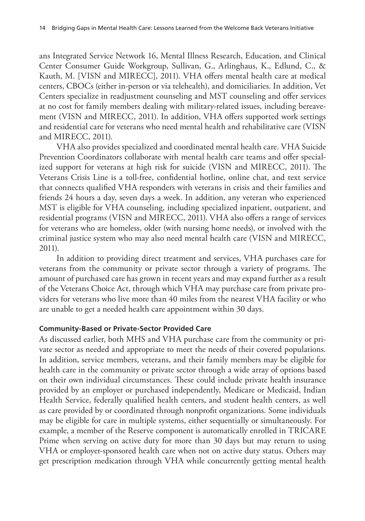ans Integrated Service Network 16, Mental Illness Research, Education, and Clinical Center Consumer Guide Workgroup, Sullivan, G., Arlinghaus, K., Edlund, C., & Kauth, M. [VISN and MIRECC], 2011). VHA offers mental health care at medical centers, CBOCs (either in-person or via telehealth), and domiciliaries. In addition, Vet Centers specialize in readjustment counseling and MST counseling and offer services at no cost for family members dealing with military-related issues, including bereavement (VISN and MIRECC, 2011). In addition, VHA offers supported work settings and residential care for veterans who need mental health and rehabilitative care (VISN and MIRECC, 2011).

VHA also provides specialized and coordinated mental health care. VHA Suicide Prevention Coordinators collaborate with mental health care teams and offer specialized support for veterans at high risk for suicide (VISN and MIRECC, 2011). The Veterans Crisis Line is a toll-free, confidential hotline, online chat, and text service that connects qualified VHA responders with veterans in crisis and their families and friends 24 hours a day, seven days a week. In addition, any veteran who experienced MST is eligible for VHA counseling, including specialized inpatient, outpatient, and residential programs (VISN and MIRECC, 2011). VHA also offers a range of services for veterans who are homeless, older (with nursing home needs), or involved with the criminal justice system who may also need mental health care (VISN and MIRECC, 2011).

In addition to providing direct treatment and services, VHA purchases care for veterans from the community or private sector through a variety of programs. The amount of purchased care has grown in recent years and may expand further as a result of the Veterans Choice Act, through which VHA may purchase care from private providers for veterans who live more than 40 miles from the nearest VHA facility or who are unable to get a needed health care appointment within 30 days.

#### **Community-Based or Private-Sector Provided Care**

As discussed earlier, both MHS and VHA purchase care from the community or private sector as needed and appropriate to meet the needs of their covered populations. In addition, service members, veterans, and their family members may be eligible for health care in the community or private sector through a wide array of options based on their own individual circumstances. These could include private health insurance provided by an employer or purchased independently, Medicare or Medicaid, Indian Health Service, federally qualified health centers, and student health centers, as well as care provided by or coordinated through nonprofit organizations. Some individuals may be eligible for care in multiple systems, either sequentially or simultaneously. For example, a member of the Reserve component is automatically enrolled in TRICARE Prime when serving on active duty for more than 30 days but may return to using VHA or employer-sponsored health care when not on active duty status. Others may get prescription medication through VHA while concurrently getting mental health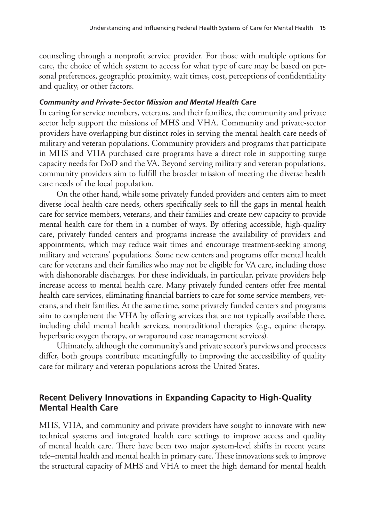counseling through a nonprofit service provider. For those with multiple options for care, the choice of which system to access for what type of care may be based on personal preferences, geographic proximity, wait times, cost, perceptions of confidentiality and quality, or other factors.

#### *Community and Private-Sector Mission and Mental Health Care*

In caring for service members, veterans, and their families, the community and private sector help support the missions of MHS and VHA. Community and private-sector providers have overlapping but distinct roles in serving the mental health care needs of military and veteran populations. Community providers and programs that participate in MHS and VHA purchased care programs have a direct role in supporting surge capacity needs for DoD and the VA. Beyond serving military and veteran populations, community providers aim to fulfill the broader mission of meeting the diverse health care needs of the local population.

On the other hand, while some privately funded providers and centers aim to meet diverse local health care needs, others specifically seek to fill the gaps in mental health care for service members, veterans, and their families and create new capacity to provide mental health care for them in a number of ways. By offering accessible, high-quality care, privately funded centers and programs increase the availability of providers and appointments, which may reduce wait times and encourage treatment-seeking among military and veterans' populations. Some new centers and programs offer mental health care for veterans and their families who may not be eligible for VA care, including those with dishonorable discharges. For these individuals, in particular, private providers help increase access to mental health care. Many privately funded centers offer free mental health care services, eliminating financial barriers to care for some service members, veterans, and their families. At the same time, some privately funded centers and programs aim to complement the VHA by offering services that are not typically available there, including child mental health services, nontraditional therapies (e.g., equine therapy, hyperbaric oxygen therapy, or wraparound case management services).

Ultimately, although the community's and private sector's purviews and processes differ, both groups contribute meaningfully to improving the accessibility of quality care for military and veteran populations across the United States.

# **Recent Delivery Innovations in Expanding Capacity to High-Quality Mental Health Care**

MHS, VHA, and community and private providers have sought to innovate with new technical systems and integrated health care settings to improve access and quality of mental health care. There have been two major system-level shifts in recent years: tele–mental health and mental health in primary care. These innovations seek to improve the structural capacity of MHS and VHA to meet the high demand for mental health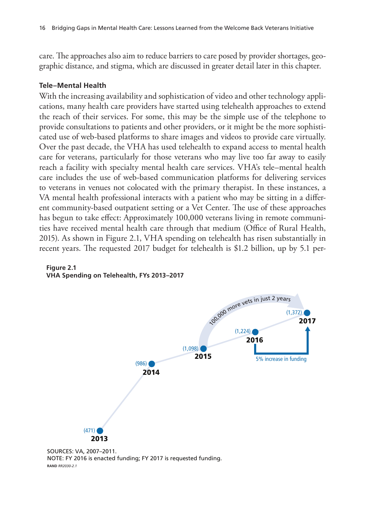care. The approaches also aim to reduce barriers to care posed by provider shortages, geographic distance, and stigma, which are discussed in greater detail later in this chapter.

#### **Tele–Mental Health**

With the increasing availability and sophistication of video and other technology applications, many health care providers have started using telehealth approaches to extend the reach of their services. For some, this may be the simple use of the telephone to provide consultations to patients and other providers, or it might be the more sophisticated use of web-based platforms to share images and videos to provide care virtually. Over the past decade, the VHA has used telehealth to expand access to mental health care for veterans, particularly for those veterans who may live too far away to easily reach a facility with specialty mental health care services. VHA's tele–mental health care includes the use of web-based communication platforms for delivering services to veterans in venues not colocated with the primary therapist. In these instances, a VA mental health professional interacts with a patient who may be sitting in a different community-based outpatient setting or a Vet Center. The use of these approaches has begun to take effect: Approximately 100,000 veterans living in remote communities have received mental health care through that medium (Office of Rural Health, 2015). As shown in Figure 2.1, VHA spending on telehealth has risen substantially in recent years. The requested 2017 budget for telehealth is \$1.2 billion, up by 5.1 per-

#### **Figure 2.1 VHA Spending on Telehealth, FYs 2013–2017**



SOURCES: VA, 2007–2011. NOTE: FY 2016 is enacted funding; FY 2017 is requested funding. **RAND** *RR2030-2.1*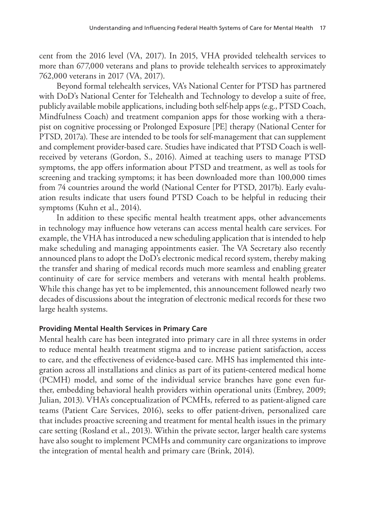cent from the 2016 level (VA, 2017). In 2015, VHA provided telehealth services to more than 677,000 veterans and plans to provide telehealth services to approximately 762,000 veterans in 2017 (VA, 2017).

Beyond formal telehealth services, VA's National Center for PTSD has partnered with DoD's National Center for Telehealth and Technology to develop a suite of free, publicly available mobile applications, including both self-help apps (e.g., PTSD Coach, Mindfulness Coach) and treatment companion apps for those working with a therapist on cognitive processing or Prolonged Exposure [PE] therapy (National Center for PTSD, 2017a). These are intended to be tools for self-management that can supplement and complement provider-based care. Studies have indicated that PTSD Coach is wellreceived by veterans (Gordon, S., 2016). Aimed at teaching users to manage PTSD symptoms, the app offers information about PTSD and treatment, as well as tools for screening and tracking symptoms; it has been downloaded more than 100,000 times from 74 countries around the world (National Center for PTSD, 2017b). Early evaluation results indicate that users found PTSD Coach to be helpful in reducing their symptoms (Kuhn et al., 2014).

In addition to these specific mental health treatment apps, other advancements in technology may influence how veterans can access mental health care services. For example, the VHA has introduced a new scheduling application that is intended to help make scheduling and managing appointments easier. The VA Secretary also recently announced plans to adopt the DoD's electronic medical record system, thereby making the transfer and sharing of medical records much more seamless and enabling greater continuity of care for service members and veterans with mental health problems. While this change has yet to be implemented, this announcement followed nearly two decades of discussions about the integration of electronic medical records for these two large health systems.

# **Providing Mental Health Services in Primary Care**

Mental health care has been integrated into primary care in all three systems in order to reduce mental health treatment stigma and to increase patient satisfaction, access to care, and the effectiveness of evidence-based care. MHS has implemented this integration across all installations and clinics as part of its patient-centered medical home (PCMH) model, and some of the individual service branches have gone even further, embedding behavioral health providers within operational units (Embrey, 2009; Julian, 2013). VHA's conceptualization of PCMHs, referred to as patient-aligned care teams (Patient Care Services, 2016), seeks to offer patient-driven, personalized care that includes proactive screening and treatment for mental health issues in the primary care setting (Rosland et al., 2013). Within the private sector, larger health care systems have also sought to implement PCMHs and community care organizations to improve the integration of mental health and primary care (Brink, 2014).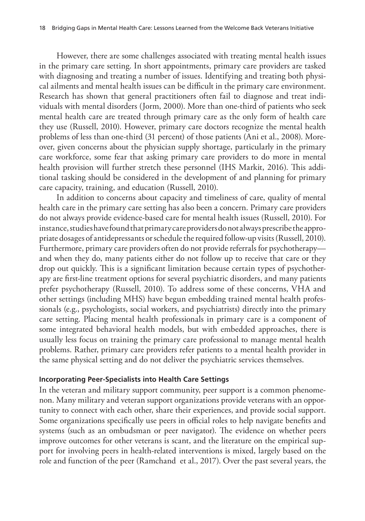However, there are some challenges associated with treating mental health issues in the primary care setting. In short appointments, primary care providers are tasked with diagnosing and treating a number of issues. Identifying and treating both physical ailments and mental health issues can be difficult in the primary care environment. Research has shown that general practitioners often fail to diagnose and treat individuals with mental disorders (Jorm, 2000). More than one-third of patients who seek mental health care are treated through primary care as the only form of health care they use (Russell, 2010). However, primary care doctors recognize the mental health problems of less than one-third (31 percent) of those patients (Ani et al., 2008). Moreover, given concerns about the physician supply shortage, particularly in the primary care workforce, some fear that asking primary care providers to do more in mental health provision will further stretch these personnel (IHS Markit, 2016). This additional tasking should be considered in the development of and planning for primary care capacity, training, and education (Russell, 2010).

In addition to concerns about capacity and timeliness of care, quality of mental health care in the primary care setting has also been a concern. Primary care providers do not always provide evidence-based care for mental health issues (Russell, 2010). For instance, studies have found that primary care providers do not always prescribe the appropriate dosages of antidepressants or schedule the required follow-up visits (Russell, 2010). Furthermore, primary care providers often do not provide referrals for psychotherapy and when they do, many patients either do not follow up to receive that care or they drop out quickly. This is a significant limitation because certain types of psychotherapy are first-line treatment options for several psychiatric disorders, and many patients prefer psychotherapy (Russell, 2010). To address some of these concerns, VHA and other settings (including MHS) have begun embedding trained mental health professionals (e.g., psychologists, social workers, and psychiatrists) directly into the primary care setting. Placing mental health professionals in primary care is a component of some integrated behavioral health models, but with embedded approaches, there is usually less focus on training the primary care professional to manage mental health problems. Rather, primary care providers refer patients to a mental health provider in the same physical setting and do not deliver the psychiatric services themselves.

#### **Incorporating Peer-Specialists into Health Care Settings**

In the veteran and military support community, peer support is a common phenomenon. Many military and veteran support organizations provide veterans with an opportunity to connect with each other, share their experiences, and provide social support. Some organizations specifically use peers in official roles to help navigate benefits and systems (such as an ombudsman or peer navigator). The evidence on whether peers improve outcomes for other veterans is scant, and the literature on the empirical support for involving peers in health-related interventions is mixed, largely based on the role and function of the peer (Ramchand et al., 2017). Over the past several years, the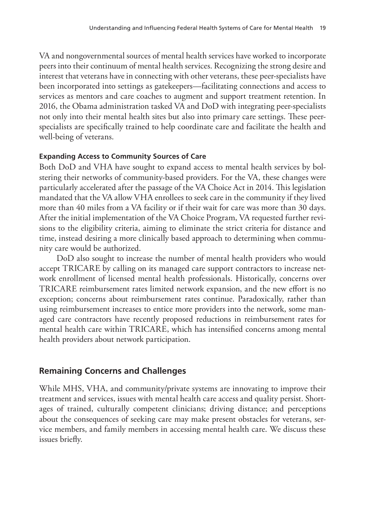VA and nongovernmental sources of mental health services have worked to incorporate peers into their continuum of mental health services. Recognizing the strong desire and interest that veterans have in connecting with other veterans, these peer-specialists have been incorporated into settings as gatekeepers—facilitating connections and access to services as mentors and care coaches to augment and support treatment retention. In 2016, the Obama administration tasked VA and DoD with integrating peer-specialists not only into their mental health sites but also into primary care settings. These peerspecialists are specifically trained to help coordinate care and facilitate the health and well-being of veterans.

### **Expanding Access to Community Sources of Care**

Both DoD and VHA have sought to expand access to mental health services by bolstering their networks of community-based providers. For the VA, these changes were particularly accelerated after the passage of the VA Choice Act in 2014. This legislation mandated that the VA allow VHA enrollees to seek care in the community if they lived more than 40 miles from a VA facility or if their wait for care was more than 30 days. After the initial implementation of the VA Choice Program, VA requested further revisions to the eligibility criteria, aiming to eliminate the strict criteria for distance and time, instead desiring a more clinically based approach to determining when community care would be authorized.

DoD also sought to increase the number of mental health providers who would accept TRICARE by calling on its managed care support contractors to increase network enrollment of licensed mental health professionals. Historically, concerns over TRICARE reimbursement rates limited network expansion, and the new effort is no exception; concerns about reimbursement rates continue. Paradoxically, rather than using reimbursement increases to entice more providers into the network, some managed care contractors have recently proposed reductions in reimbursement rates for mental health care within TRICARE, which has intensified concerns among mental health providers about network participation.

# **Remaining Concerns and Challenges**

While MHS, VHA, and community/private systems are innovating to improve their treatment and services, issues with mental health care access and quality persist. Shortages of trained, culturally competent clinicians; driving distance; and perceptions about the consequences of seeking care may make present obstacles for veterans, service members, and family members in accessing mental health care. We discuss these issues briefly.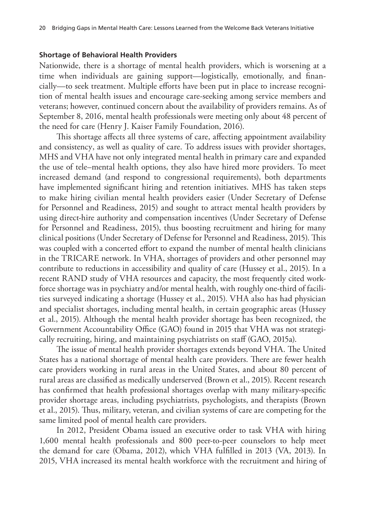#### **Shortage of Behavioral Health Providers**

Nationwide, there is a shortage of mental health providers, which is worsening at a time when individuals are gaining support—logistically, emotionally, and financially—to seek treatment. Multiple efforts have been put in place to increase recognition of mental health issues and encourage care-seeking among service members and veterans; however, continued concern about the availability of providers remains. As of September 8, 2016, mental health professionals were meeting only about 48 percent of the need for care (Henry J. Kaiser Family Foundation, 2016).

This shortage affects all three systems of care, affecting appointment availability and consistency, as well as quality of care. To address issues with provider shortages, MHS and VHA have not only integrated mental health in primary care and expanded the use of tele–mental health options, they also have hired more providers. To meet increased demand (and respond to congressional requirements), both departments have implemented significant hiring and retention initiatives. MHS has taken steps to make hiring civilian mental health providers easier (Under Secretary of Defense for Personnel and Readiness, 2015) and sought to attract mental health providers by using direct-hire authority and compensation incentives (Under Secretary of Defense for Personnel and Readiness, 2015), thus boosting recruitment and hiring for many clinical positions (Under Secretary of Defense for Personnel and Readiness, 2015). This was coupled with a concerted effort to expand the number of mental health clinicians in the TRICARE network. In VHA, shortages of providers and other personnel may contribute to reductions in accessibility and quality of care (Hussey et al., 2015). In a recent RAND study of VHA resources and capacity, the most frequently cited workforce shortage was in psychiatry and/or mental health, with roughly one-third of facilities surveyed indicating a shortage (Hussey et al., 2015). VHA also has had physician and specialist shortages, including mental health, in certain geographic areas (Hussey et al., 2015). Although the mental health provider shortage has been recognized, the Government Accountability Office (GAO) found in 2015 that VHA was not strategically recruiting, hiring, and maintaining psychiatrists on staff (GAO, 2015a).

The issue of mental health provider shortages extends beyond VHA. The United States has a national shortage of mental health care providers. There are fewer health care providers working in rural areas in the United States, and about 80 percent of rural areas are classified as medically underserved (Brown et al., 2015). Recent research has confirmed that health professional shortages overlap with many military-specific provider shortage areas, including psychiatrists, psychologists, and therapists (Brown et al., 2015). Thus, military, veteran, and civilian systems of care are competing for the same limited pool of mental health care providers.

In 2012, President Obama issued an executive order to task VHA with hiring 1,600 mental health professionals and 800 peer-to-peer counselors to help meet the demand for care (Obama, 2012), which VHA fulfilled in 2013 (VA, 2013). In 2015, VHA increased its mental health workforce with the recruitment and hiring of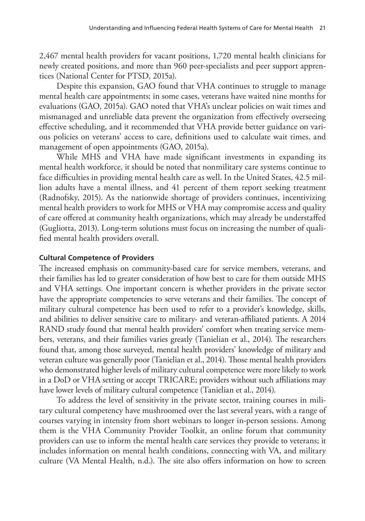2,467 mental health providers for vacant positions, 1,720 mental health clinicians for newly created positions, and more than 960 peer-specialists and peer support apprentices (National Center for PTSD, 2015a).

Despite this expansion, GAO found that VHA continues to struggle to manage mental health care appointments; in some cases, veterans have waited nine months for evaluations (GAO, 2015a). GAO noted that VHA's unclear policies on wait times and mismanaged and unreliable data prevent the organization from effectively overseeing effective scheduling, and it recommended that VHA provide better guidance on various policies on veterans' access to care, definitions used to calculate wait times, and management of open appointments (GAO, 2015a).

While MHS and VHA have made significant investments in expanding its mental health workforce, it should be noted that nonmilitary care systems continue to face difficulties in providing mental health care as well. In the United States, 42.5 million adults have a mental illness, and 41 percent of them report seeking treatment (Radnofsky, 2015). As the nationwide shortage of providers continues, incentivizing mental health providers to work for MHS or VHA may compromise access and quality of care offered at community health organizations, which may already be understaffed (Gugliotta, 2013). Long-term solutions must focus on increasing the number of qualified mental health providers overall.

#### **Cultural Competence of Providers**

The increased emphasis on community-based care for service members, veterans, and their families has led to greater consideration of how best to care for them outside MHS and VHA settings. One important concern is whether providers in the private sector have the appropriate competencies to serve veterans and their families. The concept of military cultural competence has been used to refer to a provider's knowledge, skills, and abilities to deliver sensitive care to military- and veteran-affiliated patients. A 2014 RAND study found that mental health providers' comfort when treating service members, veterans, and their families varies greatly (Tanielian et al., 2014). The researchers found that, among those surveyed, mental health providers' knowledge of military and veteran culture was generally poor (Tanielian et al., 2014). Those mental health providers who demonstrated higher levels of military cultural competence were more likely to work in a DoD or VHA setting or accept TRICARE; providers without such affiliations may have lower levels of military cultural competence (Tanielian et al., 2014).

To address the level of sensitivity in the private sector, training courses in military cultural competency have mushroomed over the last several years, with a range of courses varying in intensity from short webinars to longer in-person sessions. Among them is the VHA Community Provider Toolkit, an online forum that community providers can use to inform the mental health care services they provide to veterans; it includes information on mental health conditions, connecting with VA, and military culture (VA Mental Health, n.d.). The site also offers information on how to screen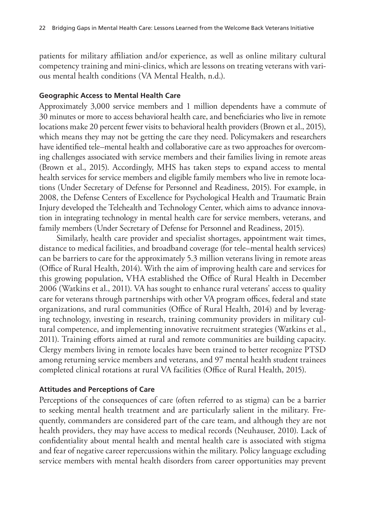patients for military affiliation and/or experience, as well as online military cultural competency training and mini-clinics, which are lessons on treating veterans with various mental health conditions (VA Mental Health, n.d.).

#### **Geographic Access to Mental Health Care**

Approximately 3,000 service members and 1 million dependents have a commute of 30 minutes or more to access behavioral health care, and beneficiaries who live in remote locations make 20 percent fewer visits to behavioral health providers (Brown et al., 2015), which means they may not be getting the care they need. Policymakers and researchers have identified tele–mental health and collaborative care as two approaches for overcoming challenges associated with service members and their families living in remote areas (Brown et al., 2015). Accordingly, MHS has taken steps to expand access to mental health services for service members and eligible family members who live in remote locations (Under Secretary of Defense for Personnel and Readiness, 2015). For example, in 2008, the Defense Centers of Excellence for Psychological Health and Traumatic Brain Injury developed the Telehealth and Technology Center, which aims to advance innovation in integrating technology in mental health care for service members, veterans, and family members (Under Secretary of Defense for Personnel and Readiness, 2015).

Similarly, health care provider and specialist shortages, appointment wait times, distance to medical facilities, and broadband coverage (for tele–mental health services) can be barriers to care for the approximately 5.3 million veterans living in remote areas (Office of Rural Health, 2014). With the aim of improving health care and services for this growing population, VHA established the Office of Rural Health in December 2006 (Watkins et al., 2011). VA has sought to enhance rural veterans' access to quality care for veterans through partnerships with other VA program offices, federal and state organizations, and rural communities (Office of Rural Health, 2014) and by leveraging technology, investing in research, training community providers in military cultural competence, and implementing innovative recruitment strategies (Watkins et al., 2011). Training efforts aimed at rural and remote communities are building capacity. Clergy members living in remote locales have been trained to better recognize PTSD among returning service members and veterans, and 97 mental health student trainees completed clinical rotations at rural VA facilities (Office of Rural Health, 2015).

#### **Attitudes and Perceptions of Care**

Perceptions of the consequences of care (often referred to as stigma) can be a barrier to seeking mental health treatment and are particularly salient in the military. Frequently, commanders are considered part of the care team, and although they are not health providers, they may have access to medical records (Neuhauser, 2010). Lack of confidentiality about mental health and mental health care is associated with stigma and fear of negative career repercussions within the military. Policy language excluding service members with mental health disorders from career opportunities may prevent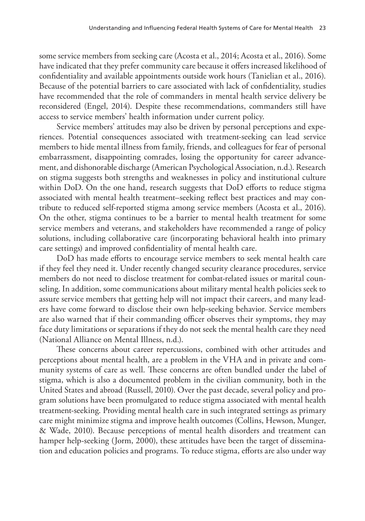some service members from seeking care (Acosta et al., 2014; Acosta et al., 2016). Some have indicated that they prefer community care because it offers increased likelihood of confidentiality and available appointments outside work hours (Tanielian et al., 2016). Because of the potential barriers to care associated with lack of confidentiality, studies have recommended that the role of commanders in mental health service delivery be reconsidered (Engel, 2014). Despite these recommendations, commanders still have access to service members' health information under current policy.

Service members' attitudes may also be driven by personal perceptions and experiences. Potential consequences associated with treatment-seeking can lead service members to hide mental illness from family, friends, and colleagues for fear of personal embarrassment, disappointing comrades, losing the opportunity for career advancement, and dishonorable discharge (American Psychological Association, n.d.). Research on stigma suggests both strengths and weaknesses in policy and institutional culture within DoD. On the one hand, research suggests that DoD efforts to reduce stigma associated with mental health treatment–seeking reflect best practices and may contribute to reduced self-reported stigma among service members (Acosta et al., 2016). On the other, stigma continues to be a barrier to mental health treatment for some service members and veterans, and stakeholders have recommended a range of policy solutions, including collaborative care (incorporating behavioral health into primary care settings) and improved confidentiality of mental health care.

DoD has made efforts to encourage service members to seek mental health care if they feel they need it. Under recently changed security clearance procedures, service members do not need to disclose treatment for combat-related issues or marital counseling. In addition, some communications about military mental health policies seek to assure service members that getting help will not impact their careers, and many leaders have come forward to disclose their own help-seeking behavior. Service members are also warned that if their commanding officer observes their symptoms, they may face duty limitations or separations if they do not seek the mental health care they need (National Alliance on Mental Illness, n.d.).

These concerns about career repercussions, combined with other attitudes and perceptions about mental health, are a problem in the VHA and in private and community systems of care as well. These concerns are often bundled under the label of stigma, which is also a documented problem in the civilian community, both in the United States and abroad (Russell, 2010). Over the past decade, several policy and program solutions have been promulgated to reduce stigma associated with mental health treatment-seeking. Providing mental health care in such integrated settings as primary care might minimize stigma and improve health outcomes (Collins, Hewson, Munger, & Wade, 2010). Because perceptions of mental health disorders and treatment can hamper help-seeking (Jorm, 2000), these attitudes have been the target of dissemination and education policies and programs. To reduce stigma, efforts are also under way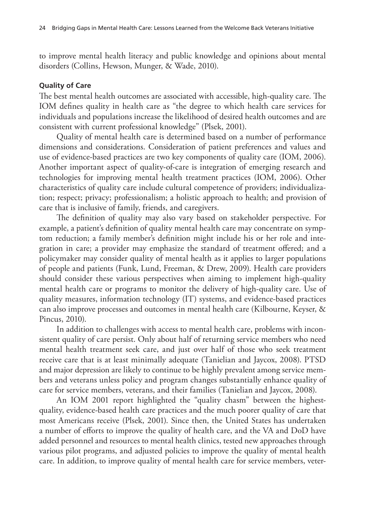to improve mental health literacy and public knowledge and opinions about mental disorders (Collins, Hewson, Munger, & Wade, 2010).

#### **Quality of Care**

The best mental health outcomes are associated with accessible, high-quality care. The IOM defines quality in health care as "the degree to which health care services for individuals and populations increase the likelihood of desired health outcomes and are consistent with current professional knowledge" (Plsek, 2001).

Quality of mental health care is determined based on a number of performance dimensions and considerations. Consideration of patient preferences and values and use of evidence-based practices are two key components of quality care (IOM, 2006). Another important aspect of quality-of-care is integration of emerging research and technologies for improving mental health treatment practices (IOM, 2006). Other characteristics of quality care include cultural competence of providers; individualization; respect; privacy; professionalism; a holistic approach to health; and provision of care that is inclusive of family, friends, and caregivers.

The definition of quality may also vary based on stakeholder perspective. For example, a patient's definition of quality mental health care may concentrate on symptom reduction; a family member's definition might include his or her role and integration in care; a provider may emphasize the standard of treatment offered; and a policymaker may consider quality of mental health as it applies to larger populations of people and patients (Funk, Lund, Freeman, & Drew, 2009). Health care providers should consider these various perspectives when aiming to implement high-quality mental health care or programs to monitor the delivery of high-quality care. Use of quality measures, information technology (IT) systems, and evidence-based practices can also improve processes and outcomes in mental health care (Kilbourne, Keyser, & Pincus, 2010).

In addition to challenges with access to mental health care, problems with inconsistent quality of care persist. Only about half of returning service members who need mental health treatment seek care, and just over half of those who seek treatment receive care that is at least minimally adequate (Tanielian and Jaycox, 2008). PTSD and major depression are likely to continue to be highly prevalent among service members and veterans unless policy and program changes substantially enhance quality of care for service members, veterans, and their families (Tanielian and Jaycox, 2008).

An IOM 2001 report highlighted the "quality chasm" between the highestquality, evidence-based health care practices and the much poorer quality of care that most Americans receive (Plsek, 2001). Since then, the United States has undertaken a number of efforts to improve the quality of health care, and the VA and DoD have added personnel and resources to mental health clinics, tested new approaches through various pilot programs, and adjusted policies to improve the quality of mental health care. In addition, to improve quality of mental health care for service members, veter-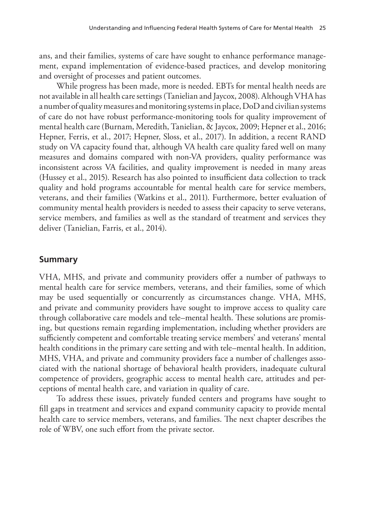ans, and their families, systems of care have sought to enhance performance management, expand implementation of evidence-based practices, and develop monitoring and oversight of processes and patient outcomes.

While progress has been made, more is needed. EBTs for mental health needs are not available in all health care settings (Tanielian and Jaycox, 2008). Although VHA has a number of quality measures and monitoring systems in place, DoD and civilian systems of care do not have robust performance-monitoring tools for quality improvement of mental health care (Burnam, Meredith, Tanielian, & Jaycox, 2009; Hepner et al., 2016; Hepner, Ferris, et al., 2017; Hepner, Sloss, et al., 2017). In addition, a recent RAND study on VA capacity found that, although VA health care quality fared well on many measures and domains compared with non-VA providers, quality performance was inconsistent across VA facilities, and quality improvement is needed in many areas (Hussey et al., 2015). Research has also pointed to insufficient data collection to track quality and hold programs accountable for mental health care for service members, veterans, and their families (Watkins et al., 2011). Furthermore, better evaluation of community mental health providers is needed to assess their capacity to serve veterans, service members, and families as well as the standard of treatment and services they deliver (Tanielian, Farris, et al., 2014).

#### **Summary**

VHA, MHS, and private and community providers offer a number of pathways to mental health care for service members, veterans, and their families, some of which may be used sequentially or concurrently as circumstances change. VHA, MHS, and private and community providers have sought to improve access to quality care through collaborative care models and tele–mental health. These solutions are promising, but questions remain regarding implementation, including whether providers are sufficiently competent and comfortable treating service members' and veterans' mental health conditions in the primary care setting and with tele–mental health. In addition, MHS, VHA, and private and community providers face a number of challenges associated with the national shortage of behavioral health providers, inadequate cultural competence of providers, geographic access to mental health care, attitudes and perceptions of mental health care, and variation in quality of care.

To address these issues, privately funded centers and programs have sought to fill gaps in treatment and services and expand community capacity to provide mental health care to service members, veterans, and families. The next chapter describes the role of WBV, one such effort from the private sector.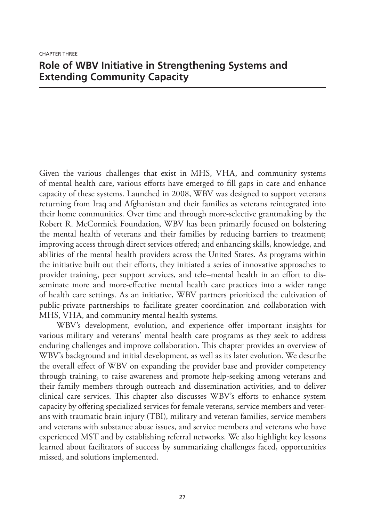# **Role of WBV Initiative in Strengthening Systems and Extending Community Capacity**

Given the various challenges that exist in MHS, VHA, and community systems of mental health care, various efforts have emerged to fill gaps in care and enhance capacity of these systems. Launched in 2008, WBV was designed to support veterans returning from Iraq and Afghanistan and their families as veterans reintegrated into their home communities. Over time and through more-selective grantmaking by the Robert R. McCormick Foundation, WBV has been primarily focused on bolstering the mental health of veterans and their families by reducing barriers to treatment; improving access through direct services offered; and enhancing skills, knowledge, and abilities of the mental health providers across the United States. As programs within the initiative built out their efforts, they initiated a series of innovative approaches to provider training, peer support services, and tele–mental health in an effort to disseminate more and more-effective mental health care practices into a wider range of health care settings. As an initiative, WBV partners prioritized the cultivation of public-private partnerships to facilitate greater coordination and collaboration with MHS, VHA, and community mental health systems.

WBV's development, evolution, and experience offer important insights for various military and veterans' mental health care programs as they seek to address enduring challenges and improve collaboration. This chapter provides an overview of WBV's background and initial development, as well as its later evolution. We describe the overall effect of WBV on expanding the provider base and provider competency through training, to raise awareness and promote help-seeking among veterans and their family members through outreach and dissemination activities, and to deliver clinical care services. This chapter also discusses WBV's efforts to enhance system capacity by offering specialized services for female veterans, service members and veterans with traumatic brain injury (TBI), military and veteran families, service members and veterans with substance abuse issues, and service members and veterans who have experienced MST and by establishing referral networks. We also highlight key lessons learned about facilitators of success by summarizing challenges faced, opportunities missed, and solutions implemented.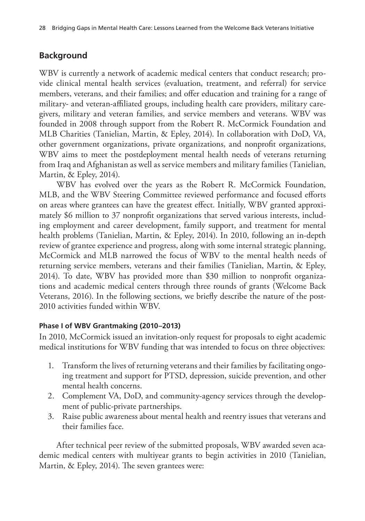# **Background**

WBV is currently a network of academic medical centers that conduct research; provide clinical mental health services (evaluation, treatment, and referral) for service members, veterans, and their families; and offer education and training for a range of military- and veteran-affiliated groups, including health care providers, military caregivers, military and veteran families, and service members and veterans. WBV was founded in 2008 through support from the Robert R. McCormick Foundation and MLB Charities (Tanielian, Martin, & Epley, 2014). In collaboration with DoD, VA, other government organizations, private organizations, and nonprofit organizations, WBV aims to meet the postdeployment mental health needs of veterans returning from Iraq and Afghanistan as well as service members and military families (Tanielian, Martin, & Epley, 2014).

WBV has evolved over the years as the Robert R. McCormick Foundation, MLB, and the WBV Steering Committee reviewed performance and focused efforts on areas where grantees can have the greatest effect. Initially, WBV granted approximately \$6 million to 37 nonprofit organizations that served various interests, including employment and career development, family support, and treatment for mental health problems (Tanielian, Martin, & Epley, 2014). In 2010, following an in-depth review of grantee experience and progress, along with some internal strategic planning, McCormick and MLB narrowed the focus of WBV to the mental health needs of returning service members, veterans and their families (Tanielian, Martin, & Epley, 2014). To date, WBV has provided more than \$30 million to nonprofit organizations and academic medical centers through three rounds of grants (Welcome Back Veterans, 2016). In the following sections, we briefly describe the nature of the post-2010 activities funded within WBV.

### **Phase I of WBV Grantmaking (2010–2013)**

In 2010, McCormick issued an invitation-only request for proposals to eight academic medical institutions for WBV funding that was intended to focus on three objectives:

- 1. Transform the lives of returning veterans and their families by facilitating ongoing treatment and support for PTSD, depression, suicide prevention, and other mental health concerns.
- 2. Complement VA, DoD, and community-agency services through the development of public-private partnerships.
- 3. Raise public awareness about mental health and reentry issues that veterans and their families face.

After technical peer review of the submitted proposals, WBV awarded seven academic medical centers with multiyear grants to begin activities in 2010 (Tanielian, Martin, & Epley, 2014). The seven grantees were: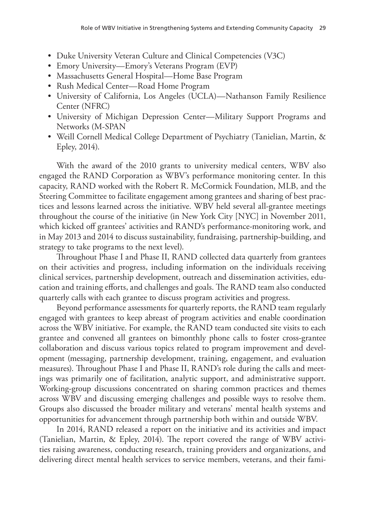- Duke University Veteran Culture and Clinical Competencies (V3C)
- Emory University—Emory's Veterans Program (EVP)
- Massachusetts General Hospital—Home Base Program
- Rush Medical Center—Road Home Program
- University of California, Los Angeles (UCLA)—Nathanson Family Resilience Center (NFRC)
- University of Michigan Depression Center—Military Support Programs and Networks (M-SPAN
- Weill Cornell Medical College Department of Psychiatry (Tanielian, Martin, & Epley, 2014).

With the award of the 2010 grants to university medical centers, WBV also engaged the RAND Corporation as WBV's performance monitoring center. In this capacity, RAND worked with the Robert R. McCormick Foundation, MLB, and the Steering Committee to facilitate engagement among grantees and sharing of best practices and lessons learned across the initiative. WBV held several all-grantee meetings throughout the course of the initiative (in New York City [NYC] in November 2011, which kicked off grantees' activities and RAND's performance-monitoring work, and in May 2013 and 2014 to discuss sustainability, fundraising, partnership-building, and strategy to take programs to the next level).

Throughout Phase I and Phase II, RAND collected data quarterly from grantees on their activities and progress, including information on the individuals receiving clinical services, partnership development, outreach and dissemination activities, education and training efforts, and challenges and goals. The RAND team also conducted quarterly calls with each grantee to discuss program activities and progress.

Beyond performance assessments for quarterly reports, the RAND team regularly engaged with grantees to keep abreast of program activities and enable coordination across the WBV initiative. For example, the RAND team conducted site visits to each grantee and convened all grantees on bimonthly phone calls to foster cross-grantee collaboration and discuss various topics related to program improvement and development (messaging, partnership development, training, engagement, and evaluation measures). Throughout Phase I and Phase II, RAND's role during the calls and meetings was primarily one of facilitation, analytic support, and administrative support. Working-group discussions concentrated on sharing common practices and themes across WBV and discussing emerging challenges and possible ways to resolve them. Groups also discussed the broader military and veterans' mental health systems and opportunities for advancement through partnership both within and outside WBV.

In 2014, RAND released a report on the initiative and its activities and impact (Tanielian, Martin, & Epley, 2014). The report covered the range of WBV activities raising awareness, conducting research, training providers and organizations, and delivering direct mental health services to service members, veterans, and their fami-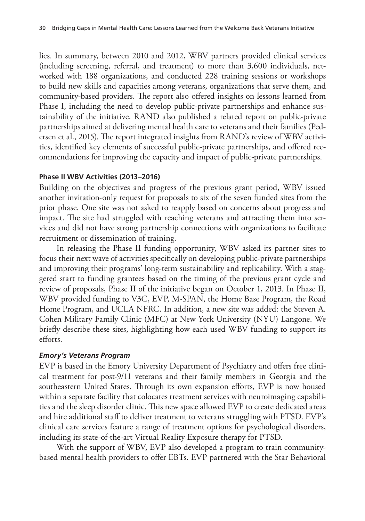lies. In summary, between 2010 and 2012, WBV partners provided clinical services (including screening, referral, and treatment) to more than 3,600 individuals, networked with 188 organizations, and conducted 228 training sessions or workshops to build new skills and capacities among veterans, organizations that serve them, and community-based providers. The report also offered insights on lessons learned from Phase I, including the need to develop public-private partnerships and enhance sustainability of the initiative. RAND also published a related report on public-private partnerships aimed at delivering mental health care to veterans and their families (Pedersen et al., 2015). The report integrated insights from RAND's review of WBV activities, identified key elements of successful public-private partnerships, and offered recommendations for improving the capacity and impact of public-private partnerships.

#### **Phase II WBV Activities (2013–2016)**

Building on the objectives and progress of the previous grant period, WBV issued another invitation-only request for proposals to six of the seven funded sites from the prior phase. One site was not asked to reapply based on concerns about progress and impact. The site had struggled with reaching veterans and attracting them into services and did not have strong partnership connections with organizations to facilitate recruitment or dissemination of training.

In releasing the Phase II funding opportunity, WBV asked its partner sites to focus their next wave of activities specifically on developing public-private partnerships and improving their programs' long-term sustainability and replicability. With a staggered start to funding grantees based on the timing of the previous grant cycle and review of proposals, Phase II of the initiative began on October 1, 2013. In Phase II, WBV provided funding to V3C, EVP, M-SPAN, the Home Base Program, the Road Home Program, and UCLA NFRC. In addition, a new site was added: the Steven A. Cohen Military Family Clinic (MFC) at New York University (NYU) Langone. We briefly describe these sites, highlighting how each used WBV funding to support its efforts.

### *Emory's Veterans Program*

EVP is based in the Emory University Department of Psychiatry and offers free clinical treatment for post-9/11 veterans and their family members in Georgia and the southeastern United States. Through its own expansion efforts, EVP is now housed within a separate facility that colocates treatment services with neuroimaging capabilities and the sleep disorder clinic. This new space allowed EVP to create dedicated areas and hire additional staff to deliver treatment to veterans struggling with PTSD. EVP's clinical care services feature a range of treatment options for psychological disorders, including its state-of-the-art Virtual Reality Exposure therapy for PTSD.

With the support of WBV, EVP also developed a program to train communitybased mental health providers to offer EBTs. EVP partnered with the Star Behavioral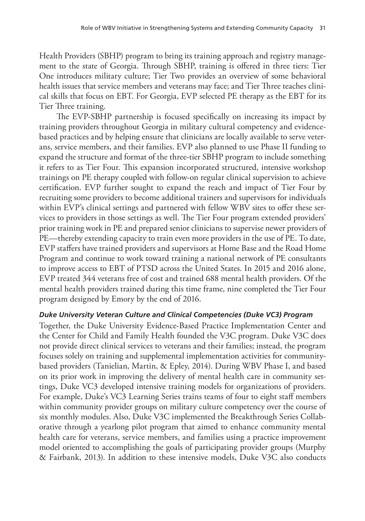Health Providers (SBHP) program to bring its training approach and registry management to the state of Georgia. Through SBHP, training is offered in three tiers: Tier One introduces military culture; Tier Two provides an overview of some behavioral health issues that service members and veterans may face; and Tier Three teaches clinical skills that focus on EBT. For Georgia, EVP selected PE therapy as the EBT for its Tier Three training.

The EVP-SBHP partnership is focused specifically on increasing its impact by training providers throughout Georgia in military cultural competency and evidencebased practices and by helping ensure that clinicians are locally available to serve veterans, service members, and their families. EVP also planned to use Phase II funding to expand the structure and format of the three-tier SBHP program to include something it refers to as Tier Four. This expansion incorporated structured, intensive workshop trainings on PE therapy coupled with follow-on regular clinical supervision to achieve certification. EVP further sought to expand the reach and impact of Tier Four by recruiting some providers to become additional trainers and supervisors for individuals within EVP's clinical settings and partnered with fellow WBV sites to offer these services to providers in those settings as well. The Tier Four program extended providers' prior training work in PE and prepared senior clinicians to supervise newer providers of PE—thereby extending capacity to train even more providers in the use of PE. To date, EVP staffers have trained providers and supervisors at Home Base and the Road Home Program and continue to work toward training a national network of PE consultants to improve access to EBT of PTSD across the United States. In 2015 and 2016 alone, EVP treated 344 veterans free of cost and trained 688 mental health providers. Of the mental health providers trained during this time frame, nine completed the Tier Four program designed by Emory by the end of 2016.

### *Duke University Veteran Culture and Clinical Competencies (Duke VC3) Program*

Together, the Duke University Evidence-Based Practice Implementation Center and the Center for Child and Family Health founded the V3C program. Duke V3C does not provide direct clinical services to veterans and their families; instead, the program focuses solely on training and supplemental implementation activities for communitybased providers (Tanielian, Martin, & Epley, 2014). During WBV Phase I, and based on its prior work in improving the delivery of mental health care in community settings, Duke VC3 developed intensive training models for organizations of providers. For example, Duke's VC3 Learning Series trains teams of four to eight staff members within community provider groups on military culture competency over the course of six monthly modules. Also, Duke V3C implemented the Breakthrough Series Collaborative through a yearlong pilot program that aimed to enhance community mental health care for veterans, service members, and families using a practice improvement model oriented to accomplishing the goals of participating provider groups (Murphy & Fairbank, 2013). In addition to these intensive models, Duke V3C also conducts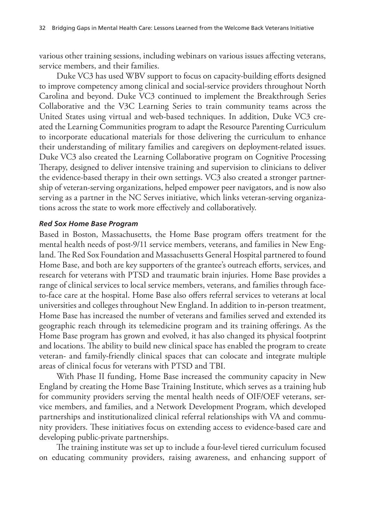various other training sessions, including webinars on various issues affecting veterans, service members, and their families.

Duke VC3 has used WBV support to focus on capacity-building efforts designed to improve competency among clinical and social-service providers throughout North Carolina and beyond. Duke VC3 continued to implement the Breakthrough Series Collaborative and the V3C Learning Series to train community teams across the United States using virtual and web-based techniques. In addition, Duke VC3 created the Learning Communities program to adapt the Resource Parenting Curriculum to incorporate educational materials for those delivering the curriculum to enhance their understanding of military families and caregivers on deployment-related issues. Duke VC3 also created the Learning Collaborative program on Cognitive Processing Therapy, designed to deliver intensive training and supervision to clinicians to deliver the evidence-based therapy in their own settings. VC3 also created a stronger partnership of veteran-serving organizations, helped empower peer navigators, and is now also serving as a partner in the NC Serves initiative, which links veteran-serving organizations across the state to work more effectively and collaboratively.

#### *Red Sox Home Base Program*

Based in Boston, Massachusetts, the Home Base program offers treatment for the mental health needs of post-9/11 service members, veterans, and families in New England. The Red Sox Foundation and Massachusetts General Hospital partnered to found Home Base, and both are key supporters of the grantee's outreach efforts, services, and research for veterans with PTSD and traumatic brain injuries. Home Base provides a range of clinical services to local service members, veterans, and families through faceto-face care at the hospital. Home Base also offers referral services to veterans at local universities and colleges throughout New England. In addition to in-person treatment, Home Base has increased the number of veterans and families served and extended its geographic reach through its telemedicine program and its training offerings. As the Home Base program has grown and evolved, it has also changed its physical footprint and locations. The ability to build new clinical space has enabled the program to create veteran- and family-friendly clinical spaces that can colocate and integrate multiple areas of clinical focus for veterans with PTSD and TBI.

With Phase II funding, Home Base increased the community capacity in New England by creating the Home Base Training Institute, which serves as a training hub for community providers serving the mental health needs of OIF/OEF veterans, service members, and families, and a Network Development Program, which developed partnerships and institutionalized clinical referral relationships with VA and community providers. These initiatives focus on extending access to evidence-based care and developing public-private partnerships.

The training institute was set up to include a four-level tiered curriculum focused on educating community providers, raising awareness, and enhancing support of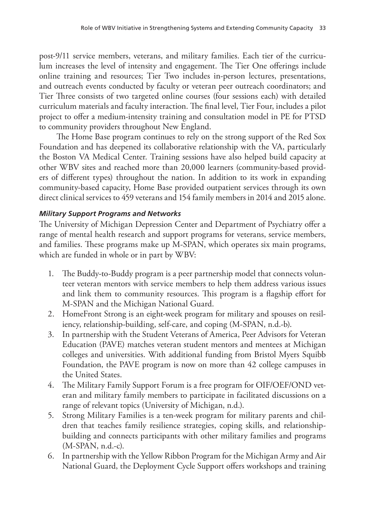post-9/11 service members, veterans, and military families. Each tier of the curriculum increases the level of intensity and engagement. The Tier One offerings include online training and resources; Tier Two includes in-person lectures, presentations, and outreach events conducted by faculty or veteran peer outreach coordinators; and Tier Three consists of two targeted online courses (four sessions each) with detailed curriculum materials and faculty interaction. The final level, Tier Four, includes a pilot project to offer a medium-intensity training and consultation model in PE for PTSD to community providers throughout New England.

The Home Base program continues to rely on the strong support of the Red Sox Foundation and has deepened its collaborative relationship with the VA, particularly the Boston VA Medical Center. Training sessions have also helped build capacity at other WBV sites and reached more than 20,000 learners (community-based providers of different types) throughout the nation. In addition to its work in expanding community-based capacity, Home Base provided outpatient services through its own direct clinical services to 459 veterans and 154 family members in 2014 and 2015 alone.

### *Military Support Programs and Networks*

The University of Michigan Depression Center and Department of Psychiatry offer a range of mental health research and support programs for veterans, service members, and families. These programs make up M-SPAN, which operates six main programs, which are funded in whole or in part by WBV:

- 1. The Buddy-to-Buddy program is a peer partnership model that connects volunteer veteran mentors with service members to help them address various issues and link them to community resources. This program is a flagship effort for M-SPAN and the Michigan National Guard.
- 2. HomeFront Strong is an eight-week program for military and spouses on resiliency, relationship-building, self-care, and coping (M-SPAN, n.d.-b).
- 3. In partnership with the Student Veterans of America, Peer Advisors for Veteran Education (PAVE) matches veteran student mentors and mentees at Michigan colleges and universities. With additional funding from Bristol Myers Squibb Foundation, the PAVE program is now on more than 42 college campuses in the United States.
- 4. The Military Family Support Forum is a free program for OIF/OEF/OND veteran and military family members to participate in facilitated discussions on a range of relevant topics (University of Michigan, n.d.).
- 5. Strong Military Families is a ten-week program for military parents and children that teaches family resilience strategies, coping skills, and relationshipbuilding and connects participants with other military families and programs (M-SPAN, n.d.-c).
- 6. In partnership with the Yellow Ribbon Program for the Michigan Army and Air National Guard, the Deployment Cycle Support offers workshops and training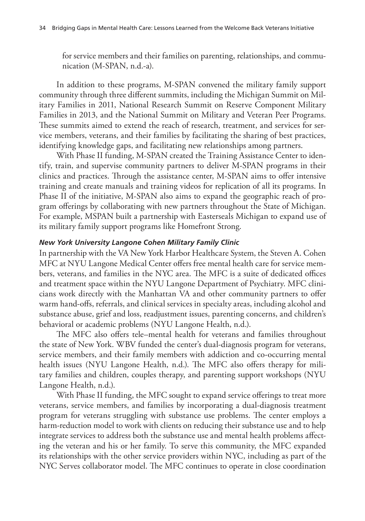for service members and their families on parenting, relationships, and communication (M-SPAN, n.d.-a).

In addition to these programs, M-SPAN convened the military family support community through three different summits, including the Michigan Summit on Military Families in 2011, National Research Summit on Reserve Component Military Families in 2013, and the National Summit on Military and Veteran Peer Programs. These summits aimed to extend the reach of research, treatment, and services for service members, veterans, and their families by facilitating the sharing of best practices, identifying knowledge gaps, and facilitating new relationships among partners.

With Phase II funding, M-SPAN created the Training Assistance Center to identify, train, and supervise community partners to deliver M-SPAN programs in their clinics and practices. Through the assistance center, M-SPAN aims to offer intensive training and create manuals and training videos for replication of all its programs. In Phase II of the initiative, M-SPAN also aims to expand the geographic reach of program offerings by collaborating with new partners throughout the State of Michigan. For example, MSPAN built a partnership with Easterseals Michigan to expand use of its military family support programs like Homefront Strong.

#### *New York University Langone Cohen Military Family Clinic*

In partnership with the VA New York Harbor Healthcare System, the Steven A. Cohen MFC at NYU Langone Medical Center offers free mental health care for service members, veterans, and families in the NYC area. The MFC is a suite of dedicated offices and treatment space within the NYU Langone Department of Psychiatry. MFC clinicians work directly with the Manhattan VA and other community partners to offer warm hand-offs, referrals, and clinical services in specialty areas, including alcohol and substance abuse, grief and loss, readjustment issues, parenting concerns, and children's behavioral or academic problems (NYU Langone Health, n.d.).

The MFC also offers tele–mental health for veterans and families throughout the state of New York. WBV funded the center's dual-diagnosis program for veterans, service members, and their family members with addiction and co-occurring mental health issues (NYU Langone Health, n.d.). The MFC also offers therapy for military families and children, couples therapy, and parenting support workshops (NYU Langone Health, n.d.).

With Phase II funding, the MFC sought to expand service offerings to treat more veterans, service members, and families by incorporating a dual-diagnosis treatment program for veterans struggling with substance use problems. The center employs a harm-reduction model to work with clients on reducing their substance use and to help integrate services to address both the substance use and mental health problems affecting the veteran and his or her family. To serve this community, the MFC expanded its relationships with the other service providers within NYC, including as part of the NYC Serves collaborator model. The MFC continues to operate in close coordination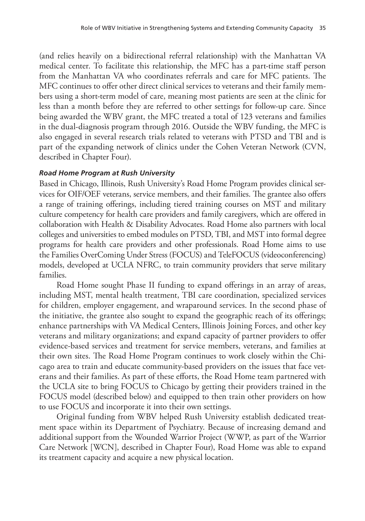(and relies heavily on a bidirectional referral relationship) with the Manhattan VA medical center. To facilitate this relationship, the MFC has a part-time staff person from the Manhattan VA who coordinates referrals and care for MFC patients. The MFC continues to offer other direct clinical services to veterans and their family members using a short-term model of care, meaning most patients are seen at the clinic for less than a month before they are referred to other settings for follow-up care. Since being awarded the WBV grant, the MFC treated a total of 123 veterans and families in the dual-diagnosis program through 2016. Outside the WBV funding, the MFC is also engaged in several research trials related to veterans with PTSD and TBI and is part of the expanding network of clinics under the Cohen Veteran Network (CVN, described in Chapter Four).

### *Road Home Program at Rush University*

Based in Chicago, Illinois, Rush University's Road Home Program provides clinical services for OIF/OEF veterans, service members, and their families. The grantee also offers a range of training offerings, including tiered training courses on MST and military culture competency for health care providers and family caregivers, which are offered in collaboration with Health & Disability Advocates. Road Home also partners with local colleges and universities to embed modules on PTSD, TBI, and MST into formal degree programs for health care providers and other professionals. Road Home aims to use the Families OverComing Under Stress (FOCUS) and TeleFOCUS (videoconferencing) models, developed at UCLA NFRC, to train community providers that serve military families.

Road Home sought Phase II funding to expand offerings in an array of areas, including MST, mental health treatment, TBI care coordination, specialized services for children, employer engagement, and wraparound services. In the second phase of the initiative, the grantee also sought to expand the geographic reach of its offerings; enhance partnerships with VA Medical Centers, Illinois Joining Forces, and other key veterans and military organizations; and expand capacity of partner providers to offer evidence-based services and treatment for service members, veterans, and families at their own sites. The Road Home Program continues to work closely within the Chicago area to train and educate community-based providers on the issues that face veterans and their families. As part of these efforts, the Road Home team partnered with the UCLA site to bring FOCUS to Chicago by getting their providers trained in the FOCUS model (described below) and equipped to then train other providers on how to use FOCUS and incorporate it into their own settings.

Original funding from WBV helped Rush University establish dedicated treatment space within its Department of Psychiatry. Because of increasing demand and additional support from the Wounded Warrior Project (WWP, as part of the Warrior Care Network [WCN], described in Chapter Four), Road Home was able to expand its treatment capacity and acquire a new physical location.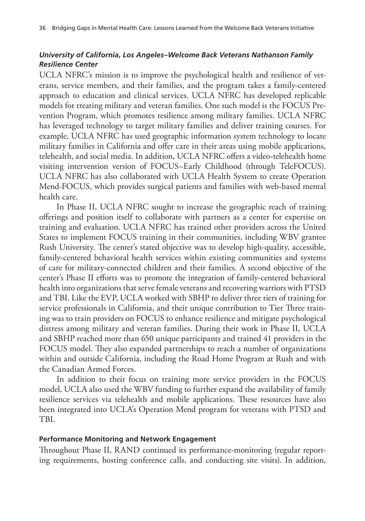#### *University of California, Los Angeles–Welcome Back Veterans Nathanson Family Resilience Center*

UCLA NFRC's mission is to improve the psychological health and resilience of veterans, service members, and their families, and the program takes a family-centered approach to education and clinical services. UCLA NFRC has developed replicable models for treating military and veteran families. One such model is the FOCUS Prevention Program, which promotes resilience among military families. UCLA NFRC has leveraged technology to target military families and deliver training courses. For example, UCLA NFRC has used geographic information system technology to locate military families in California and offer care in their areas using mobile applications, telehealth, and social media. In addition, UCLA NFRC offers a video-telehealth home visiting intervention version of FOCUS–Early Childhood (through TeleFOCUS). UCLA NFRC has also collaborated with UCLA Health System to create Operation Mend-FOCUS, which provides surgical patients and families with web-based mental health care.

In Phase II, UCLA NFRC sought to increase the geographic reach of training offerings and position itself to collaborate with partners as a center for expertise on training and evaluation. UCLA NFRC has trained other providers across the United States to implement FOCUS training in their communities, including WBV grantee Rush University. The center's stated objective was to develop high-quality, accessible, family-centered behavioral health services within existing communities and systems of care for military-connected children and their families. A second objective of the center's Phase II efforts was to promote the integration of family-centered behavioral health into organizations that serve female veterans and recovering warriors with PTSD and TBI. Like the EVP, UCLA worked with SBHP to deliver three tiers of training for service professionals in California, and their unique contribution to Tier Three training was to train providers on FOCUS to enhance resilience and mitigate psychological distress among military and veteran families. During their work in Phase II, UCLA and SBHP reached more than 650 unique participants and trained 41 providers in the FOCUS model. They also expanded partnerships to reach a number of organizations within and outside California, including the Road Home Program at Rush and with the Canadian Armed Forces.

In addition to their focus on training more service providers in the FOCUS model, UCLA also used the WBV funding to further expand the availability of family resilience services via telehealth and mobile applications. These resources have also been integrated into UCLA's Operation Mend program for veterans with PTSD and TBI.

#### **Performance Monitoring and Network Engagement**

Throughout Phase II, RAND continued its performance-monitoring (regular reporting requirements, hosting conference calls, and conducting site visits). In addition,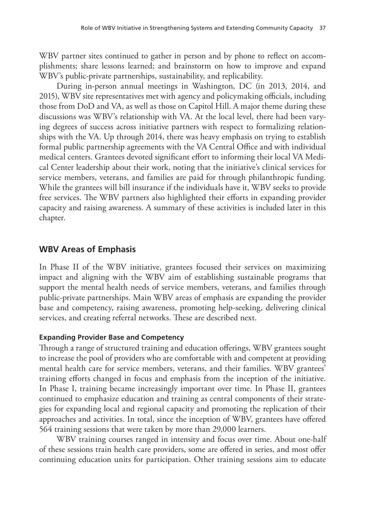WBV partner sites continued to gather in person and by phone to reflect on accomplishments; share lessons learned; and brainstorm on how to improve and expand WBV's public-private partnerships, sustainability, and replicability.

During in-person annual meetings in Washington, DC (in 2013, 2014, and 2015), WBV site representatives met with agency and policymaking officials, including those from DoD and VA, as well as those on Capitol Hill. A major theme during these discussions was WBV's relationship with VA. At the local level, there had been varying degrees of success across initiative partners with respect to formalizing relationships with the VA. Up through 2014, there was heavy emphasis on trying to establish formal public partnership agreements with the VA Central Office and with individual medical centers. Grantees devoted significant effort to informing their local VA Medical Center leadership about their work, noting that the initiative's clinical services for service members, veterans, and families are paid for through philanthropic funding. While the grantees will bill insurance if the individuals have it, WBV seeks to provide free services. The WBV partners also highlighted their efforts in expanding provider capacity and raising awareness. A summary of these activities is included later in this chapter.

# **WBV Areas of Emphasis**

In Phase II of the WBV initiative, grantees focused their services on maximizing impact and aligning with the WBV aim of establishing sustainable programs that support the mental health needs of service members, veterans, and families through public-private partnerships. Main WBV areas of emphasis are expanding the provider base and competency, raising awareness, promoting help-seeking, delivering clinical services, and creating referral networks. These are described next.

#### **Expanding Provider Base and Competency**

Through a range of structured training and education offerings, WBV grantees sought to increase the pool of providers who are comfortable with and competent at providing mental health care for service members, veterans, and their families. WBV grantees' training efforts changed in focus and emphasis from the inception of the initiative. In Phase I, training became increasingly important over time. In Phase II, grantees continued to emphasize education and training as central components of their strategies for expanding local and regional capacity and promoting the replication of their approaches and activities. In total, since the inception of WBV, grantees have offered 564 training sessions that were taken by more than 29,000 learners.

WBV training courses ranged in intensity and focus over time. About one-half of these sessions train health care providers, some are offered in series, and most offer continuing education units for participation. Other training sessions aim to educate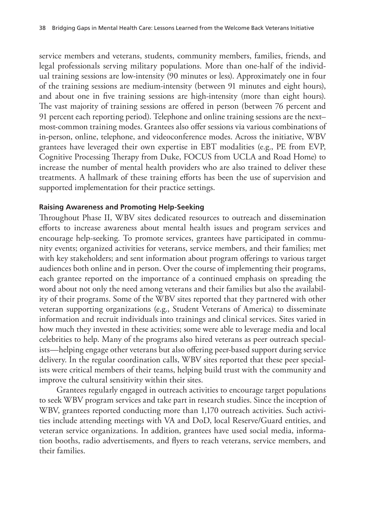service members and veterans, students, community members, families, friends, and legal professionals serving military populations. More than one-half of the individual training sessions are low-intensity (90 minutes or less). Approximately one in four of the training sessions are medium-intensity (between 91 minutes and eight hours), and about one in five training sessions are high-intensity (more than eight hours). The vast majority of training sessions are offered in person (between 76 percent and 91 percent each reporting period). Telephone and online training sessions are the next– most-common training modes. Grantees also offer sessions via various combinations of in-person, online, telephone, and videoconference modes. Across the initiative, WBV grantees have leveraged their own expertise in EBT modalities (e.g., PE from EVP, Cognitive Processing Therapy from Duke, FOCUS from UCLA and Road Home) to increase the number of mental health providers who are also trained to deliver these treatments. A hallmark of these training efforts has been the use of supervision and supported implementation for their practice settings.

#### **Raising Awareness and Promoting Help-Seeking**

Throughout Phase II, WBV sites dedicated resources to outreach and dissemination efforts to increase awareness about mental health issues and program services and encourage help-seeking. To promote services, grantees have participated in community events; organized activities for veterans, service members, and their families; met with key stakeholders; and sent information about program offerings to various target audiences both online and in person. Over the course of implementing their programs, each grantee reported on the importance of a continued emphasis on spreading the word about not only the need among veterans and their families but also the availability of their programs. Some of the WBV sites reported that they partnered with other veteran supporting organizations (e.g., Student Veterans of America) to disseminate information and recruit individuals into trainings and clinical services. Sites varied in how much they invested in these activities; some were able to leverage media and local celebrities to help. Many of the programs also hired veterans as peer outreach specialists—helping engage other veterans but also offering peer-based support during service delivery. In the regular coordination calls, WBV sites reported that these peer specialists were critical members of their teams, helping build trust with the community and improve the cultural sensitivity within their sites.

Grantees regularly engaged in outreach activities to encourage target populations to seek WBV program services and take part in research studies. Since the inception of WBV, grantees reported conducting more than 1,170 outreach activities. Such activities include attending meetings with VA and DoD, local Reserve/Guard entities, and veteran service organizations. In addition, grantees have used social media, information booths, radio advertisements, and flyers to reach veterans, service members, and their families.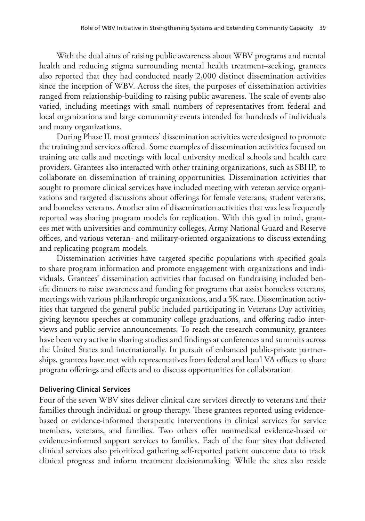With the dual aims of raising public awareness about WBV programs and mental health and reducing stigma surrounding mental health treatment–seeking, grantees also reported that they had conducted nearly 2,000 distinct dissemination activities since the inception of WBV. Across the sites, the purposes of dissemination activities ranged from relationship-building to raising public awareness. The scale of events also varied, including meetings with small numbers of representatives from federal and local organizations and large community events intended for hundreds of individuals and many organizations.

During Phase II, most grantees' dissemination activities were designed to promote the training and services offered. Some examples of dissemination activities focused on training are calls and meetings with local university medical schools and health care providers. Grantees also interacted with other training organizations, such as SBHP, to collaborate on dissemination of training opportunities. Dissemination activities that sought to promote clinical services have included meeting with veteran service organizations and targeted discussions about offerings for female veterans, student veterans, and homeless veterans. Another aim of dissemination activities that was less frequently reported was sharing program models for replication. With this goal in mind, grantees met with universities and community colleges, Army National Guard and Reserve offices, and various veteran- and military-oriented organizations to discuss extending and replicating program models.

Dissemination activities have targeted specific populations with specified goals to share program information and promote engagement with organizations and individuals. Grantees' dissemination activities that focused on fundraising included benefit dinners to raise awareness and funding for programs that assist homeless veterans, meetings with various philanthropic organizations, and a 5K race. Dissemination activities that targeted the general public included participating in Veterans Day activities, giving keynote speeches at community college graduations, and offering radio interviews and public service announcements. To reach the research community, grantees have been very active in sharing studies and findings at conferences and summits across the United States and internationally. In pursuit of enhanced public-private partnerships, grantees have met with representatives from federal and local VA offices to share program offerings and effects and to discuss opportunities for collaboration.

#### **Delivering Clinical Services**

Four of the seven WBV sites deliver clinical care services directly to veterans and their families through individual or group therapy. These grantees reported using evidencebased or evidence-informed therapeutic interventions in clinical services for service members, veterans, and families. Two others offer nonmedical evidence-based or evidence-informed support services to families. Each of the four sites that delivered clinical services also prioritized gathering self-reported patient outcome data to track clinical progress and inform treatment decisionmaking. While the sites also reside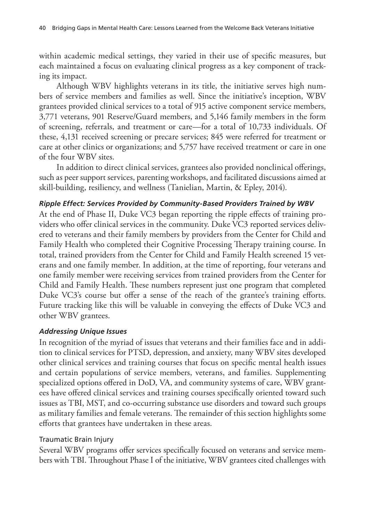within academic medical settings, they varied in their use of specific measures, but each maintained a focus on evaluating clinical progress as a key component of tracking its impact.

Although WBV highlights veterans in its title, the initiative serves high numbers of service members and families as well. Since the initiative's inception, WBV grantees provided clinical services to a total of 915 active component service members, 3,771 veterans, 901 Reserve/Guard members, and 5,146 family members in the form of screening, referrals, and treatment or care—for a total of 10,733 individuals. Of these, 4,131 received screening or precare services; 845 were referred for treatment or care at other clinics or organizations; and 5,757 have received treatment or care in one of the four WBV sites.

In addition to direct clinical services, grantees also provided nonclinical offerings, such as peer support services, parenting workshops, and facilitated discussions aimed at skill-building, resiliency, and wellness (Tanielian, Martin, & Epley, 2014).

#### *Ripple Effect: Services Provided by Community-Based Providers Trained by WBV*

At the end of Phase II, Duke VC3 began reporting the ripple effects of training providers who offer clinical services in the community. Duke VC3 reported services delivered to veterans and their family members by providers from the Center for Child and Family Health who completed their Cognitive Processing Therapy training course. In total, trained providers from the Center for Child and Family Health screened 15 veterans and one family member. In addition, at the time of reporting, four veterans and one family member were receiving services from trained providers from the Center for Child and Family Health. These numbers represent just one program that completed Duke VC3's course but offer a sense of the reach of the grantee's training efforts. Future tracking like this will be valuable in conveying the effects of Duke VC3 and other WBV grantees.

#### *Addressing Unique Issues*

In recognition of the myriad of issues that veterans and their families face and in addition to clinical services for PTSD, depression, and anxiety, many WBV sites developed other clinical services and training courses that focus on specific mental health issues and certain populations of service members, veterans, and families. Supplementing specialized options offered in DoD, VA, and community systems of care, WBV grantees have offered clinical services and training courses specifically oriented toward such issues as TBI, MST, and co-occurring substance use disorders and toward such groups as military families and female veterans. The remainder of this section highlights some efforts that grantees have undertaken in these areas.

#### Traumatic Brain Injury

Several WBV programs offer services specifically focused on veterans and service members with TBI. Throughout Phase I of the initiative, WBV grantees cited challenges with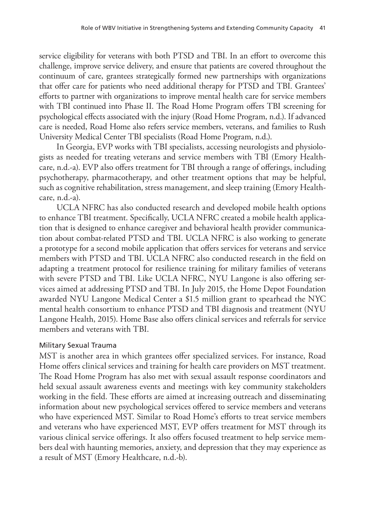service eligibility for veterans with both PTSD and TBI. In an effort to overcome this challenge, improve service delivery, and ensure that patients are covered throughout the continuum of care, grantees strategically formed new partnerships with organizations that offer care for patients who need additional therapy for PTSD and TBI. Grantees' efforts to partner with organizations to improve mental health care for service members with TBI continued into Phase II. The Road Home Program offers TBI screening for psychological effects associated with the injury (Road Home Program, n.d.). If advanced care is needed, Road Home also refers service members, veterans, and families to Rush University Medical Center TBI specialists (Road Home Program, n.d.).

In Georgia, EVP works with TBI specialists, accessing neurologists and physiologists as needed for treating veterans and service members with TBI (Emory Healthcare, n.d.-a). EVP also offers treatment for TBI through a range of offerings, including psychotherapy, pharmacotherapy, and other treatment options that may be helpful, such as cognitive rehabilitation, stress management, and sleep training (Emory Healthcare, n.d.-a).

UCLA NFRC has also conducted research and developed mobile health options to enhance TBI treatment. Specifically, UCLA NFRC created a mobile health application that is designed to enhance caregiver and behavioral health provider communication about combat-related PTSD and TBI. UCLA NFRC is also working to generate a prototype for a second mobile application that offers services for veterans and service members with PTSD and TBI. UCLA NFRC also conducted research in the field on adapting a treatment protocol for resilience training for military families of veterans with severe PTSD and TBI. Like UCLA NFRC, NYU Langone is also offering services aimed at addressing PTSD and TBI. In July 2015, the Home Depot Foundation awarded NYU Langone Medical Center a \$1.5 million grant to spearhead the NYC mental health consortium to enhance PTSD and TBI diagnosis and treatment (NYU Langone Health, 2015). Home Base also offers clinical services and referrals for service members and veterans with TBI.

### Military Sexual Trauma

MST is another area in which grantees offer specialized services. For instance, Road Home offers clinical services and training for health care providers on MST treatment. The Road Home Program has also met with sexual assault response coordinators and held sexual assault awareness events and meetings with key community stakeholders working in the field. These efforts are aimed at increasing outreach and disseminating information about new psychological services offered to service members and veterans who have experienced MST. Similar to Road Home's efforts to treat service members and veterans who have experienced MST, EVP offers treatment for MST through its various clinical service offerings. It also offers focused treatment to help service members deal with haunting memories, anxiety, and depression that they may experience as a result of MST (Emory Healthcare, n.d.-b).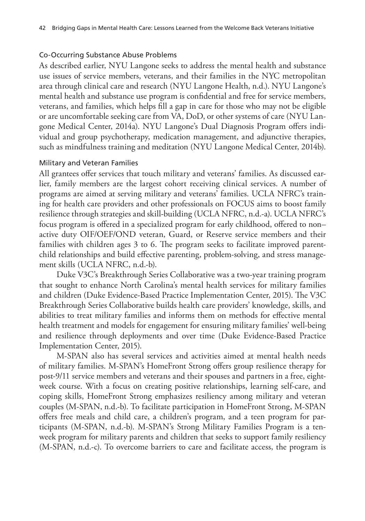#### Co-Occurring Substance Abuse Problems

As described earlier, NYU Langone seeks to address the mental health and substance use issues of service members, veterans, and their families in the NYC metropolitan area through clinical care and research (NYU Langone Health, n.d.). NYU Langone's mental health and substance use program is confidential and free for service members, veterans, and families, which helps fill a gap in care for those who may not be eligible or are uncomfortable seeking care from VA, DoD, or other systems of care (NYU Langone Medical Center, 2014a). NYU Langone's Dual Diagnosis Program offers individual and group psychotherapy, medication management, and adjunctive therapies, such as mindfulness training and meditation (NYU Langone Medical Center, 2014b).

#### Military and Veteran Families

All grantees offer services that touch military and veterans' families. As discussed earlier, family members are the largest cohort receiving clinical services. A number of programs are aimed at serving military and veterans' families. UCLA NFRC's training for health care providers and other professionals on FOCUS aims to boost family resilience through strategies and skill-building (UCLA NFRC, n.d.-a). UCLA NFRC's focus program is offered in a specialized program for early childhood, offered to non– active duty OIF/OEF/OND veteran, Guard, or Reserve service members and their families with children ages 3 to 6. The program seeks to facilitate improved parentchild relationships and build effective parenting, problem-solving, and stress management skills (UCLA NFRC, n.d.-b).

Duke V3C's Breakthrough Series Collaborative was a two-year training program that sought to enhance North Carolina's mental health services for military families and children (Duke Evidence-Based Practice Implementation Center, 2015). The V3C Breakthrough Series Collaborative builds health care providers' knowledge, skills, and abilities to treat military families and informs them on methods for effective mental health treatment and models for engagement for ensuring military families' well-being and resilience through deployments and over time (Duke Evidence-Based Practice Implementation Center, 2015).

M-SPAN also has several services and activities aimed at mental health needs of military families. M-SPAN's HomeFront Strong offers group resilience therapy for post-9/11 service members and veterans and their spouses and partners in a free, eightweek course. With a focus on creating positive relationships, learning self-care, and coping skills, HomeFront Strong emphasizes resiliency among military and veteran couples (M-SPAN, n.d.-b). To facilitate participation in HomeFront Strong, M-SPAN offers free meals and child care, a children's program, and a teen program for participants (M-SPAN, n.d.-b). M-SPAN's Strong Military Families Program is a tenweek program for military parents and children that seeks to support family resiliency (M-SPAN, n.d.-c). To overcome barriers to care and facilitate access, the program is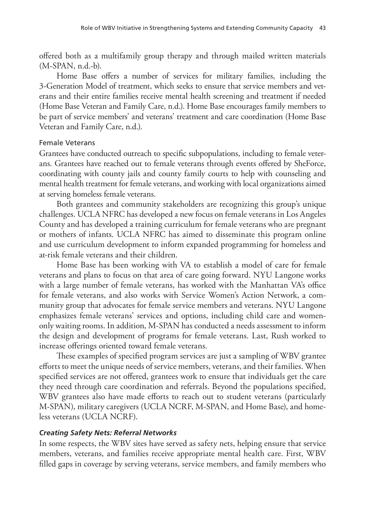offered both as a multifamily group therapy and through mailed written materials (M-SPAN, n.d.-b).

Home Base offers a number of services for military families, including the 3-Generation Model of treatment, which seeks to ensure that service members and veterans and their entire families receive mental health screening and treatment if needed (Home Base Veteran and Family Care, n.d.). Home Base encourages family members to be part of service members' and veterans' treatment and care coordination (Home Base Veteran and Family Care, n.d.).

#### Female Veterans

Grantees have conducted outreach to specific subpopulations, including to female veterans. Grantees have reached out to female veterans through events offered by SheForce, coordinating with county jails and county family courts to help with counseling and mental health treatment for female veterans, and working with local organizations aimed at serving homeless female veterans.

Both grantees and community stakeholders are recognizing this group's unique challenges. UCLA NFRC has developed a new focus on female veterans in Los Angeles County and has developed a training curriculum for female veterans who are pregnant or mothers of infants. UCLA NFRC has aimed to disseminate this program online and use curriculum development to inform expanded programming for homeless and at-risk female veterans and their children.

Home Base has been working with VA to establish a model of care for female veterans and plans to focus on that area of care going forward. NYU Langone works with a large number of female veterans, has worked with the Manhattan VA's office for female veterans, and also works with Service Women's Action Network, a community group that advocates for female service members and veterans. NYU Langone emphasizes female veterans' services and options, including child care and womenonly waiting rooms. In addition, M-SPAN has conducted a needs assessment to inform the design and development of programs for female veterans. Last, Rush worked to increase offerings oriented toward female veterans.

These examples of specified program services are just a sampling of WBV grantee efforts to meet the unique needs of service members, veterans, and their families. When specified services are not offered, grantees work to ensure that individuals get the care they need through care coordination and referrals. Beyond the populations specified, WBV grantees also have made efforts to reach out to student veterans (particularly M-SPAN), military caregivers (UCLA NCRF, M-SPAN, and Home Base), and homeless veterans (UCLA NCRF).

### *Creating Safety Nets: Referral Networks*

In some respects, the WBV sites have served as safety nets, helping ensure that service members, veterans, and families receive appropriate mental health care. First, WBV filled gaps in coverage by serving veterans, service members, and family members who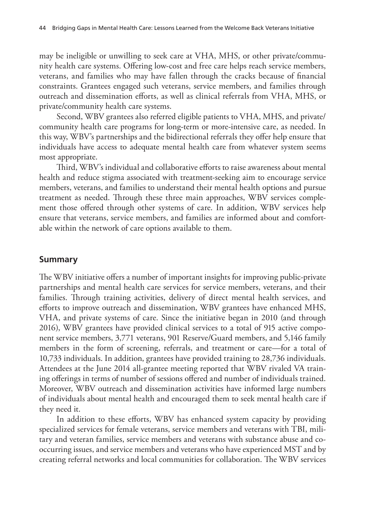may be ineligible or unwilling to seek care at VHA, MHS, or other private/community health care systems. Offering low-cost and free care helps reach service members, veterans, and families who may have fallen through the cracks because of financial constraints. Grantees engaged such veterans, service members, and families through outreach and dissemination efforts, as well as clinical referrals from VHA, MHS, or private/community health care systems.

Second, WBV grantees also referred eligible patients to VHA, MHS, and private/ community health care programs for long-term or more-intensive care, as needed. In this way, WBV's partnerships and the bidirectional referrals they offer help ensure that individuals have access to adequate mental health care from whatever system seems most appropriate.

Third, WBV's individual and collaborative efforts to raise awareness about mental health and reduce stigma associated with treatment-seeking aim to encourage service members, veterans, and families to understand their mental health options and pursue treatment as needed. Through these three main approaches, WBV services complement those offered through other systems of care. In addition, WBV services help ensure that veterans, service members, and families are informed about and comfortable within the network of care options available to them.

#### **Summary**

The WBV initiative offers a number of important insights for improving public-private partnerships and mental health care services for service members, veterans, and their families. Through training activities, delivery of direct mental health services, and efforts to improve outreach and dissemination, WBV grantees have enhanced MHS, VHA, and private systems of care. Since the initiative began in 2010 (and through 2016), WBV grantees have provided clinical services to a total of 915 active component service members, 3,771 veterans, 901 Reserve/Guard members, and 5,146 family members in the form of screening, referrals, and treatment or care—for a total of 10,733 individuals. In addition, grantees have provided training to 28,736 individuals. Attendees at the June 2014 all-grantee meeting reported that WBV rivaled VA training offerings in terms of number of sessions offered and number of individuals trained. Moreover, WBV outreach and dissemination activities have informed large numbers of individuals about mental health and encouraged them to seek mental health care if they need it.

In addition to these efforts, WBV has enhanced system capacity by providing specialized services for female veterans, service members and veterans with TBI, military and veteran families, service members and veterans with substance abuse and cooccurring issues, and service members and veterans who have experienced MST and by creating referral networks and local communities for collaboration. The WBV services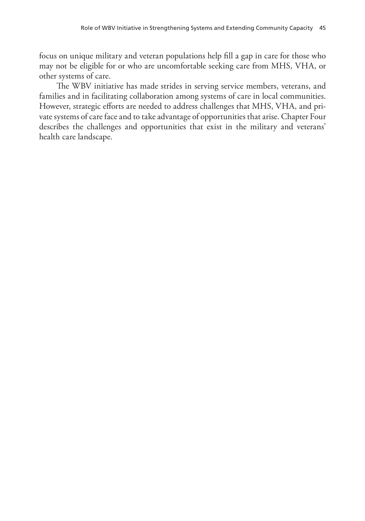focus on unique military and veteran populations help fill a gap in care for those who may not be eligible for or who are uncomfortable seeking care from MHS, VHA, or other systems of care.

The WBV initiative has made strides in serving service members, veterans, and families and in facilitating collaboration among systems of care in local communities. However, strategic efforts are needed to address challenges that MHS, VHA, and private systems of care face and to take advantage of opportunities that arise. Chapter Four describes the challenges and opportunities that exist in the military and veterans' health care landscape.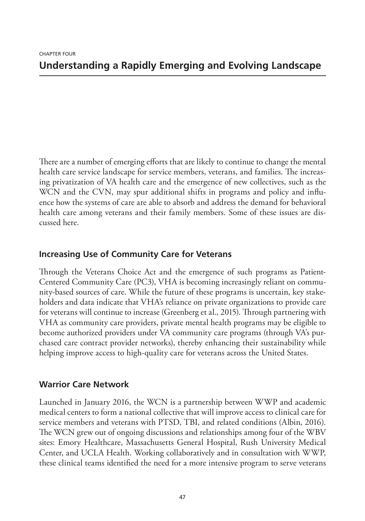There are a number of emerging efforts that are likely to continue to change the mental health care service landscape for service members, veterans, and families. The increasing privatization of VA health care and the emergence of new collectives, such as the WCN and the CVN, may spur additional shifts in programs and policy and influence how the systems of care are able to absorb and address the demand for behavioral health care among veterans and their family members. Some of these issues are discussed here.

# **Increasing Use of Community Care for Veterans**

Through the Veterans Choice Act and the emergence of such programs as Patient-Centered Community Care (PC3), VHA is becoming increasingly reliant on community-based sources of care. While the future of these programs is uncertain, key stakeholders and data indicate that VHA's reliance on private organizations to provide care for veterans will continue to increase (Greenberg et al., 2015). Through partnering with VHA as community care providers, private mental health programs may be eligible to become authorized providers under VA community care programs (through VA's purchased care contract provider networks), thereby enhancing their sustainability while helping improve access to high-quality care for veterans across the United States.

# **Warrior Care Network**

Launched in January 2016, the WCN is a partnership between WWP and academic medical centers to form a national collective that will improve access to clinical care for service members and veterans with PTSD, TBI, and related conditions (Albin, 2016). The WCN grew out of ongoing discussions and relationships among four of the WBV sites: Emory Healthcare, Massachusetts General Hospital, Rush University Medical Center, and UCLA Health. Working collaboratively and in consultation with WWP, these clinical teams identified the need for a more intensive program to serve veterans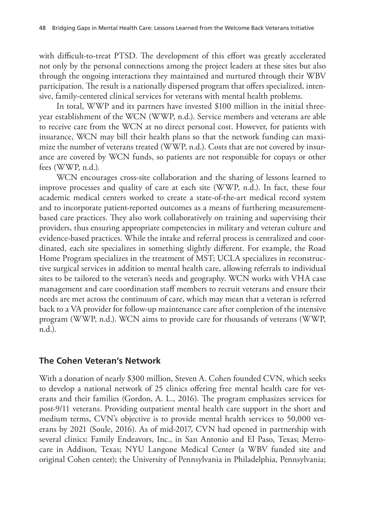with difficult-to-treat PTSD. The development of this effort was greatly accelerated not only by the personal connections among the project leaders at these sites but also through the ongoing interactions they maintained and nurtured through their WBV participation. The result is a nationally dispersed program that offers specialized, intensive, family-centered clinical services for veterans with mental health problems.

In total, WWP and its partners have invested \$100 million in the initial threeyear establishment of the WCN (WWP, n.d.). Service members and veterans are able to receive care from the WCN at no direct personal cost. However, for patients with insurance, WCN may bill their health plans so that the network funding can maximize the number of veterans treated (WWP, n.d.). Costs that are not covered by insurance are covered by WCN funds, so patients are not responsible for copays or other fees (WWP, n.d.).

WCN encourages cross-site collaboration and the sharing of lessons learned to improve processes and quality of care at each site (WWP, n.d.). In fact, these four academic medical centers worked to create a state-of-the-art medical record system and to incorporate patient-reported outcomes as a means of furthering measurementbased care practices. They also work collaboratively on training and supervising their providers, thus ensuring appropriate competencies in military and veteran culture and evidence-based practices. While the intake and referral process is centralized and coordinated, each site specializes in something slightly different. For example, the Road Home Program specializes in the treatment of MST; UCLA specializes in reconstructive surgical services in addition to mental health care, allowing referrals to individual sites to be tailored to the veteran's needs and geography. WCN works with VHA case management and care coordination staff members to recruit veterans and ensure their needs are met across the continuum of care, which may mean that a veteran is referred back to a VA provider for follow-up maintenance care after completion of the intensive program (WWP, n.d.). WCN aims to provide care for thousands of veterans (WWP, n.d.).

# **The Cohen Veteran's Network**

With a donation of nearly \$300 million, Steven A. Cohen founded CVN, which seeks to develop a national network of 25 clinics offering free mental health care for veterans and their families (Gordon, A. L., 2016). The program emphasizes services for post-9/11 veterans. Providing outpatient mental health care support in the short and medium terms, CVN's objective is to provide mental health services to 50,000 veterans by 2021 (Soule, 2016). As of mid-2017, CVN had opened in partnership with several clinics: Family Endeavors, Inc., in San Antonio and El Paso, Texas; Metrocare in Addison, Texas; NYU Langone Medical Center (a WBV funded site and original Cohen center); the University of Pennsylvania in Philadelphia, Pennsylvania;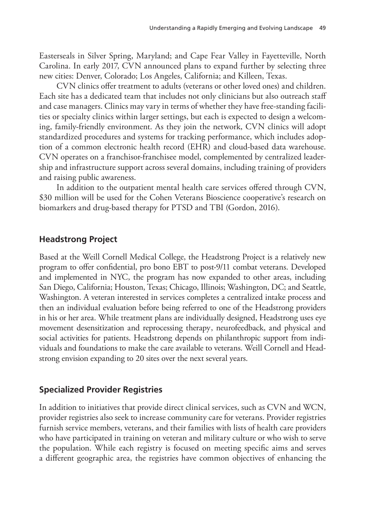Easterseals in Silver Spring, Maryland; and Cape Fear Valley in Fayetteville, North Carolina. In early 2017, CVN announced plans to expand further by selecting three new cities: Denver, Colorado; Los Angeles, California; and Killeen, Texas.

CVN clinics offer treatment to adults (veterans or other loved ones) and children. Each site has a dedicated team that includes not only clinicians but also outreach staff and case managers. Clinics may vary in terms of whether they have free-standing facilities or specialty clinics within larger settings, but each is expected to design a welcoming, family-friendly environment. As they join the network, CVN clinics will adopt standardized procedures and systems for tracking performance, which includes adoption of a common electronic health record (EHR) and cloud-based data warehouse. CVN operates on a franchisor-franchisee model, complemented by centralized leadership and infrastructure support across several domains, including training of providers and raising public awareness.

In addition to the outpatient mental health care services offered through CVN, \$30 million will be used for the Cohen Veterans Bioscience cooperative's research on biomarkers and drug-based therapy for PTSD and TBI (Gordon, 2016).

# **Headstrong Project**

Based at the Weill Cornell Medical College, the Headstrong Project is a relatively new program to offer confidential, pro bono EBT to post-9/11 combat veterans. Developed and implemented in NYC, the program has now expanded to other areas, including San Diego, California; Houston, Texas; Chicago, Illinois; Washington, DC; and Seattle, Washington. A veteran interested in services completes a centralized intake process and then an individual evaluation before being referred to one of the Headstrong providers in his or her area. While treatment plans are individually designed, Headstrong uses eye movement desensitization and reprocessing therapy, neurofeedback, and physical and social activities for patients. Headstrong depends on philanthropic support from individuals and foundations to make the care available to veterans. Weill Cornell and Headstrong envision expanding to 20 sites over the next several years.

# **Specialized Provider Registries**

In addition to initiatives that provide direct clinical services, such as CVN and WCN, provider registries also seek to increase community care for veterans. Provider registries furnish service members, veterans, and their families with lists of health care providers who have participated in training on veteran and military culture or who wish to serve the population. While each registry is focused on meeting specific aims and serves a different geographic area, the registries have common objectives of enhancing the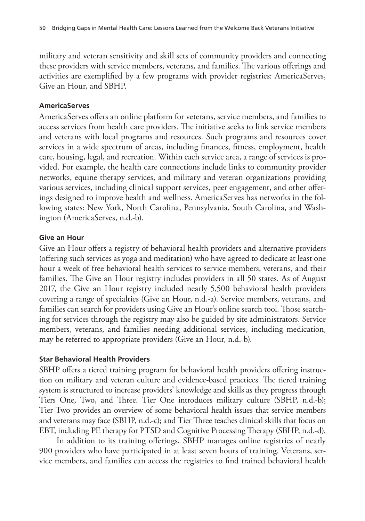military and veteran sensitivity and skill sets of community providers and connecting these providers with service members, veterans, and families. The various offerings and activities are exemplified by a few programs with provider registries: AmericaServes, Give an Hour, and SBHP.

#### **AmericaServes**

AmericaServes offers an online platform for veterans, service members, and families to access services from health care providers. The initiative seeks to link service members and veterans with local programs and resources. Such programs and resources cover services in a wide spectrum of areas, including finances, fitness, employment, health care, housing, legal, and recreation. Within each service area, a range of services is provided. For example, the health care connections include links to community provider networks, equine therapy services, and military and veteran organizations providing various services, including clinical support services, peer engagement, and other offerings designed to improve health and wellness. AmericaServes has networks in the following states: New York, North Carolina, Pennsylvania, South Carolina, and Washington (AmericaServes, n.d.-b).

#### **Give an Hour**

Give an Hour offers a registry of behavioral health providers and alternative providers (offering such services as yoga and meditation) who have agreed to dedicate at least one hour a week of free behavioral health services to service members, veterans, and their families. The Give an Hour registry includes providers in all 50 states. As of August 2017, the Give an Hour registry included nearly 5,500 behavioral health providers covering a range of specialties (Give an Hour, n.d.-a). Service members, veterans, and families can search for providers using Give an Hour's online search tool. Those searching for services through the registry may also be guided by site administrators. Service members, veterans, and families needing additional services, including medication, may be referred to appropriate providers (Give an Hour, n.d.-b).

#### **Star Behavioral Health Providers**

SBHP offers a tiered training program for behavioral health providers offering instruction on military and veteran culture and evidence-based practices. The tiered training system is structured to increase providers' knowledge and skills as they progress through Tiers One, Two, and Three. Tier One introduces military culture (SBHP, n.d.-b); Tier Two provides an overview of some behavioral health issues that service members and veterans may face (SBHP, n.d.-c); and Tier Three teaches clinical skills that focus on EBT, including PE therapy for PTSD and Cognitive Processing Therapy (SBHP, n.d.-d).

In addition to its training offerings, SBHP manages online registries of nearly 900 providers who have participated in at least seven hours of training. Veterans, service members, and families can access the registries to find trained behavioral health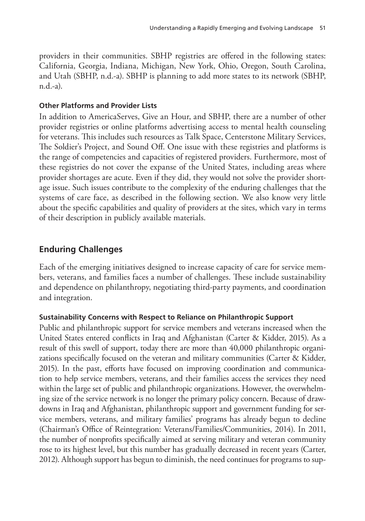providers in their communities. SBHP registries are offered in the following states: California, Georgia, Indiana, Michigan, New York, Ohio, Oregon, South Carolina, and Utah (SBHP, n.d.-a). SBHP is planning to add more states to its network (SBHP, n.d.-a).

### **Other Platforms and Provider Lists**

In addition to AmericaServes, Give an Hour, and SBHP, there are a number of other provider registries or online platforms advertising access to mental health counseling for veterans. This includes such resources as Talk Space, Centerstone Military Services, The Soldier's Project, and Sound Off. One issue with these registries and platforms is the range of competencies and capacities of registered providers. Furthermore, most of these registries do not cover the expanse of the United States, including areas where provider shortages are acute. Even if they did, they would not solve the provider shortage issue. Such issues contribute to the complexity of the enduring challenges that the systems of care face, as described in the following section. We also know very little about the specific capabilities and quality of providers at the sites, which vary in terms of their description in publicly available materials.

# **Enduring Challenges**

Each of the emerging initiatives designed to increase capacity of care for service members, veterans, and families faces a number of challenges. These include sustainability and dependence on philanthropy, negotiating third-party payments, and coordination and integration.

# **Sustainability Concerns with Respect to Reliance on Philanthropic Support**

Public and philanthropic support for service members and veterans increased when the United States entered conflicts in Iraq and Afghanistan (Carter & Kidder, 2015). As a result of this swell of support, today there are more than 40,000 philanthropic organizations specifically focused on the veteran and military communities (Carter & Kidder, 2015). In the past, efforts have focused on improving coordination and communication to help service members, veterans, and their families access the services they need within the large set of public and philanthropic organizations. However, the overwhelming size of the service network is no longer the primary policy concern. Because of drawdowns in Iraq and Afghanistan, philanthropic support and government funding for service members, veterans, and military families' programs has already begun to decline (Chairman's Office of Reintegration: Veterans/Families/Communities, 2014). In 2011, the number of nonprofits specifically aimed at serving military and veteran community rose to its highest level, but this number has gradually decreased in recent years (Carter, 2012). Although support has begun to diminish, the need continues for programs to sup-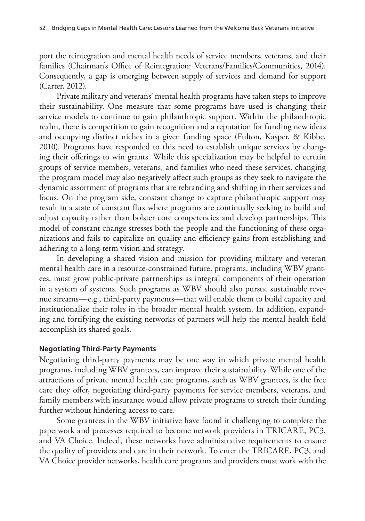port the reintegration and mental health needs of service members, veterans, and their families (Chairman's Office of Reintegration: Veterans/Families/Communities, 2014). Consequently, a gap is emerging between supply of services and demand for support (Carter, 2012).

Private military and veterans' mental health programs have taken steps to improve their sustainability. One measure that some programs have used is changing their service models to continue to gain philanthropic support. Within the philanthropic realm, there is competition to gain recognition and a reputation for funding new ideas and occupying distinct niches in a given funding space (Fulton, Kasper, & Kibbe, 2010). Programs have responded to this need to establish unique services by changing their offerings to win grants. While this specialization may be helpful to certain groups of service members, veterans, and families who need these services, changing the program model may also negatively affect such groups as they seek to navigate the dynamic assortment of programs that are rebranding and shifting in their services and focus. On the program side, constant change to capture philanthropic support may result in a state of constant flux where programs are continually seeking to build and adjust capacity rather than bolster core competencies and develop partnerships. This model of constant change stresses both the people and the functioning of these organizations and fails to capitalize on quality and efficiency gains from establishing and adhering to a long-term vision and strategy.

In developing a shared vision and mission for providing military and veteran mental health care in a resource-constrained future, programs, including WBV grantees, must grow public-private partnerships as integral components of their operation in a system of systems. Such programs as WBV should also pursue sustainable revenue streams—e.g., third-party payments—that will enable them to build capacity and institutionalize their roles in the broader mental health system. In addition, expanding and fortifying the existing networks of partners will help the mental health field accomplish its shared goals.

#### **Negotiating Third-Party Payments**

Negotiating third-party payments may be one way in which private mental health programs, including WBV grantees, can improve their sustainability. While one of the attractions of private mental health care programs, such as WBV grantees, is the free care they offer, negotiating third-party payments for service members, veterans, and family members with insurance would allow private programs to stretch their funding further without hindering access to care.

Some grantees in the WBV initiative have found it challenging to complete the paperwork and processes required to become network providers in TRICARE, PC3, and VA Choice. Indeed, these networks have administrative requirements to ensure the quality of providers and care in their network. To enter the TRICARE, PC3, and VA Choice provider networks, health care programs and providers must work with the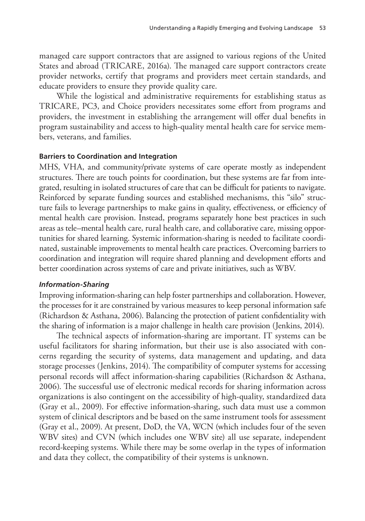managed care support contractors that are assigned to various regions of the United States and abroad (TRICARE, 2016a). The managed care support contractors create provider networks, certify that programs and providers meet certain standards, and educate providers to ensure they provide quality care.

While the logistical and administrative requirements for establishing status as TRICARE, PC3, and Choice providers necessitates some effort from programs and providers, the investment in establishing the arrangement will offer dual benefits in program sustainability and access to high-quality mental health care for service members, veterans, and families.

#### **Barriers to Coordination and Integration**

MHS, VHA, and community/private systems of care operate mostly as independent structures. There are touch points for coordination, but these systems are far from integrated, resulting in isolated structures of care that can be difficult for patients to navigate. Reinforced by separate funding sources and established mechanisms, this "silo" structure fails to leverage partnerships to make gains in quality, effectiveness, or efficiency of mental health care provision. Instead, programs separately hone best practices in such areas as tele–mental health care, rural health care, and collaborative care, missing opportunities for shared learning. Systemic information-sharing is needed to facilitate coordinated, sustainable improvements to mental health care practices. Overcoming barriers to coordination and integration will require shared planning and development efforts and better coordination across systems of care and private initiatives, such as WBV.

### *Information-Sharing*

Improving information-sharing can help foster partnerships and collaboration. However, the processes for it are constrained by various measures to keep personal information safe (Richardson & Asthana, 2006). Balancing the protection of patient confidentiality with the sharing of information is a major challenge in health care provision (Jenkins, 2014).

The technical aspects of information-sharing are important. IT systems can be useful facilitators for sharing information, but their use is also associated with concerns regarding the security of systems, data management and updating, and data storage processes (Jenkins, 2014). The compatibility of computer systems for accessing personal records will affect information-sharing capabilities (Richardson & Asthana, 2006). The successful use of electronic medical records for sharing information across organizations is also contingent on the accessibility of high-quality, standardized data (Gray et al., 2009). For effective information-sharing, such data must use a common system of clinical descriptors and be based on the same instrument tools for assessment (Gray et al., 2009). At present, DoD, the VA, WCN (which includes four of the seven WBV sites) and CVN (which includes one WBV site) all use separate, independent record-keeping systems. While there may be some overlap in the types of information and data they collect, the compatibility of their systems is unknown.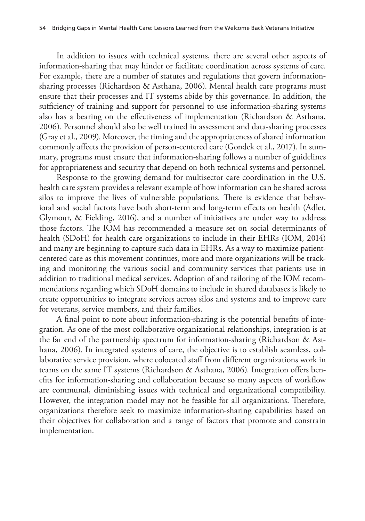In addition to issues with technical systems, there are several other aspects of information-sharing that may hinder or facilitate coordination across systems of care. For example, there are a number of statutes and regulations that govern informationsharing processes (Richardson & Asthana, 2006). Mental health care programs must ensure that their processes and IT systems abide by this governance. In addition, the sufficiency of training and support for personnel to use information-sharing systems also has a bearing on the effectiveness of implementation (Richardson & Asthana, 2006). Personnel should also be well trained in assessment and data-sharing processes (Gray et al., 2009). Moreover, the timing and the appropriateness of shared information commonly affects the provision of person-centered care (Gondek et al., 2017). In summary, programs must ensure that information-sharing follows a number of guidelines for appropriateness and security that depend on both technical systems and personnel.

Response to the growing demand for multisector care coordination in the U.S. health care system provides a relevant example of how information can be shared across silos to improve the lives of vulnerable populations. There is evidence that behavioral and social factors have both short-term and long-term effects on health (Adler, Glymour, & Fielding, 2016), and a number of initiatives are under way to address those factors. The IOM has recommended a measure set on social determinants of health (SDoH) for health care organizations to include in their EHRs (IOM, 2014) and many are beginning to capture such data in EHRs. As a way to maximize patientcentered care as this movement continues, more and more organizations will be tracking and monitoring the various social and community services that patients use in addition to traditional medical services. Adoption of and tailoring of the IOM recommendations regarding which SDoH domains to include in shared databases is likely to create opportunities to integrate services across silos and systems and to improve care for veterans, service members, and their families.

A final point to note about information-sharing is the potential benefits of integration. As one of the most collaborative organizational relationships, integration is at the far end of the partnership spectrum for information-sharing (Richardson & Asthana, 2006). In integrated systems of care, the objective is to establish seamless, collaborative service provision, where colocated staff from different organizations work in teams on the same IT systems (Richardson & Asthana, 2006). Integration offers benefits for information-sharing and collaboration because so many aspects of workflow are communal, diminishing issues with technical and organizational compatibility. However, the integration model may not be feasible for all organizations. Therefore, organizations therefore seek to maximize information-sharing capabilities based on their objectives for collaboration and a range of factors that promote and constrain implementation.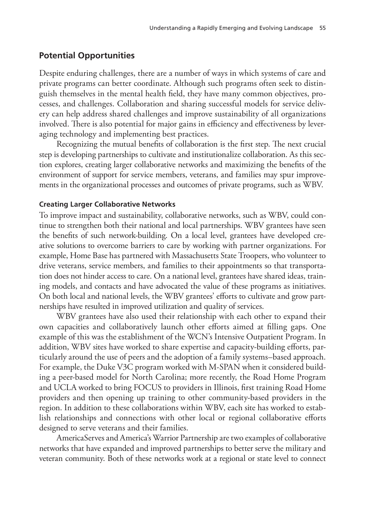#### **Potential Opportunities**

Despite enduring challenges, there are a number of ways in which systems of care and private programs can better coordinate. Although such programs often seek to distinguish themselves in the mental health field, they have many common objectives, processes, and challenges. Collaboration and sharing successful models for service delivery can help address shared challenges and improve sustainability of all organizations involved. There is also potential for major gains in efficiency and effectiveness by leveraging technology and implementing best practices.

Recognizing the mutual benefits of collaboration is the first step. The next crucial step is developing partnerships to cultivate and institutionalize collaboration. As this section explores, creating larger collaborative networks and maximizing the benefits of the environment of support for service members, veterans, and families may spur improvements in the organizational processes and outcomes of private programs, such as WBV.

#### **Creating Larger Collaborative Networks**

To improve impact and sustainability, collaborative networks, such as WBV, could continue to strengthen both their national and local partnerships. WBV grantees have seen the benefits of such network-building. On a local level, grantees have developed creative solutions to overcome barriers to care by working with partner organizations. For example, Home Base has partnered with Massachusetts State Troopers, who volunteer to drive veterans, service members, and families to their appointments so that transportation does not hinder access to care. On a national level, grantees have shared ideas, training models, and contacts and have advocated the value of these programs as initiatives. On both local and national levels, the WBV grantees' efforts to cultivate and grow partnerships have resulted in improved utilization and quality of services.

WBV grantees have also used their relationship with each other to expand their own capacities and collaboratively launch other efforts aimed at filling gaps. One example of this was the establishment of the WCN's Intensive Outpatient Program. In addition, WBV sites have worked to share expertise and capacity-building efforts, particularly around the use of peers and the adoption of a family systems–based approach. For example, the Duke V3C program worked with M-SPAN when it considered building a peer-based model for North Carolina; more recently, the Road Home Program and UCLA worked to bring FOCUS to providers in Illinois, first training Road Home providers and then opening up training to other community-based providers in the region. In addition to these collaborations within WBV, each site has worked to establish relationships and connections with other local or regional collaborative efforts designed to serve veterans and their families.

AmericaServes and America's Warrior Partnership are two examples of collaborative networks that have expanded and improved partnerships to better serve the military and veteran community. Both of these networks work at a regional or state level to connect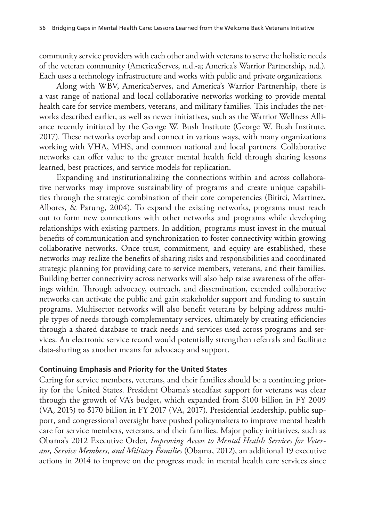community service providers with each other and with veterans to serve the holistic needs of the veteran community (AmericaServes, n.d.-a; America's Warrior Partnership, n.d.). Each uses a technology infrastructure and works with public and private organizations.

Along with WBV, AmericaServes, and America's Warrior Partnership, there is a vast range of national and local collaborative networks working to provide mental health care for service members, veterans, and military families. This includes the networks described earlier, as well as newer initiatives, such as the Warrior Wellness Alliance recently initiated by the George W. Bush Institute (George W. Bush Institute, 2017). These networks overlap and connect in various ways, with many organizations working with VHA, MHS, and common national and local partners. Collaborative networks can offer value to the greater mental health field through sharing lessons learned, best practices, and service models for replication.

Expanding and institutionalizing the connections within and across collaborative networks may improve sustainability of programs and create unique capabilities through the strategic combination of their core competencies (Bititci, Martinez, Albores, & Parung, 2004). To expand the existing networks, programs must reach out to form new connections with other networks and programs while developing relationships with existing partners. In addition, programs must invest in the mutual benefits of communication and synchronization to foster connectivity within growing collaborative networks. Once trust, commitment, and equity are established, these networks may realize the benefits of sharing risks and responsibilities and coordinated strategic planning for providing care to service members, veterans, and their families. Building better connectivity across networks will also help raise awareness of the offerings within. Through advocacy, outreach, and dissemination, extended collaborative networks can activate the public and gain stakeholder support and funding to sustain programs. Multisector networks will also benefit veterans by helping address multiple types of needs through complementary services, ultimately by creating efficiencies through a shared database to track needs and services used across programs and services. An electronic service record would potentially strengthen referrals and facilitate data-sharing as another means for advocacy and support.

#### **Continuing Emphasis and Priority for the United States**

Caring for service members, veterans, and their families should be a continuing priority for the United States. President Obama's steadfast support for veterans was clear through the growth of VA's budget, which expanded from \$100 billion in FY 2009 (VA, 2015) to \$170 billion in FY 2017 (VA, 2017). Presidential leadership, public support, and congressional oversight have pushed policymakers to improve mental health care for service members, veterans, and their families. Major policy initiatives, such as Obama's 2012 Executive Order, *Improving Access to Mental Health Services for Veterans, Service Members, and Military Families* (Obama, 2012), an additional 19 executive actions in 2014 to improve on the progress made in mental health care services since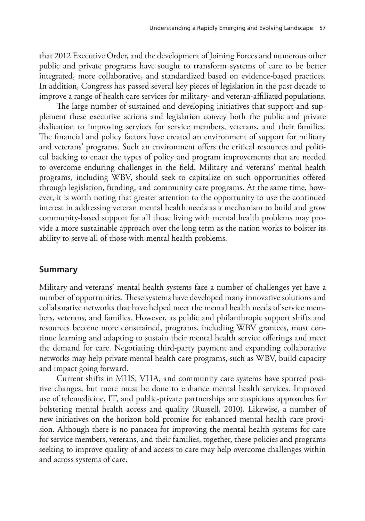that 2012 Executive Order, and the development of Joining Forces and numerous other public and private programs have sought to transform systems of care to be better integrated, more collaborative, and standardized based on evidence-based practices. In addition, Congress has passed several key pieces of legislation in the past decade to improve a range of health care services for military- and veteran-affiliated populations.

The large number of sustained and developing initiatives that support and supplement these executive actions and legislation convey both the public and private dedication to improving services for service members, veterans, and their families. The financial and policy factors have created an environment of support for military and veterans' programs. Such an environment offers the critical resources and political backing to enact the types of policy and program improvements that are needed to overcome enduring challenges in the field. Military and veterans' mental health programs, including WBV, should seek to capitalize on such opportunities offered through legislation, funding, and community care programs. At the same time, however, it is worth noting that greater attention to the opportunity to use the continued interest in addressing veteran mental health needs as a mechanism to build and grow community-based support for all those living with mental health problems may provide a more sustainable approach over the long term as the nation works to bolster its ability to serve all of those with mental health problems.

# **Summary**

Military and veterans' mental health systems face a number of challenges yet have a number of opportunities. These systems have developed many innovative solutions and collaborative networks that have helped meet the mental health needs of service members, veterans, and families. However, as public and philanthropic support shifts and resources become more constrained, programs, including WBV grantees, must continue learning and adapting to sustain their mental health service offerings and meet the demand for care. Negotiating third-party payment and expanding collaborative networks may help private mental health care programs, such as WBV, build capacity and impact going forward.

Current shifts in MHS, VHA, and community care systems have spurred positive changes, but more must be done to enhance mental health services. Improved use of telemedicine, IT, and public-private partnerships are auspicious approaches for bolstering mental health access and quality (Russell, 2010). Likewise, a number of new initiatives on the horizon hold promise for enhanced mental health care provision. Although there is no panacea for improving the mental health systems for care for service members, veterans, and their families, together, these policies and programs seeking to improve quality of and access to care may help overcome challenges within and across systems of care.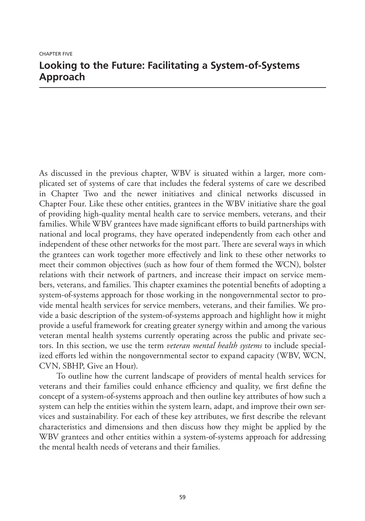#### CHAPTER FIVE

# **Looking to the Future: Facilitating a System-of-Systems Approach**

As discussed in the previous chapter, WBV is situated within a larger, more complicated set of systems of care that includes the federal systems of care we described in Chapter Two and the newer initiatives and clinical networks discussed in Chapter Four. Like these other entities, grantees in the WBV initiative share the goal of providing high-quality mental health care to service members, veterans, and their families. While WBV grantees have made significant efforts to build partnerships with national and local programs, they have operated independently from each other and independent of these other networks for the most part. There are several ways in which the grantees can work together more effectively and link to these other networks to meet their common objectives (such as how four of them formed the WCN), bolster relations with their network of partners, and increase their impact on service members, veterans, and families. This chapter examines the potential benefits of adopting a system-of-systems approach for those working in the nongovernmental sector to provide mental health services for service members, veterans, and their families. We provide a basic description of the system-of-systems approach and highlight how it might provide a useful framework for creating greater synergy within and among the various veteran mental health systems currently operating across the public and private sectors. In this section, we use the term *veteran mental health systems* to include specialized efforts led within the nongovernmental sector to expand capacity (WBV, WCN, CVN, SBHP, Give an Hour).

To outline how the current landscape of providers of mental health services for veterans and their families could enhance efficiency and quality, we first define the concept of a system-of-systems approach and then outline key attributes of how such a system can help the entities within the system learn, adapt, and improve their own services and sustainability. For each of these key attributes, we first describe the relevant characteristics and dimensions and then discuss how they might be applied by the WBV grantees and other entities within a system-of-systems approach for addressing the mental health needs of veterans and their families.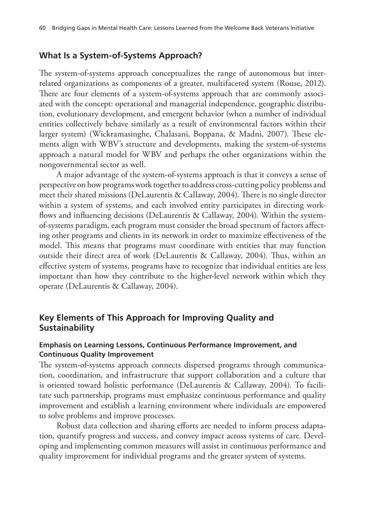# **What Is a System-of-Systems Approach?**

The system-of-systems approach conceptualizes the range of autonomous but interrelated organizations as components of a greater, multifaceted system (Rouse, 2012). There are four elements of a system-of-systems approach that are commonly associated with the concept: operational and managerial independence, geographic distribution, evolutionary development, and emergent behavior (when a number of individual entities collectively behave similarly as a result of environmental factors within their larger system) (Wickramasinghe, Chalasani, Boppana, & Madni, 2007). These elements align with WBV's structure and developments, making the system-of-systems approach a natural model for WBV and perhaps the other organizations within the nongovernmental sector as well.

A major advantage of the system-of-systems approach is that it conveys a sense of perspective on how programs work together to address cross-cutting policy problems and meet their shared missions (DeLaurentis & Callaway, 2004). There is no single director within a system of systems, and each involved entity participates in directing workflows and influencing decisions (DeLaurentis & Callaway, 2004). Within the systemof-systems paradigm, each program must consider the broad spectrum of factors affecting other programs and clients in its network in order to maximize effectiveness of the model. This means that programs must coordinate with entities that may function outside their direct area of work (DeLaurentis & Callaway, 2004). Thus, within an effective system of systems, programs have to recognize that individual entities are less important than how they contribute to the higher-level network within which they operate (DeLaurentis & Callaway, 2004).

# **Key Elements of This Approach for Improving Quality and Sustainability**

#### **Emphasis on Learning Lessons, Continuous Performance Improvement, and Continuous Quality Improvement**

The system-of-systems approach connects dispersed programs through communication, coordination, and infrastructure that support collaboration and a culture that is oriented toward holistic performance (DeLaurentis & Callaway, 2004). To facilitate such partnership, programs must emphasize continuous performance and quality improvement and establish a learning environment where individuals are empowered to solve problems and improve processes.

Robust data collection and sharing efforts are needed to inform process adaptation, quantify progress and success, and convey impact across systems of care. Developing and implementing common measures will assist in continuous performance and quality improvement for individual programs and the greater system of systems.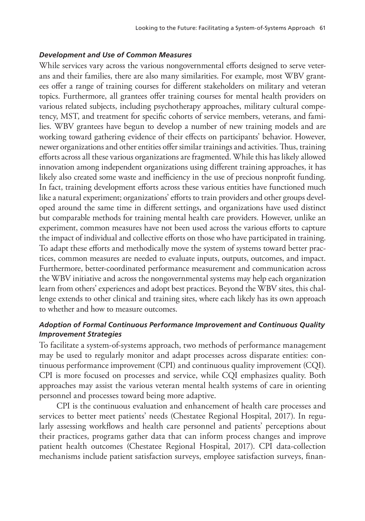#### *Development and Use of Common Measures*

While services vary across the various nongovernmental efforts designed to serve veterans and their families, there are also many similarities. For example, most WBV grantees offer a range of training courses for different stakeholders on military and veteran topics. Furthermore, all grantees offer training courses for mental health providers on various related subjects, including psychotherapy approaches, military cultural competency, MST, and treatment for specific cohorts of service members, veterans, and families. WBV grantees have begun to develop a number of new training models and are working toward gathering evidence of their effects on participants' behavior. However, newer organizations and other entities offer similar trainings and activities. Thus, training efforts across all these various organizations are fragmented. While this has likely allowed innovation among independent organizations using different training approaches, it has likely also created some waste and inefficiency in the use of precious nonprofit funding. In fact, training development efforts across these various entities have functioned much like a natural experiment; organizations' efforts to train providers and other groups developed around the same time in different settings, and organizations have used distinct but comparable methods for training mental health care providers. However, unlike an experiment, common measures have not been used across the various efforts to capture the impact of individual and collective efforts on those who have participated in training. To adapt these efforts and methodically move the system of systems toward better practices, common measures are needed to evaluate inputs, outputs, outcomes, and impact. Furthermore, better-coordinated performance measurement and communication across the WBV initiative and across the nongovernmental systems may help each organization learn from others' experiences and adopt best practices. Beyond the WBV sites, this challenge extends to other clinical and training sites, where each likely has its own approach to whether and how to measure outcomes.

# *Adoption of Formal Continuous Performance Improvement and Continuous Quality Improvement Strategies*

To facilitate a system-of-systems approach, two methods of performance management may be used to regularly monitor and adapt processes across disparate entities: continuous performance improvement (CPI) and continuous quality improvement (CQI). CPI is more focused on processes and service, while CQI emphasizes quality. Both approaches may assist the various veteran mental health systems of care in orienting personnel and processes toward being more adaptive.

CPI is the continuous evaluation and enhancement of health care processes and services to better meet patients' needs (Chestatee Regional Hospital, 2017). In regularly assessing workflows and health care personnel and patients' perceptions about their practices, programs gather data that can inform process changes and improve patient health outcomes (Chestatee Regional Hospital, 2017). CPI data-collection mechanisms include patient satisfaction surveys, employee satisfaction surveys, finan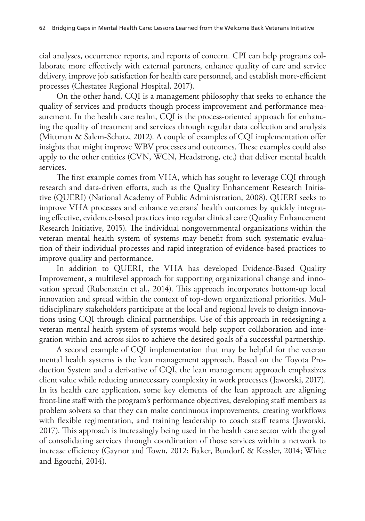cial analyses, occurrence reports, and reports of concern. CPI can help programs collaborate more effectively with external partners, enhance quality of care and service delivery, improve job satisfaction for health care personnel, and establish more-efficient processes (Chestatee Regional Hospital, 2017).

On the other hand, CQI is a management philosophy that seeks to enhance the quality of services and products though process improvement and performance measurement. In the health care realm, CQI is the process-oriented approach for enhancing the quality of treatment and services through regular data collection and analysis (Mittman & Salem-Schatz, 2012). A couple of examples of CQI implementation offer insights that might improve WBV processes and outcomes. These examples could also apply to the other entities (CVN, WCN, Headstrong, etc.) that deliver mental health services.

The first example comes from VHA, which has sought to leverage CQI through research and data-driven efforts, such as the Quality Enhancement Research Initiative (QUERI) (National Academy of Public Administration, 2008). QUERI seeks to improve VHA processes and enhance veterans' health outcomes by quickly integrating effective, evidence-based practices into regular clinical care (Quality Enhancement Research Initiative, 2015). The individual nongovernmental organizations within the veteran mental health system of systems may benefit from such systematic evaluation of their individual processes and rapid integration of evidence-based practices to improve quality and performance.

In addition to QUERI, the VHA has developed Evidence-Based Quality Improvement, a multilevel approach for supporting organizational change and innovation spread (Rubenstein et al., 2014). This approach incorporates bottom-up local innovation and spread within the context of top-down organizational priorities. Multidisciplinary stakeholders participate at the local and regional levels to design innovations using CQI through clinical partnerships. Use of this approach in redesigning a veteran mental health system of systems would help support collaboration and integration within and across silos to achieve the desired goals of a successful partnership.

A second example of CQI implementation that may be helpful for the veteran mental health systems is the lean management approach. Based on the Toyota Production System and a derivative of CQI, the lean management approach emphasizes client value while reducing unnecessary complexity in work processes (Jaworski, 2017). In its health care application, some key elements of the lean approach are aligning front-line staff with the program's performance objectives, developing staff members as problem solvers so that they can make continuous improvements, creating workflows with flexible regimentation, and training leadership to coach staff teams (Jaworski, 2017). This approach is increasingly being used in the health care sector with the goal of consolidating services through coordination of those services within a network to increase efficiency (Gaynor and Town, 2012; Baker, Bundorf, & Kessler, 2014; White and Egouchi, 2014).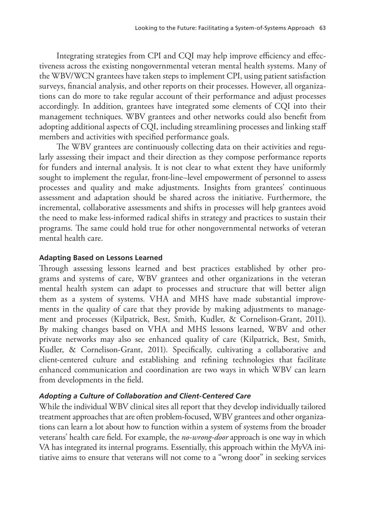Integrating strategies from CPI and CQI may help improve efficiency and effectiveness across the existing nongovernmental veteran mental health systems. Many of the WBV/WCN grantees have taken steps to implement CPI, using patient satisfaction surveys, financial analysis, and other reports on their processes. However, all organizations can do more to take regular account of their performance and adjust processes accordingly. In addition, grantees have integrated some elements of CQI into their management techniques. WBV grantees and other networks could also benefit from adopting additional aspects of CQI, including streamlining processes and linking staff members and activities with specified performance goals.

The WBV grantees are continuously collecting data on their activities and regularly assessing their impact and their direction as they compose performance reports for funders and internal analysis. It is not clear to what extent they have uniformly sought to implement the regular, front-line–level empowerment of personnel to assess processes and quality and make adjustments. Insights from grantees' continuous assessment and adaptation should be shared across the initiative. Furthermore, the incremental, collaborative assessments and shifts in processes will help grantees avoid the need to make less-informed radical shifts in strategy and practices to sustain their programs. The same could hold true for other nongovernmental networks of veteran mental health care.

#### **Adapting Based on Lessons Learned**

Through assessing lessons learned and best practices established by other programs and systems of care, WBV grantees and other organizations in the veteran mental health system can adapt to processes and structure that will better align them as a system of systems. VHA and MHS have made substantial improvements in the quality of care that they provide by making adjustments to management and processes (Kilpatrick, Best, Smith, Kudler, & Cornelison-Grant, 2011). By making changes based on VHA and MHS lessons learned, WBV and other private networks may also see enhanced quality of care (Kilpatrick, Best, Smith, Kudler, & Cornelison-Grant, 2011). Specifically, cultivating a collaborative and client-centered culture and establishing and refining technologies that facilitate enhanced communication and coordination are two ways in which WBV can learn from developments in the field.

# *Adopting a Culture of Collaboration and Client-Centered Care*

While the individual WBV clinical sites all report that they develop individually tailored treatment approaches that are often problem-focused, WBV grantees and other organizations can learn a lot about how to function within a system of systems from the broader veterans' health care field. For example, the *no-wrong-door* approach is one way in which VA has integrated its internal programs. Essentially, this approach within the MyVA initiative aims to ensure that veterans will not come to a "wrong door" in seeking services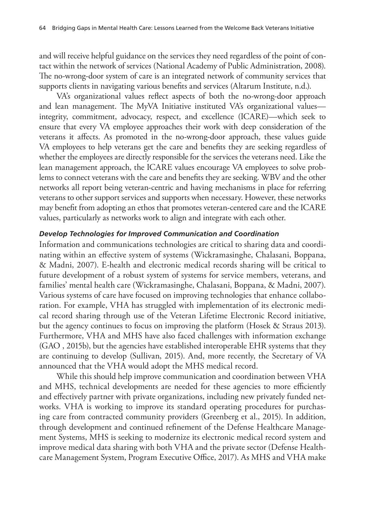and will receive helpful guidance on the services they need regardless of the point of contact within the network of services (National Academy of Public Administration, 2008). The no-wrong-door system of care is an integrated network of community services that supports clients in navigating various benefits and services (Altarum Institute, n.d.).

VA's organizational values reflect aspects of both the no-wrong-door approach and lean management. The MyVA Initiative instituted VA's organizational values integrity, commitment, advocacy, respect, and excellence (ICARE)—which seek to ensure that every VA employee approaches their work with deep consideration of the veterans it affects. As promoted in the no-wrong-door approach, these values guide VA employees to help veterans get the care and benefits they are seeking regardless of whether the employees are directly responsible for the services the veterans need. Like the lean management approach, the ICARE values encourage VA employees to solve problems to connect veterans with the care and benefits they are seeking. WBV and the other networks all report being veteran-centric and having mechanisms in place for referring veterans to other support services and supports when necessary. However, these networks may benefit from adopting an ethos that promotes veteran-centered care and the ICARE values, particularly as networks work to align and integrate with each other.

#### *Develop Technologies for Improved Communication and Coordination*

Information and communications technologies are critical to sharing data and coordinating within an effective system of systems (Wickramasinghe, Chalasani, Boppana, & Madni, 2007). E-health and electronic medical records sharing will be critical to future development of a robust system of systems for service members, veterans, and families' mental health care (Wickramasinghe, Chalasani, Boppana, & Madni, 2007). Various systems of care have focused on improving technologies that enhance collaboration. For example, VHA has struggled with implementation of its electronic medical record sharing through use of the Veteran Lifetime Electronic Record initiative, but the agency continues to focus on improving the platform (Hosek & Straus 2013). Furthermore, VHA and MHS have also faced challenges with information exchange (GAO , 2015b), but the agencies have established interoperable EHR systems that they are continuing to develop (Sullivan, 2015). And, more recently, the Secretary of VA announced that the VHA would adopt the MHS medical record.

While this should help improve communication and coordination between VHA and MHS, technical developments are needed for these agencies to more efficiently and effectively partner with private organizations, including new privately funded networks. VHA is working to improve its standard operating procedures for purchasing care from contracted community providers (Greenberg et al., 2015). In addition, through development and continued refinement of the Defense Healthcare Management Systems, MHS is seeking to modernize its electronic medical record system and improve medical data sharing with both VHA and the private sector (Defense Healthcare Management System, Program Executive Office, 2017). As MHS and VHA make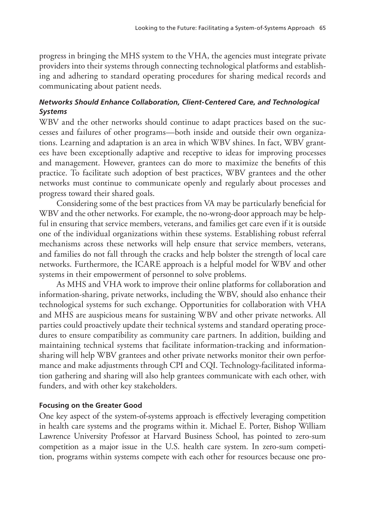progress in bringing the MHS system to the VHA, the agencies must integrate private providers into their systems through connecting technological platforms and establishing and adhering to standard operating procedures for sharing medical records and communicating about patient needs.

#### *Networks Should Enhance Collaboration, Client-Centered Care, and Technological Systems*

WBV and the other networks should continue to adapt practices based on the successes and failures of other programs—both inside and outside their own organizations. Learning and adaptation is an area in which WBV shines. In fact, WBV grantees have been exceptionally adaptive and receptive to ideas for improving processes and management. However, grantees can do more to maximize the benefits of this practice. To facilitate such adoption of best practices, WBV grantees and the other networks must continue to communicate openly and regularly about processes and progress toward their shared goals.

Considering some of the best practices from VA may be particularly beneficial for WBV and the other networks. For example, the no-wrong-door approach may be helpful in ensuring that service members, veterans, and families get care even if it is outside one of the individual organizations within these systems. Establishing robust referral mechanisms across these networks will help ensure that service members, veterans, and families do not fall through the cracks and help bolster the strength of local care networks. Furthermore, the ICARE approach is a helpful model for WBV and other systems in their empowerment of personnel to solve problems.

As MHS and VHA work to improve their online platforms for collaboration and information-sharing, private networks, including the WBV, should also enhance their technological systems for such exchange. Opportunities for collaboration with VHA and MHS are auspicious means for sustaining WBV and other private networks. All parties could proactively update their technical systems and standard operating procedures to ensure compatibility as community care partners. In addition, building and maintaining technical systems that facilitate information-tracking and informationsharing will help WBV grantees and other private networks monitor their own performance and make adjustments through CPI and CQI. Technology-facilitated information gathering and sharing will also help grantees communicate with each other, with funders, and with other key stakeholders.

#### **Focusing on the Greater Good**

One key aspect of the system-of-systems approach is effectively leveraging competition in health care systems and the programs within it. Michael E. Porter, Bishop William Lawrence University Professor at Harvard Business School, has pointed to zero-sum competition as a major issue in the U.S. health care system. In zero-sum competition, programs within systems compete with each other for resources because one pro-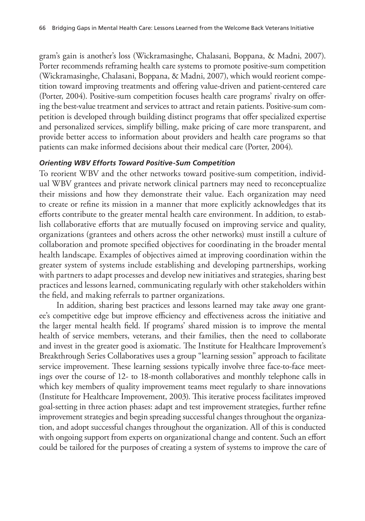gram's gain is another's loss (Wickramasinghe, Chalasani, Boppana, & Madni, 2007). Porter recommends reframing health care systems to promote positive-sum competition (Wickramasinghe, Chalasani, Boppana, & Madni, 2007), which would reorient competition toward improving treatments and offering value-driven and patient-centered care (Porter, 2004). Positive-sum competition focuses health care programs' rivalry on offering the best-value treatment and services to attract and retain patients. Positive-sum competition is developed through building distinct programs that offer specialized expertise and personalized services, simplify billing, make pricing of care more transparent, and provide better access to information about providers and health care programs so that patients can make informed decisions about their medical care (Porter, 2004).

#### *Orienting WBV Efforts Toward Positive-Sum Competition*

To reorient WBV and the other networks toward positive-sum competition, individual WBV grantees and private network clinical partners may need to reconceptualize their missions and how they demonstrate their value. Each organization may need to create or refine its mission in a manner that more explicitly acknowledges that its efforts contribute to the greater mental health care environment. In addition, to establish collaborative efforts that are mutually focused on improving service and quality, organizations (grantees and others across the other networks) must instill a culture of collaboration and promote specified objectives for coordinating in the broader mental health landscape. Examples of objectives aimed at improving coordination within the greater system of systems include establishing and developing partnerships, working with partners to adapt processes and develop new initiatives and strategies, sharing best practices and lessons learned, communicating regularly with other stakeholders within the field, and making referrals to partner organizations.

In addition, sharing best practices and lessons learned may take away one grantee's competitive edge but improve efficiency and effectiveness across the initiative and the larger mental health field. If programs' shared mission is to improve the mental health of service members, veterans, and their families, then the need to collaborate and invest in the greater good is axiomatic. The Institute for Healthcare Improvement's Breakthrough Series Collaboratives uses a group "learning session" approach to facilitate service improvement. These learning sessions typically involve three face-to-face meetings over the course of 12- to 18-month collaboratives and monthly telephone calls in which key members of quality improvement teams meet regularly to share innovations (Institute for Healthcare Improvement, 2003). This iterative process facilitates improved goal-setting in three action phases: adapt and test improvement strategies, further refine improvement strategies and begin spreading successful changes throughout the organization, and adopt successful changes throughout the organization. All of this is conducted with ongoing support from experts on organizational change and content. Such an effort could be tailored for the purposes of creating a system of systems to improve the care of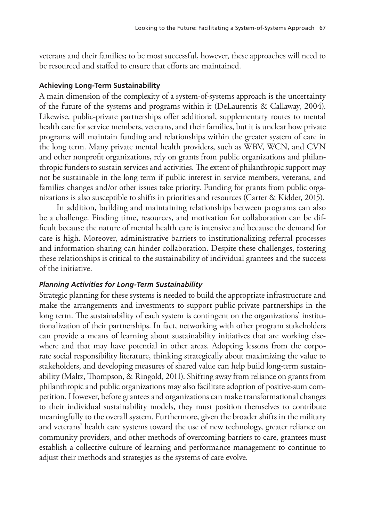veterans and their families; to be most successful, however, these approaches will need to be resourced and staffed to ensure that efforts are maintained.

#### **Achieving Long-Term Sustainability**

A main dimension of the complexity of a system-of-systems approach is the uncertainty of the future of the systems and programs within it (DeLaurentis & Callaway, 2004). Likewise, public-private partnerships offer additional, supplementary routes to mental health care for service members, veterans, and their families, but it is unclear how private programs will maintain funding and relationships within the greater system of care in the long term. Many private mental health providers, such as WBV, WCN, and CVN and other nonprofit organizations, rely on grants from public organizations and philanthropic funders to sustain services and activities. The extent of philanthropic support may not be sustainable in the long term if public interest in service members, veterans, and families changes and/or other issues take priority. Funding for grants from public organizations is also susceptible to shifts in priorities and resources (Carter & Kidder, 2015).

In addition, building and maintaining relationships between programs can also be a challenge. Finding time, resources, and motivation for collaboration can be difficult because the nature of mental health care is intensive and because the demand for care is high. Moreover, administrative barriers to institutionalizing referral processes and information-sharing can hinder collaboration. Despite these challenges, fostering these relationships is critical to the sustainability of individual grantees and the success of the initiative.

#### *Planning Activities for Long-Term Sustainability*

Strategic planning for these systems is needed to build the appropriate infrastructure and make the arrangements and investments to support public-private partnerships in the long term. The sustainability of each system is contingent on the organizations' institutionalization of their partnerships. In fact, networking with other program stakeholders can provide a means of learning about sustainability initiatives that are working elsewhere and that may have potential in other areas. Adopting lessons from the corporate social responsibility literature, thinking strategically about maximizing the value to stakeholders, and developing measures of shared value can help build long-term sustainability (Maltz, Thompson, & Ringold, 2011). Shifting away from reliance on grants from philanthropic and public organizations may also facilitate adoption of positive-sum competition. However, before grantees and organizations can make transformational changes to their individual sustainability models, they must position themselves to contribute meaningfully to the overall system. Furthermore, given the broader shifts in the military and veterans' health care systems toward the use of new technology, greater reliance on community providers, and other methods of overcoming barriers to care, grantees must establish a collective culture of learning and performance management to continue to adjust their methods and strategies as the systems of care evolve.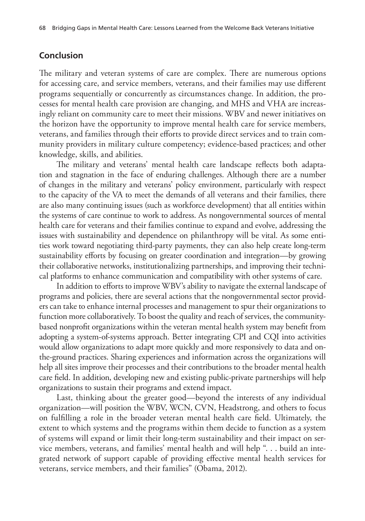# **Conclusion**

The military and veteran systems of care are complex. There are numerous options for accessing care, and service members, veterans, and their families may use different programs sequentially or concurrently as circumstances change. In addition, the processes for mental health care provision are changing, and MHS and VHA are increasingly reliant on community care to meet their missions. WBV and newer initiatives on the horizon have the opportunity to improve mental health care for service members, veterans, and families through their efforts to provide direct services and to train community providers in military culture competency; evidence-based practices; and other knowledge, skills, and abilities.

The military and veterans' mental health care landscape reflects both adaptation and stagnation in the face of enduring challenges. Although there are a number of changes in the military and veterans' policy environment, particularly with respect to the capacity of the VA to meet the demands of all veterans and their families, there are also many continuing issues (such as workforce development) that all entities within the systems of care continue to work to address. As nongovernmental sources of mental health care for veterans and their families continue to expand and evolve, addressing the issues with sustainability and dependence on philanthropy will be vital. As some entities work toward negotiating third-party payments, they can also help create long-term sustainability efforts by focusing on greater coordination and integration—by growing their collaborative networks, institutionalizing partnerships, and improving their technical platforms to enhance communication and compatibility with other systems of care.

In addition to efforts to improve WBV's ability to navigate the external landscape of programs and policies, there are several actions that the nongovernmental sector providers can take to enhance internal processes and management to spur their organizations to function more collaboratively. To boost the quality and reach of services, the communitybased nonprofit organizations within the veteran mental health system may benefit from adopting a system-of-systems approach. Better integrating CPI and CQI into activities would allow organizations to adapt more quickly and more responsively to data and onthe-ground practices. Sharing experiences and information across the organizations will help all sites improve their processes and their contributions to the broader mental health care field. In addition, developing new and existing public-private partnerships will help organizations to sustain their programs and extend impact.

Last, thinking about the greater good—beyond the interests of any individual organization—will position the WBV, WCN, CVN, Headstrong, and others to focus on fulfilling a role in the broader veteran mental health care field. Ultimately, the extent to which systems and the programs within them decide to function as a system of systems will expand or limit their long-term sustainability and their impact on service members, veterans, and families' mental health and will help ". . . build an integrated network of support capable of providing effective mental health services for veterans, service members, and their families" (Obama, 2012).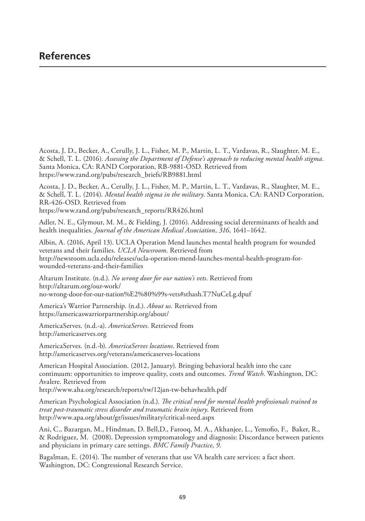Acosta, J. D., Becker, A., Cerully, J. L., Fisher, M. P., Martin, L. T., Vardavas, R., Slaughter, M. E., & Schell, T. L. (2016). *Assessing the Department of Defense's approach to reducing mental health stigma*. Santa Monica, CA: RAND Corporation, RB-9881-OSD. Retrieved from [https://www.rand.org/pubs/research\\_briefs/RB9881.html](https://www.rand.org/pubs/research_briefs/RB9881.html)

Acosta, J. D., Becker, A., Cerully, J. L., Fisher, M. P., Martin, L. T., Vardavas, R., Slaughter, M. E., & Schell, T. L. (2014). *Mental health stigma in the military*. Santa Monica, CA: RAND Corporation, RR-426-OSD. Retrieved from

[https://www.rand.org/pubs/research\\_reports/RR426.html](https://www.rand.org/pubs/research_reports/RR426.html)

Adler, N. E., Glymour, M. M., & Fielding, J. (2016). Addressing social determinants of health and health inequalities. *Journal of the American Medical Association*, *316*, 1641–1642.

Albin, A. (2016, April 13). UCLA Operation Mend launches mental health program for wounded veterans and their families. *UCLA Newsroom*. Retrieved from [http://newsroom.ucla.edu/releases/ucla-operation-mend-launches-mental-health-program-for](http://newsroom.ucla.edu/releases/ucla-operation-mend-launches-mental-health-program-for-wounded-veterans-and-their-families)wounded-veterans-and-their-families

Altarum Institute. (n.d.). *No wrong door for our nation's vets*. Retrieved from http://altarum.org/our-work/ [no-wrong-door-for-our-nation%E2%80%99s-vets#sthash.T7NuCeLg.dpuf](http://altarum.org/our-work/no-wrong-door-for-our-nation%E2%80%99s-vets#sthash.T7NuCeLg.dpuf)

America's Warrior Partnership. (n.d.). *About us.* Retrieved from <https://americaswarriorpartnership.org/about/>

AmericaServes. (n.d.-a). *AmericaServes*. Retrieved from <http://americaserves.org>

AmericaServes. (n.d.-b). *AmericaServes locations*. Retrieved from <http://americaserves.org/veterans/americaserves-locations>

American Hospital Association. (2012, January). Bringing behavioral health into the care continuum: opportunities to improve quality, costs and outcomes. *Trend Watch*. Washington, DC: Avalere. Retrieved from

<http://www.aha.org/research/reports/tw/12jan-tw-behavhealth.pdf>

American Psychological Association (n.d.). *The critical need for mental health professionals trained to treat post-traumatic stress disorder and traumatic brain injury*. Retrieved from <http://www.apa.org/about/gr/issues/military/critical-need.aspx>

Ani, C., Bazargan, M., Hindman, D. Bell,D., Farooq, M. A., Akhanjee, L., Yemofio, F., Baker, R., & Rodriguez, M. (2008). Depression symptomatology and diagnosis: Discordance between patients and physicians in primary care settings. *BMC Family Practice*, *9*.

Bagalman, E. (2014). The number of veterans that use VA health care services: a fact sheet. Washington, DC: Congressional Research Service.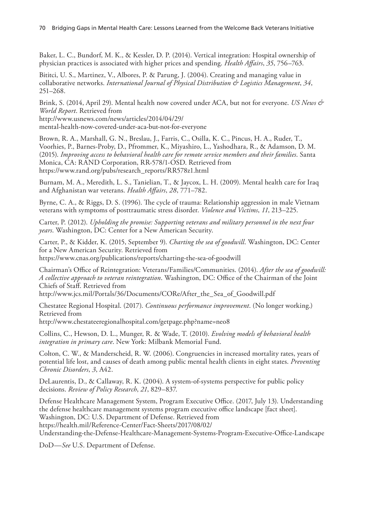Baker, L. C., Bundorf, M. K., & Kessler, D. P. (2014). Vertical integration: Hospital ownership of physician practices is associated with higher prices and spending. *Health Affairs*, *35*, 756–763.

Bititci, U. S., Martinez, V., Albores, P. & Parung, J. (2004). Creating and managing value in collaborative networks. *International Journal of Physical Distribution & Logistics Management*, *34*, 251–268.

Brink, S. (2014, April 29). Mental health now covered under ACA, but not for everyone. *US News & World Report*. Retrieved from

http://www.usnews.com/news/articles/2014/04/29/ [mental-health-now-covered-under-aca-but-not-for-everyone](http://www.usnews.com/news/articles/2014/04/29/mental-health-now-covered-under-aca-but-not-for-everyone)

Brown, R. A., Marshall, G. N., Breslau, J., Farris, C., Osilla, K. C., Pincus, H. A., Ruder, T., Voorhies, P., Barnes-Proby, D., Pfrommer, K., Miyashiro, L., Yashodhara, R., & Adamson, D. M. (2015). *Improving access to behavioral health care for remote service members and their families*. Santa Monica, CA: RAND Corporation, RR-578/1-OSD. Retrieved from [https://www.rand.org/pubs/research\\_reports/RR578z1.html](https://www.rand.org/pubs/research_reports/RR578z1.html)

Burnam, M. A., Meredith, L. S., Tanielian, T., & Jaycox, L. H. (2009). Mental health care for Iraq and Afghanistan war veterans. *Health Affairs*, *28*, 771–782.

Byrne, C. A., & Riggs, D. S. (1996). The cycle of trauma: Relationship aggression in male Vietnam veterans with symptoms of posttraumatic stress disorder. *Violence and Victims*, *11*, 213–225.

Carter, P. (2012). *Upholding the promise: Supporting veterans and military personnel in the next four years*. Washington, DC: Center for a New American Security.

Carter, P., & Kidder, K. (2015, September 9). *Charting the sea of goodwill*. Washington, DC: Center for a New American Security. Retrieved from <https://www.cnas.org/publications/reports/charting-the-sea-of-goodwill>

Chairman's Office of Reintegration: Veterans/Families/Communities. (2014). *After the sea of goodwill: A collective approach to veteran reintegration*. Washington, DC: Office of the Chairman of the Joint Chiefs of Staff. Retrieved from

[http://www.jcs.mil/Portals/36/Documents/CORe/After\\_the\\_Sea\\_of\\_Goodwill.pdf](http://www.jcs.mil/Portals/36/Documents/CORe/After_the_Sea_of_Goodwill.pdf)

Chestatee Regional Hospital. (2017). *Continuous performance improvement*. (No longer working.) Retrieved from

<http://www.chestateeregionalhospital.com/getpage.php?name=neo8>

Collins, C., Hewson, D. L., Munger, R. & Wade, T. (2010). *Evolving models of behavioral health integration in primary care*. New York: Milbank Memorial Fund.

Colton, C. W., & Manderscheid, R. W. (2006). Congruencies in increased mortality rates, years of potential life lost, and causes of death among public mental health clients in eight states. *Preventing Chronic Disorders*, *3*, A42.

DeLaurentis, D., & Callaway, R. K. (2004). A system-of-systems perspective for public policy decisions. *Review of Policy Research*, *21*, 829–837.

Defense Healthcare Management System, Program Executive Office. (2017, July 13). Understanding the defense healthcare management systems program executive office landscape [fact sheet]. Washington, DC: U.S. Department of Defense. Retrieved from https://health.mil/Reference-Center/Fact-Sheets/2017/08/02/ [Understanding-the-Defense-Healthcare-Management-Systems-Program-Executive-Office-Landscape](https://health.mil/Reference-Center/Fact-Sheets/2017/08/02/Understanding-the-Defense-Healthcare-Management-Systems-Program-Executive-Office-Landscape) 

DoD—*See* U.S. Department of Defense.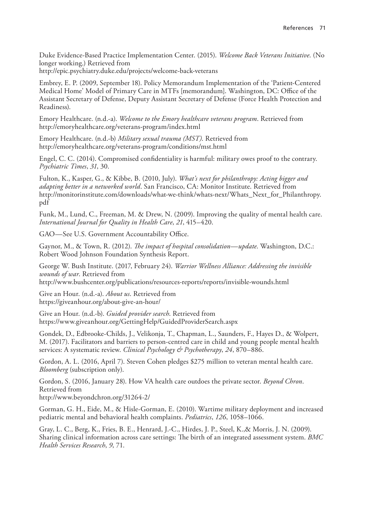Duke Evidence-Based Practice Implementation Center. (2015). *Welcome Back Veterans Initiative*. (No longer working.) Retrieved from

<http://epic.psychiatry.duke.edu/projects/welcome-back-veterans>

Embrey, E. P. (2009, September 18). Policy Memorandum Implementation of the 'Patient-Centered Medical Home' Model of Primary Care in MTFs [memorandum]. Washington, DC: Office of the Assistant Secretary of Defense, Deputy Assistant Secretary of Defense (Force Health Protection and Readiness).

Emory Healthcare. (n.d.-a). *Welcome to the Emory healthcare veterans program*. Retrieved from <http://emoryhealthcare.org/veterans-program/index.html>

Emory Healthcare. (n.d.-b) *Military sexual trauma (MST)*. Retrieved from <http://emoryhealthcare.org/veterans-program/conditions/mst.html>

Engel, C. C. (2014). Compromised confidentiality is harmful: military owes proof to the contrary. *Psychiatric Times*, *31*, 30.

Fulton, K., Kasper, G., & Kibbe, B. (2010, July). *What's next for philanthropy: Acting bigger and adapting better in a networked world*. San Francisco, CA: Monitor Institute. Retrieved from [http://monitorinstitute.com/downloads/what-we-think/whats-next/Whats\\_Next\\_for\\_Philanthropy.](http://monitorinstitute.com/downloads/what-we-think/whats-next/Whats_Next_for_Philanthropy.pdf) pdf

Funk, M., Lund, C., Freeman, M. & Drew, N. (2009). Improving the quality of mental health care. *International Journal for Quality in Health Care*, *21*, 415–420.

GAO—See U.S. Government Accountability Office.

Gaynor, M., & Town, R. (2012). *The impact of hospital consolidation—update*. Washington, D.C.: Robert Wood Johnson Foundation Synthesis Report.

George W. Bush Institute. (2017, February 24). *Warrior Wellness Alliance: Addressing the invisible wounds of war*. Retrieved from <http://www.bushcenter.org/publications/resources-reports/reports/invisible-wounds.html>

Give an Hour. (n.d.-a). *About us*. Retrieved from <https://giveanhour.org/about-give-an-hour/>

Give an Hour. (n.d.-b). *Guided provider search*. Retrieved from <https://www.giveanhour.org/GettingHelp/GuidedProviderSearch.aspx>

Gondek, D., Edbrooke‐Childs, J., Velikonja, T., Chapman, L., Saunders, F., Hayes D., & Wolpert, M. (2017). Facilitators and barriers to person-centred care in child and young people mental health services: A systematic review. *Clinical Psychology & Psychotherapy*, *24*, 870–886.

Gordon, A. L. (2016, April 7). Steven Cohen pledges \$275 million to veteran mental health care. *Bloomberg* (subscription only).

Gordon, S. (2016, January 28). How VA health care outdoes the private sector. *Beyond Chron*. Retrieved from

<http://www.beyondchron.org/31264-2/>

Gorman, G. H., Eide, M., & Hisle-Gorman, E. (2010). Wartime military deployment and increased pediatric mental and behavioral health complaints. *Pediatrics*, *126*, 1058–1066.

Gray, L. C., Berg, K., Fries, B. E., Henrard, J.-C., Hirdes, J. P., Steel, K.,& Morris, J. N. (2009). Sharing clinical information across care settings: The birth of an integrated assessment system. *BMC Health Services Research*, *9*, 71.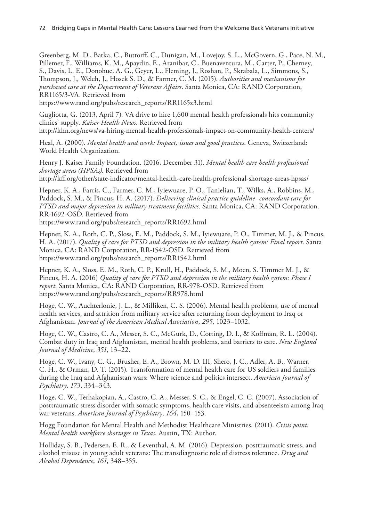Greenberg, M. D., Batka, C., Buttorff, C., Dunigan, M., Lovejoy, S. L., McGovern, G., Pace, N. M., Pillemer, F., Williams, K. M., Apaydin, E., Aranibar, C., Buenaventura, M., Carter, P., Cherney, S., Davis, L. E., Donohue, A. G., Geyer, L., Fleming, J., Roshan, P., Skrabala, L., Simmons, S., Thompson, J., Welch, J., Hosek S. D., & Farmer, C. M. (2015). *Authorities and mechanisms for purchased care at the Department of Veterans Affairs*. Santa Monica, CA: RAND Corporation, RR1165/3-VA. Retrieved from

[https://www.rand.org/pubs/research\\_reports/RR1165z3.html](https://www.rand.org/pubs/research_reports/RR1165z3.html)

Gugliotta, G. (2013, April 7). VA drive to hire 1,600 mental health professionals hits community clinics' supply. *Kaiser Health News*. Retrieved from

<http://khn.org/news/va-hiring-mental-health-professionals-impact-on-community-health-centers/>

Heal, A. (2000). *Mental health and work: Impact, issues and good practices*. Geneva, Switzerland: World Health Organization.

Henry J. Kaiser Family Foundation. (2016, December 31). *Mental health care health professional shortage areas (HPSAs)*. Retrieved from <http://kff.org/other/state-indicator/mental-health-care-health-professional-shortage-areas-hpsas/>

Hepner, K. A., Farris, C., Farmer, C. M., Iyiewuare, P. O., Tanielian, T., Wilks, A., Robbins, M., Paddock, S. M., & Pincus, H. A. (2017). *Delivering clinical practice guideline–concordant care for PTSD and major depression in military treatment facilities*. Santa Monica, CA: RAND Corporation. RR-1692-OSD. Retrieved from

[https://www.rand.org/pubs/research\\_reports/RR1692.html](https://www.rand.org/pubs/research_reports/RR1692.html)

Hepner, K. A., Roth, C. P., Sloss, E. M., Paddock, S. M., Iyiewuare, P. O., Timmer, M. J., & Pincus, H. A. (2017). *Quality of care for PTSD and depression in the military health system: Final report*. Santa Monica, CA: RAND Corporation, RR-1542-OSD. Retrieved from [https://www.rand.org/pubs/research\\_reports/RR1542.html](https://www.rand.org/pubs/research_reports/RR1542.html)

Hepner, K. A., Sloss, E. M., Roth, C. P., Krull, H., Paddock, S. M., Moen, S. Timmer M. J., & Pincus, H. A. (2016) *Quality of care for PTSD and depression in the military health system: Phase I report*. Santa Monica, CA: RAND Corporation, RR-978-OSD. Retrieved from [https://www.rand.org/pubs/research\\_reports/RR978.html](https://www.rand.org/pubs/research_reports/RR978.html)

Hoge, C. W., Auchterlonie, J. L., & Milliken, C. S. (2006). Mental health problems, use of mental health services, and attrition from military service after returning from deployment to Iraq or Afghanistan. *Journal of the American Medical Association*, *295*, 1023–1032.

Hoge, C. W., Castro, C. A., Messer, S. C., McGurk, D., Cotting, D. I., & Koffman, R. L. (2004). Combat duty in Iraq and Afghanistan, mental health problems, and barriers to care. *New England Journal of Medicine*, *351*, 13–22.

Hoge, C. W., Ivany, C. G., Brusher, E. A., Brown, M. D. III, Shero, J. C., Adler, A. B., Warner, C. H., & Orman, D. T. (2015). Transformation of mental health care for US soldiers and families during the Iraq and Afghanistan wars: Where science and politics intersect. *American Journal of Psychiatry*, *173*, 334–343.

Hoge, C. W., Terhakopian, A., Castro, C. A., Messer, S. C., & Engel, C. C. (2007). Association of posttraumatic stress disorder with somatic symptoms, health care visits, and absenteeism among Iraq war veterans. *American Journal of Psychiatry*, *164*, 150–153.

Hogg Foundation for Mental Health and Methodist Healthcare Ministries. (2011). *Crisis point: Mental health workforce shortages in Texas*. Austin, TX: Author.

Holliday, S. B., Pedersen, E. R., & Leventhal, A. M. (2016). Depression, posttraumatic stress, and alcohol misuse in young adult veterans: The transdiagnostic role of distress tolerance. *Drug and Alcohol Dependence*, *161*, 348–355.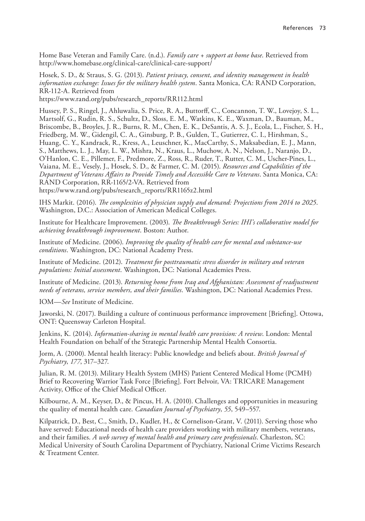Home Base Veteran and Family Care. (n.d.). *Family care + support at home base*. Retrieved from <http://www.homebase.org/clinical-care/clinical-care-support/>

Hosek, S. D., & Straus, S. G. (2013). *Patient privacy, consent, and identity management in health information exchange: Issues for the military health system*. Santa Monica, CA: RAND Corporation, RR-112-A. Retrieved from

[https://www.rand.org/pubs/research\\_reports/RR112.html](https://www.rand.org/pubs/research_reports/RR112.html)

Hussey, P. S., Ringel, J., Ahluwalia, S. Price, R. A., Buttorff, C., Concannon, T. W., Lovejoy, S. L., Martsolf, G., Rudin, R. S., Schultz, D., Sloss, E. M., Watkins, K. E., Waxman, D., Bauman, M., Briscombe, B., Broyles, J. R., Burns, R. M., Chen, E. K., DeSantis, A. S. J., Ecola, L., Fischer, S. H., Friedberg, M. W., Gidengil, C. A., Ginsburg, P. B., Gulden, T., Gutierrez, C. I., Hirshman, S., Huang, C. Y., Kandrack, R., Kress, A., Leuschner, K., MacCarthy, S., Maksabedian, E. J., Mann, S., Matthews, L. J., May, L. W., Mishra, N., Kraus, L., Muchow, A. N., Nelson, J., Naranjo, D., O'Hanlon, C. E., Pillemer, F., Predmore, Z., Ross, R., Ruder, T., Rutter, C. M., Uscher-Pines, L., Vaiana, M. E., Vesely, J., Hosek, S. D., & Farmer, C. M. (2015). *Resources and Capabilities of the Department of Veterans Affairs to Provide Timely and Accessible Care to Veterans*. Santa Monica, CA: RAND Corporation, RR-1165/2-VA. Retrieved from [https://www.rand.org/pubs/research\\_reports/RR1165z2.html](https://www.rand.org/pubs/research_reports/RR1165z2.html)

IHS Markit. (2016). *The complexities of physician supply and demand: Projections from 2014 to 2025*. Washington, D.C.: Association of American Medical Colleges.

Institute for Healthcare Improvement. (2003). *The Breakthrough Series: IHI's collaborative model for achieving breakthrough improvement*. Boston: Author.

Institute of Medicine. (2006). *Improving the quality of health care for mental and substance-use conditions*. Washington, DC: National Academy Press.

Institute of Medicine. (2012). *Treatment for posttraumatic stress disorder in military and veteran populations: Initial assessment*. Washington, DC: National Academies Press.

Institute of Medicine. (2013). *Returning home from Iraq and Afghanistan: Assessment of readjustment needs of veterans, service members, and their families*. Washington, DC: National Academies Press.

IOM—*See* Institute of Medicine.

Jaworski, N. (2017). Building a culture of continuous performance improvement [Briefing]. Ottowa, ONT: Queensway Carleton Hospital.

Jenkins, K. (2014). *Information-sharing in mental health care provision: A review*. London: Mental Health Foundation on behalf of the Strategic Partnership Mental Health Consortia.

Jorm, A. (2000). Mental health literacy: Public knowledge and beliefs about. *British Journal of Psychiatry*, *177*, 317–327.

Julian, R. M. (2013). Military Health System (MHS) Patient Centered Medical Home (PCMH) Brief to Recovering Warrior Task Force [Briefing]. Fort Belvoir, VA: TRICARE Management Activity, Office of the Chief Medical Officer.

Kilbourne, A. M., Keyser, D., & Pincus, H. A. (2010). Challenges and opportunities in measuring the quality of mental health care. *Canadian Journal of Psychiatry*, *55*, 549–557.

Kilpatrick, D., Best, C., Smith, D., Kudler, H., & Cornelison-Grant, V. (2011). Serving those who have served: Educational needs of health care providers working with military members, veterans, and their families. *A web survey of mental health and primary care professionals*. Charleston, SC: Medical University of South Carolina Department of Psychiatry, National Crime Victims Research & Treatment Center.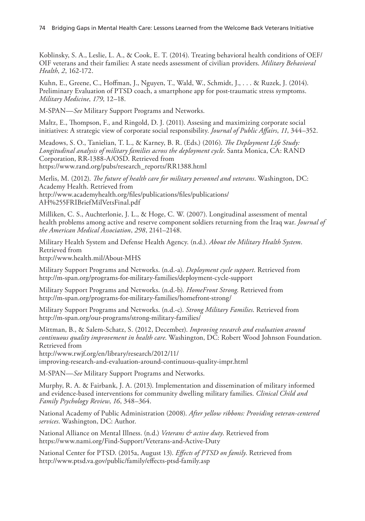Koblinsky, S. A., Leslie, L. A., & Cook, E. T. (2014). Treating behavioral health conditions of OEF/ OIF veterans and their families: A state needs assessment of civilian providers. *Military Behavioral Health*, *2*, 162-172.

Kuhn, E., Greene, C., Hoffman, J., Nguyen, T., Wald, W., Schmidt, J., . . . & Ruzek, J. (2014). Preliminary Evaluation of PTSD coach, a smartphone app for post-traumatic stress symptoms. *Military Medicine*, *179*, 12–18.

M-SPAN—*See* Military Support Programs and Networks.

Maltz, E., Thompson, F., and Ringold, D. J. (2011). Assesing and maximizing corporate social initiatives: A strategic view of corporate social responsibility. *Journal of Public Affairs*, *11*, 344–352.

Meadows, S. O., Tanielian, T. L., & Karney, B. R. (Eds.) (2016). *The Deployment Life Study: Longitudinal analysis of military families across the deployment cycle*. Santa Monica, CA: RAND Corporation, RR-1388-A/OSD. Retrieved from [https://www.rand.org/pubs/research\\_reports/RR1388.html](https://www.rand.org/pubs/research_reports/RR1388.html)

Merlis, M. (2012). *The future of health care for military personnel and veterans*. Washington, DC: Academy Health. Retrieved from [http://www.academyhealth.org/files/publications/files/publications/](http://www.academyhealth.org/files/publications/files/publications/AH%255FRIBriefMilVetsFinal.pdf) AH%255FRIBriefMilVetsFinal.pdf

Milliken, C. S., Auchterlonie, J. L., & Hoge, C. W. (2007). Longitudinal assessment of mental health problems among active and reserve component soldiers returning from the Iraq war. *Journal of the American Medical Association*, *298*, 2141–2148.

Military Health System and Defense Health Agency. (n.d.). *About the Military Health System*. Retrieved from <http://www.health.mil/About-MHS>

Military Support Programs and Networks. (n.d.-a). *Deployment cycle support*. Retrieved from <http://m-span.org/programs-for-military-families/deployment-cycle-support>

Military Support Programs and Networks. (n.d.-b). *HomeFront Strong*. Retrieved from <http://m-span.org/programs-for-military-families/homefront-strong/>

Military Support Programs and Networks. (n.d.-c). *Strong Military Families*. Retrieved from <http://m-span.org/our-programs/strong-military-families/>

Mittman, B., & Salem-Schatz, S. (2012, December). *Improving research and evaluation around continuous quality improvement in health care*. Washington, DC: Robert Wood Johnson Foundation. Retrieved from

http://www.rwjf.org/en/library/research/2012/11/ [improving-research-and-evaluation-around-continuous-quality-impr.html](http://www.rwjf.org/en/library/research/2012/11/improving-research-and-evaluation-around-continuous-quality-impr.html)

M-SPAN—*See* Military Support Programs and Networks.

Murphy, R. A. & Fairbank, J. A. (2013). Implementation and dissemination of military informed and evidence-based interventions for community dwelling military families. *Clinical Child and Family Psychology Review*, *16*, 348–364.

National Academy of Public Administration (2008). *After yellow ribbons: Providing veteran-centered services*. Washington, DC: Author.

National Alliance on Mental Illness. (n.d.) *Veterans & active duty*. Retrieved from <https://www.nami.org/Find-Support/Veterans-and-Active-Duty>

National Center for PTSD. (2015a, August 13). *Effects of PTSD on family*. Retrieved from <http://www.ptsd.va.gov/public/family/effects-ptsd-family.asp>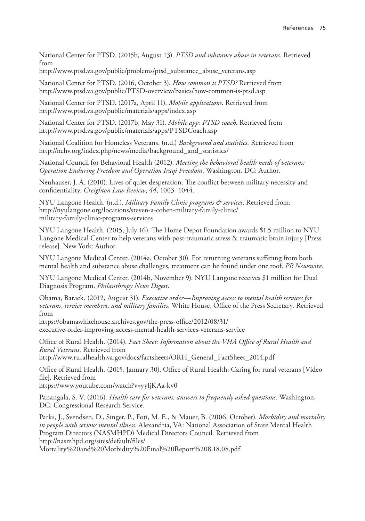National Center for PTSD. (2015b, August 13). *PTSD and substance abuse in veterans*. Retrieved from

[http://www.ptsd.va.gov/public/problems/ptsd\\_substance\\_abuse\\_veterans.asp](http://www.ptsd.va.gov/public/problems/ptsd_substance_abuse_veterans.asp)

National Center for PTSD. (2016, October 3). *How common is PTSD?* Retrieved from <http://www.ptsd.va.gov/public/PTSD-overview/basics/how-common-is-ptsd.asp>

National Center for PTSD. (2017a, April 11). *Mobile applications*. Retrieved from <http://www.ptsd.va.gov/public/materials/apps/index.asp>

National Center for PTSD. (2017b, May 31). *Mobile app: PTSD coach*. Retrieved from <http://www.ptsd.va.gov/public/materials/apps/PTSDCoach.asp>

National Coalition for Homeless Veterans. (n.d.) *Background and statistics*. Retrieved from [http://nchv.org/index.php/news/media/background\\_and\\_statistics/](http://nchv.org/index.php/news/media/background_and_statistics/)

National Council for Behavioral Health (2012). *Meeting the behavioral health needs of veterans: Operation Enduring Freedom and Operation Iraqi Freedom*. Washington, DC: Author.

Neuhauser, J. A. (2010). Lives of quiet desperation: The conflict between military necessity and confidentiality. *Creighton Law Review*, *44*, 1003–1044.

NYU Langone Health. (n.d.). *Military Family Clinic programs & services*. Retrieved from: [http://nyulangone.org/locations/steven-a-cohen-military-family-clinic/](http://nyulangone.org/locations/steven-a-cohen-military-family-clinic/military-family-clinic-programs-services) military-family-clinic-programs-services

NYU Langone Health. (2015, July 16). The Home Depot Foundation awards \$1.5 million to NYU Langone Medical Center to help veterans with post-traumatic stress & traumatic brain injury [Press release]. New York: Author.

NYU Langone Medical Center. (2014a, October 30). For returning veterans suffering from both mental health and substance abuse challenges, treatment can be found under one roof. *PR Newswire*.

NYU Langone Medical Center. (2014b, November 9). NYU Langone receives \$1 million for Dual Diagnosis Program. *Philanthropy News Digest*.

Obama, Barack. (2012, August 31). *Executive order—Improving access to mental health services for veterans, service members, and military families*. White House, Office of the Press Secretary. Retrieved from

https://obamawhitehouse.archives.gov/the-press-office/2012/08/31/ [executive-order-improving-access-mental-health-services-veterans-service](https://obamawhitehouse.archives.gov/the-press-office/2012/08/31/executive-order-improving-access-mental-health-services-veterans-service)

Office of Rural Health. (2014). *Fact Sheet: Information about the VHA Office of Rural Health and Rural Veterans*. Retrieved from

[http://www.ruralhealth.va.gov/docs/factsheets/ORH\\_General\\_FactSheet\\_2014.pdf](http://www.ruralhealth.va.gov/docs/factsheets/ORH_General_FactSheet_2014.pdf)

Office of Rural Health. (2015, January 30). Office of Rural Health: Caring for rural veterans [Video file]. Retrieved from

<https://www.youtube.com/watch?v=yyIjKAa-kv0>

Panangala, S. V. (2016). *Health care for veterans: answers to frequently asked questions*. Washington, DC: Congressional Research Service.

Parks, J., Svendsen, D., Singer, P., Foti, M. E., & Mauer, B. (2006, October). *Morbidity and mortality in people with serious mental illness*. Alexandria, VA: National Association of State Mental Health Program Directors (NASMHPD) Medical Directors Council. Retrieved from http://nasmhpd.org/sites/default/files/

[Mortality%20and%20Morbidity%20Final%20Report%208.18.08.pdf](http://nasmhpd.org/sites/default/files/Mortality%20and%20Morbidity%20Final%20Report%208.18.08.pdf)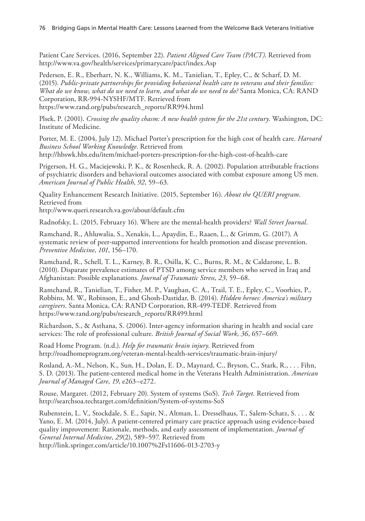Patient Care Services. (2016, September 22). *Patient Aligned Care Team (PACT)*. Retrieved from <http://www.va.gov/health/services/primarycare/pact/index.Asp>

Pedersen, E. R., Eberhart, N. K., Williams, K. M., Tanielian, T., Epley, C., & Scharf, D. M. (2015). *Public-private partnerships for providing behavioral health care to veterans and their families: What do we know, what do we need to learn, and what do we need to do?* Santa Monica, CA: RAND Corporation, RR-994-NYSHF/MTF. Retrieved from

[https://www.rand.org/pubs/research\\_reports/RR994.html](https://www.rand.org/pubs/research_reports/RR994.html)

Plsek, P. (2001). *Crossing the quality chasm: A new health system for the 21st century*. Washington, DC: Institute of Medicine.

Porter, M. E. (2004, July 12). Michael Porter's prescription for the high cost of health care. *Harvard Business School Working Knowledge*. Retrieved from <http://hbswk.hbs.edu/item/michael-porters-prescription-for-the-high-cost-of-health-care>

Prigerson, H. G., Maciejewski, P. K., & Rosenheck, R. A. (2002). Population attributable fractions of psychiatric disorders and behavioral outcomes associated with combat exposure among US men. *American Journal of Public Health*, *92*, 59–63.

Quality Enhancement Research Initiative. (2015, September 16). *About the QUERI program*. Retrieved from <http://www.queri.research.va.gov/about/default.cfm>

Radnofsky, L. (2015, February 16). Where are the mental-health providers? *Wall Street Journal*.

Ramchand, R., Ahluwalia, S., Xenakis, L., Apaydin, E., Raaen, L., & Grimm, G. (2017). A systematic review of peer-supported interventions for health promotion and disease prevention. *Preventive Medicine*, *101*, 156–170.

Ramchand, R., Schell, T. L., Karney, B. R., Osilla, K. C., Burns, R. M., & Caldarone, L. B. (2010). Disparate prevalence estimates of PTSD among service members who served in Iraq and Afghanistan: Possible explanations. *Journal of Traumatic Stress*, *23*, 59–68.

Ramchand, R., Tanielian, T., Fisher, M. P., Vaughan, C. A., Trail, T. E., Epley, C., Voorhies, P., Robbins, M. W., Robinson, E., and Ghosh-Dastidar, B. (2014). *Hidden heroes: America's military caregivers*. Santa Monica, CA: RAND Corporation, RR-499-TEDF. Retrieved from [https://www.rand.org/pubs/research\\_reports/RR499.html](https://www.rand.org/pubs/research_reports/RR499.html)

Richardson, S., & Asthana, S. (2006). Inter-agency information sharing in health and social care services: The role of professional culture. *British Journal of Social Work*, *36*, 657–669.

Road Home Program. (n.d.). *Help for traumatic brain injury*. Retrieved from <http://roadhomeprogram.org/veteran-mental-health-services/traumatic-brain-injury/>

Rosland, A.-M., Nelson, K., Sun, H., Dolan, E. D., Maynard, C., Bryson, C., Stark, R., . . . Fihn, S. D. (2013). The patient-centered medical home in the Veterans Health Administration. *American Journal of Managed Care*, *19*, e263–e272.

Rouse, Margaret. (2012, February 20). System of systems (SoS). *Tech Target*. Retrieved from <http://searchsoa.techtarget.com/definition/System-of-systems-SoS>

Rubenstein, L. V., Stockdale, S. E., Sapir, N., Altman, L. Dresselhaus, T., Salem-Schatz, S. . . . & Yano, E. M. (2014, July). A patient-centered primary care practice approach using evidence-based quality improvement: Rationale, methods, and early assessment of implementation. *Journal of General Internal Medicine*, *29*(2), 589–597. Retrieved from <http://link.springer.com/article/10.1007%2Fs11606-013-2703-y>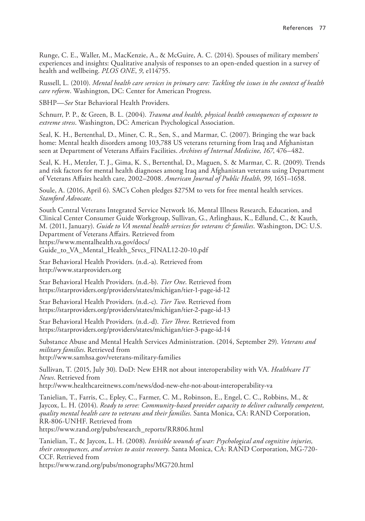Runge, C. E., Waller, M., MacKenzie, A., & McGuire, A. C. (2014). Spouses of military members' experiences and insights: Qualitative analysis of responses to an open-ended question in a survey of health and wellbeing. *PLOS ONE*, *9*, e114755.

Russell, L. (2010). *Mental health care services in primary care: Tackling the issues in the context of health care reform*. Washington, DC: Center for American Progress.

SBHP—*See* Star Behavioral Health Providers.

Schnurr, P. P., & Green, B. L. (2004). *Trauma and health, physical health consequences of exposure to extreme stress*. Washington, DC: American Psychological Association.

Seal, K. H., Bertenthal, D., Miner, C. R., Sen, S., and Marmar, C. (2007). Bringing the war back home: Mental health disorders among 103,788 US veterans returning from Iraq and Afghanistan seen at Department of Veterans Affairs Facilities. *Archives of Internal Medicine*, *167*, 476–482.

Seal, K. H., Metzler, T. J., Gima, K. S., Bertenthal, D., Maguen, S. & Marmar, C. R. (2009). Trends and risk factors for mental health diagnoses among Iraq and Afghanistan veterans using Department of Veterans Affairs health care, 2002–2008. *American Journal of Public Health*, *99*, 1651–1658.

Soule, A. (2016, April 6). SAC's Cohen pledges \$275M to vets for free mental health services. *Stamford Advocate*.

South Central Veterans Integrated Service Network 16, Mental Illness Research, Education, and Clinical Center Consumer Guide Workgroup, Sullivan, G., Arlinghaus, K., Edlund, C., & Kauth, M. (2011, January). *Guide to VA mental health services for veterans & families*. Washington, DC: U.S. Department of Veterans Affairs. Retrieved from https://www.mentalhealth.va.gov/docs/ [Guide\\_to\\_VA\\_Mental\\_Health\\_Srvcs\\_FINAL12-20-10.pdf](https://www.mentalhealth.va.gov/docs/Guide_to_VA_Mental_Health_Srvcs_FINAL12-20-10.pdf)

Star Behavioral Health Providers. (n.d.-a). Retrieved from <http://www.starproviders.org>

Star Behavioral Health Providers. (n.d.-b). *Tier One*. Retrieved from <https://starproviders.org/providers/states/michigan/tier-1-page-id-12>

Star Behavioral Health Providers. (n.d.-c). *Tier Two*. Retrieved from <https://starproviders.org/providers/states/michigan/tier-2-page-id-13>

Star Behavioral Health Providers. (n.d.-d). *Tier Three*. Retrieved from <https://starproviders.org/providers/states/michigan/tier-3-page-id-14>

Substance Abuse and Mental Health Services Administration. (2014, September 29). *Veterans and military families*. Retrieved from <http://www.samhsa.gov/veterans-military-families>

Sullivan, T. (2015, July 30). DoD: New EHR not about interoperability with VA. *Healthcare IT News*. Retrieved from

<http://www.healthcareitnews.com/news/dod-new-ehr-not-about-interoperability-va>

Tanielian, T., Farris, C., Epley, C., Farmer, C. M., Robinson, E., Engel, C. C., Robbins, M., & Jaycox, L. H. (2014). *Ready to serve: Community-based provider capacity to deliver culturally competent, quality mental health care to veterans and their families*. Santa Monica, CA: RAND Corporation, RR-806-UNHF. Retrieved from

[https://www.rand.org/pubs/research\\_reports/RR806.html](https://www.rand.org/pubs/research_reports/RR806.html)

Tanielian, T., & Jaycox, L. H. (2008). *Invisible wounds of war: Psychological and cognitive injuries, their consequences, and services to assist recovery*. Santa Monica, CA: RAND Corporation, MG-720- CCF. Retrieved from

<https://www.rand.org/pubs/monographs/MG720.html>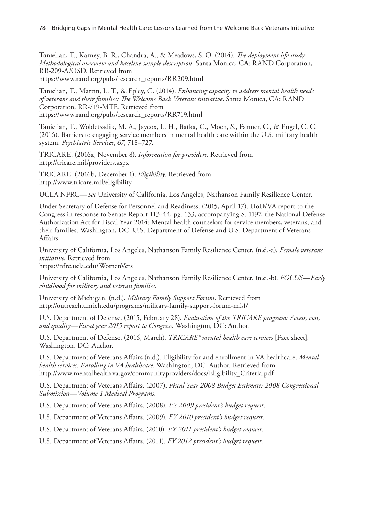Tanielian, T., Karney, B. R., Chandra, A., & Meadows, S. O. (2014). *The deployment life study: Methodological overview and baseline sample description*. Santa Monica, CA: RAND Corporation, RR-209-A/OSD. Retrieved from

[https://www.rand.org/pubs/research\\_reports/RR209.html](https://www.rand.org/pubs/research_reports/RR209.html)

Tanielian, T., Martin, L. T., & Epley, C. (2014). *Enhancing capacity to address mental health needs of veterans and their families: The Welcome Back Veterans initiative*. Santa Monica, CA: RAND Corporation, RR-719-MTF. Retrieved from [https://www.rand.org/pubs/research\\_reports/RR719.html](https://www.rand.org/pubs/research_reports/RR719.html)

Tanielian, T., Woldetsadik, M. A., Jaycox, L. H., Batka, C., Moen, S., Farmer, C., & Engel, C. C. (2016). Barriers to engaging service members in mental health care within the U.S. military health system. *Psychiatric Services*, *67*, 718–727.

TRICARE. (2016a, November 8). *Information for providers*. Retrieved from <http://tricare.mil/providers.aspx>

TRICARE. (2016b, December 1). *Eligibility*. Retrieved from <http://www.tricare.mil/eligibility>

UCLA NFRC—*See* University of California, Los Angeles, Nathanson Family Resilience Center.

Under Secretary of Defense for Personnel and Readiness. (2015, April 17). DoD/VA report to the Congress in response to Senate Report 113-44, pg. 133, accompanying S. 1197, the National Defense Authorization Act for Fiscal Year 2014: Mental health counselors for service members, veterans, and their families. Washington, DC: U.S. Department of Defense and U.S. Department of Veterans Affairs.

University of California, Los Angeles, Nathanson Family Resilience Center. (n.d.-a). *Female veterans initiative*. Retrieved from <https://nfrc.ucla.edu/WomenVets>

University of California, Los Angeles, Nathanson Family Resilience Center. (n.d.-b). *FOCUS—Early childhood for military and veteran families*.

University of Michigan. (n.d.). *Military Family Support Forum*. Retrieved from <http://outreach.umich.edu/programs/military-family-support-forum-mfsf/>

U.S. Department of Defense. (2015, February 28). *Evaluation of the TRICARE program: Access, cost, and quality—Fiscal year 2015 report to Congress*. Washington, DC: Author.

U.S. Department of Defense. (2016, March). *TRICARE® mental health care services* [Fact sheet]. Washington, DC: Author.

U.S. Department of Veterans Affairs (n.d.). Eligibility for and enrollment in VA healthcare. *Mental health services: Enrolling in VA healthcare*. Washington, DC: Author. Retrieved from [http://www.mentalhealth.va.gov/communityproviders/docs/Eligibility\\_Criteria.pdf](http://www.mentalhealth.va.gov/communityproviders/docs/Eligibility_Criteria.pdf)

U.S. Department of Veterans Affairs. (2007). *Fiscal Year 2008 Budget Estimate: 2008 Congressional Submission—Volume 1 Medical Programs*.

U.S. Department of Veterans Affairs. (2008). *FY 2009 president's budget request*.

U.S. Department of Veterans Affairs. (2009). *FY 2010 president's budget request*.

U.S. Department of Veterans Affairs. (2010). *FY 2011 president's budget request*.

U.S. Department of Veterans Affairs. (2011). *FY 2012 president's budget request*.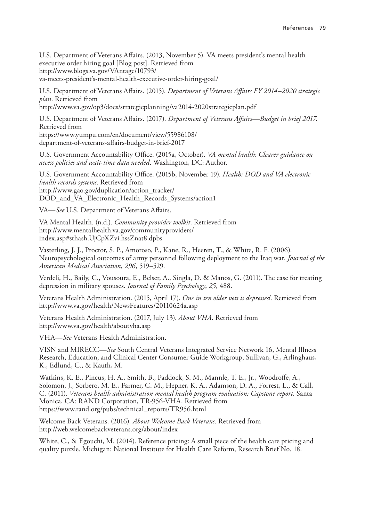U.S. Department of Veterans Affairs. (2013, November 5). VA meets president's mental health executive order hiring goal [Blog post]. Retrieved from http://www.blogs.va.gov/VAntage/10793/ [va-meets-president's-mental-health-executive-order-hiring-goal/](http://www.blogs.va.gov/VAntage/10793/va-meets-president%E2%80%99s-mental-health-executive-order-hiring-goal/)

U.S. Department of Veterans Affairs. (2015). *Department of Veterans Affairs FY 2014–2020 strategic plan*. Retrieved from <http://www.va.gov/op3/docs/strategicplanning/va2014-2020strategicplan.pdf>

U.S. Department of Veterans Affairs. (2017). *Department of Veterans Affairs—Budget in brief 2017*. Retrieved from [https://www.yumpu.com/en/document/view/55986108/](https://www.yumpu.com/en/document/view/55986108/department-of-veterans-affairs-budget-in-brief-2017) department-of-veterans-affairs-budget-in-brief-2017

U.S. Government Accountability Office. (2015a, October). *VA mental health: Clearer guidance on access policies and wait-time data needed*. Washington, DC: Author.

U.S. Government Accountability Office. (2015b, November 19). *Health: DOD and VA electronic health records systems*. Retrieved from http://www.gao.gov/duplication/action\_tracker/ [DOD\\_and\\_VA\\_Electronic\\_Health\\_Records\\_Systems/action1](http://www.gao.gov/duplication/action_tracker/DOD_and_VA_Electronic_Health_Records_Systems/action1)

VA—*See* U.S. Department of Veterans Affairs.

VA Mental Health. (n.d.). *Community provider toolkit*. Retrieved from [http://www.mentalhealth.va.gov/communityproviders/](http://www.mentalhealth.va.gov/communityproviders/index.asp#sthash.UjCpXZvi.hssZnat8.dpbs) index.asp#sthash.UjCpXZvi.hssZnat8.dpbs

Vasterling, J. J., Proctor, S. P., Amoroso, P., Kane, R., Heeren, T., & White, R. F. (2006). Neuropsychological outcomes of army personnel following deployment to the Iraq war. *Journal of the American Medical Association*, *296*, 519–529.

Verdeli, H., Baily, C., Vousoura, E., Belser, A., Singla, D. & Manos, G. (2011). The case for treating depression in military spouses. *Journal of Family Psychology*, *25*, 488.

Veterans Health Administration. (2015, April 17). *One in ten older vets is depressed*. Retrieved from <http://www.va.gov/health/NewsFeatures/20110624a.asp>

Veterans Health Administration. (2017, July 13). *About VHA*. Retrieved from <http://www.va.gov/health/aboutvha.asp>

VHA—*See* Veterans Health Administration.

VISN and MIRECC—*See* South Central Veterans Integrated Service Network 16, Mental Illness Research, Education, and Clinical Center Consumer Guide Workgroup, Sullivan, G., Arlinghaus, K., Edlund, C., & Kauth, M.

Watkins, K. E., Pincus, H. A., Smith, B., Paddock, S. M., Mannle, T. E., Jr., Woodroffe, A., Solomon, J., Sorbero, M. E., Farmer, C. M., Hepner, K. A., Adamson, D. A., Forrest, L., & Call, C. (2011). *Veterans health administration mental health program evaluation: Capstone report*. Santa Monica, CA: RAND Corporation, TR-956-VHA. Retrieved from [https://www.rand.org/pubs/technical\\_reports/TR956.html](https://www.rand.org/pubs/technical_reports/TR956.html)

Welcome Back Veterans. (2016). *About Welcome Back Veterans*. Retrieved from <http://web.welcomebackveterans.org/about/index>

White, C., & Egouchi, M. (2014). Reference pricing: A small piece of the health care pricing and quality puzzle. Michigan: National Institute for Health Care Reform, Research Brief No. 18.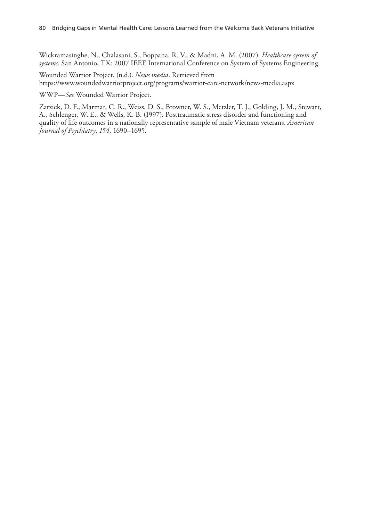Wickramasinghe, N., Chalasani, S., Boppana, R. V., & Madni, A. M. (2007). *Healthcare system of systems*. San Antonio, TX: 2007 IEEE International Conference on System of Systems Engineering.

Wounded Warrior Project. (n.d.). *News media*. Retrieved from <https://www.woundedwarriorproject.org/programs/warrior-care-network/news-media.aspx>

WWP—*See* Wounded Warrior Project.

Zatzick, D. F., Marmar, C. R., Weiss, D. S., Browner, W. S., Metzler, T. J., Golding, J. M., Stewart, A., Schlenger, W. E., & Wells, K. B. (1997). Posttraumatic stress disorder and functioning and quality of life outcomes in a nationally representative sample of male Vietnam veterans. *American Journal of Psychiatry*, *154*, 1690–1695.